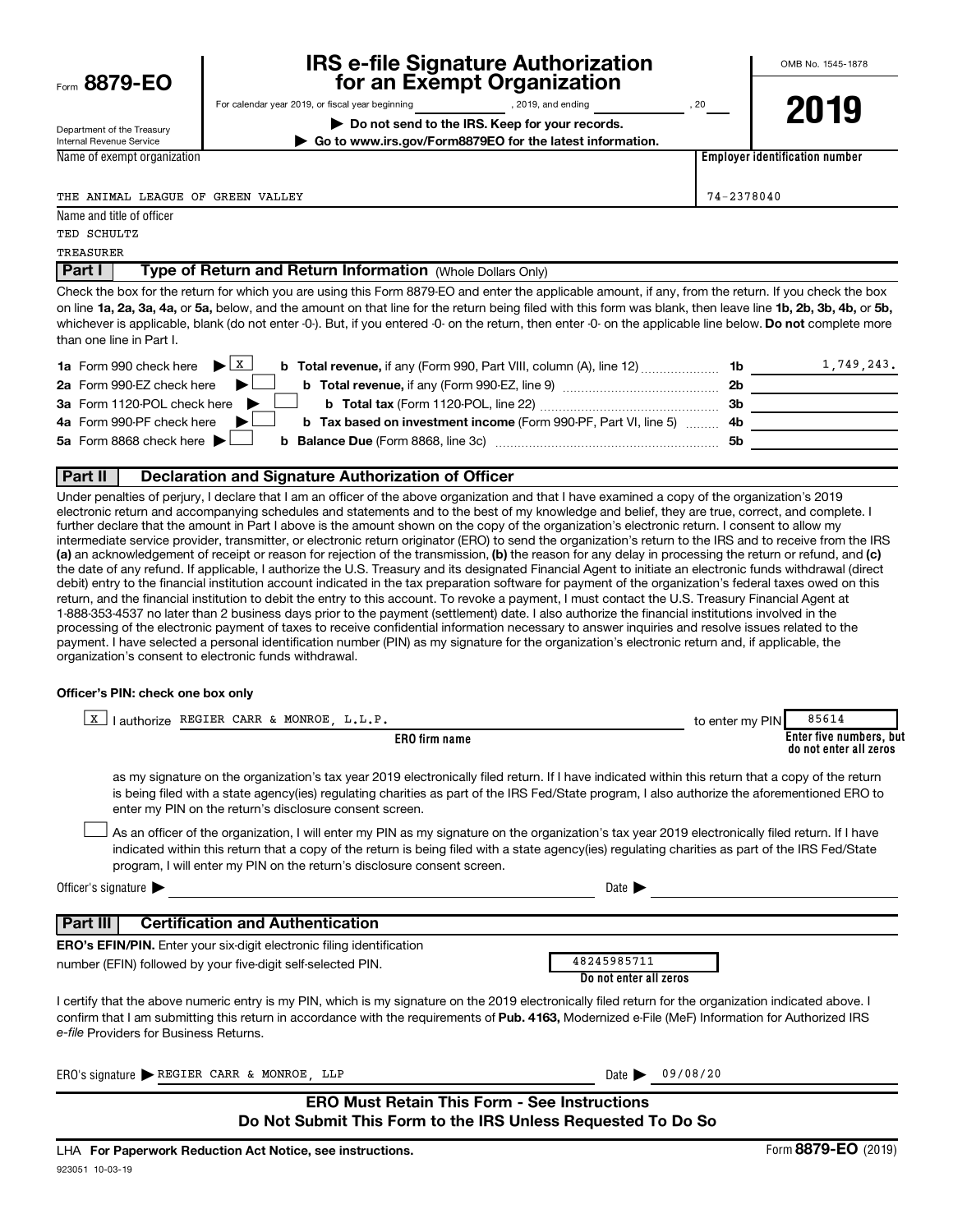| Form 8879-EO |  |
|--------------|--|
|              |  |

# **IRS e-file Signature Authorization**<br>**687 for an Exempt Organization**

**| Do not send to the IRS. Keep for your records.**

For calendar year 2019, or fiscal year beginning and provide the set of 2019, and ending and ending contact the set of 20

Department of the Treasury Internal Revenue Service Name of exempt organization **2019**

**Employer identification number**

**| Go to www.irs.gov/Form8879EO for the latest information.**

THE ANIMAL LEAGUE OF GREEN VALLEY 74-2378040

Name and title of officer TED SCHULTZ

**TREASURER** 

**Part I** | Type of Return and Return Information (Whole Dollars Only)

on line 1a, 2a, 3a, 4a, or 5a, below, and the amount on that line for the return being filed with this form was blank, then leave line 1b, 2b, 3b, 4b, or 5b, whichever is applicable, blank (do not enter -0-). But, if you entered -0- on the return, then enter -0- on the applicable line below. **Do not** complete more Check the box for the return for which you are using this Form 8879-EO and enter the applicable amount, if any, from the return. If you check the box than one line in Part I.

| <b>1a</b> Form 990 check here $\blacktriangleright$ $\boxed{\text{X}}$                                                       | 1b  | 1,749,243. |
|------------------------------------------------------------------------------------------------------------------------------|-----|------------|
| 2a Form 990-EZ check here $\blacktriangleright$<br><b>b</b> Total revenue, if any (Form 990-EZ, line 9) <b>Total revenue</b> | 2b  |            |
| 3a Form 1120-POL check here<br><b>b</b> Total tax (Form 1120-POL, line 22)                                                   | -3b |            |
| 4a Form 990-PF check here<br><b>b</b> Tax based on investment income (Form 990-PF, Part VI, line 5) 4b                       |     |            |
| 5a Form 8868 check here $\blacktriangleright$                                                                                | 5b  |            |
|                                                                                                                              |     |            |

#### **Part II Declaration and Signature Authorization of Officer**

(a) an acknowledgement of receipt or reason for rejection of the transmission, (b) the reason for any delay in processing the return or refund, and (c) Under penalties of perjury, I declare that I am an officer of the above organization and that I have examined a copy of the organization's 2019 electronic return and accompanying schedules and statements and to the best of my knowledge and belief, they are true, correct, and complete. I further declare that the amount in Part I above is the amount shown on the copy of the organization's electronic return. I consent to allow my intermediate service provider, transmitter, or electronic return originator (ERO) to send the organization's return to the IRS and to receive from the IRS the date of any refund. If applicable, I authorize the U.S. Treasury and its designated Financial Agent to initiate an electronic funds withdrawal (direct debit) entry to the financial institution account indicated in the tax preparation software for payment of the organization's federal taxes owed on this return, and the financial institution to debit the entry to this account. To revoke a payment, I must contact the U.S. Treasury Financial Agent at 1-888-353-4537 no later than 2 business days prior to the payment (settlement) date. I also authorize the financial institutions involved in the processing of the electronic payment of taxes to receive confidential information necessary to answer inquiries and resolve issues related to the payment. I have selected a personal identification number (PIN) as my signature for the organization's electronic return and, if applicable, the organization's consent to electronic funds withdrawal.

#### **Officer's PIN: check one box only**

| lauthorize REGIER CARR & MONROE, L.L.P.<br>X                                                                                                                                                                                                                                                                                                                                     | to enter my PIN | 85614                                             |
|----------------------------------------------------------------------------------------------------------------------------------------------------------------------------------------------------------------------------------------------------------------------------------------------------------------------------------------------------------------------------------|-----------------|---------------------------------------------------|
| <b>ERO</b> firm name                                                                                                                                                                                                                                                                                                                                                             |                 | Enter five numbers, but<br>do not enter all zeros |
| as my signature on the organization's tax year 2019 electronically filed return. If I have indicated within this return that a copy of the return<br>is being filed with a state agency(ies) regulating charities as part of the IRS Fed/State program, I also authorize the aforementioned ERO to<br>enter my PIN on the return's disclosure consent screen.                    |                 |                                                   |
| As an officer of the organization, I will enter my PIN as my signature on the organization's tax year 2019 electronically filed return. If I have<br>indicated within this return that a copy of the return is being filed with a state agency(ies) regulating charities as part of the IRS Fed/State<br>program, I will enter my PIN on the return's disclosure consent screen. |                 |                                                   |
| Officer's signature $\blacktriangleright$<br>Date $\blacktriangleright$                                                                                                                                                                                                                                                                                                          |                 |                                                   |
| <b>Certification and Authentication</b><br>Part III                                                                                                                                                                                                                                                                                                                              |                 |                                                   |
| <b>ERO's EFIN/PIN.</b> Enter your six-digit electronic filing identification                                                                                                                                                                                                                                                                                                     |                 |                                                   |
| 48245985711<br>number (EFIN) followed by your five-digit self-selected PIN.<br>Do not enter all zeros                                                                                                                                                                                                                                                                            |                 |                                                   |
| I certify that the above numeric entry is my PIN, which is my signature on the 2019 electronically filed return for the organization indicated above. I<br>confirm that I am submitting this return in accordance with the requirements of Pub. 4163, Modernized e-File (MeF) Information for Authorized IRS<br>e-file Providers for Business Returns.                           |                 |                                                   |
| ERO's signature $\triangleright$ REGIER CARR & MONROE, LLP<br>Date $\blacktriangleright$                                                                                                                                                                                                                                                                                         | 09/08/20        |                                                   |
| <b>ERO Must Retain This Form - See Instructions</b><br>Do Not Submit This Form to the IRS Unless Requested To Do So                                                                                                                                                                                                                                                              |                 |                                                   |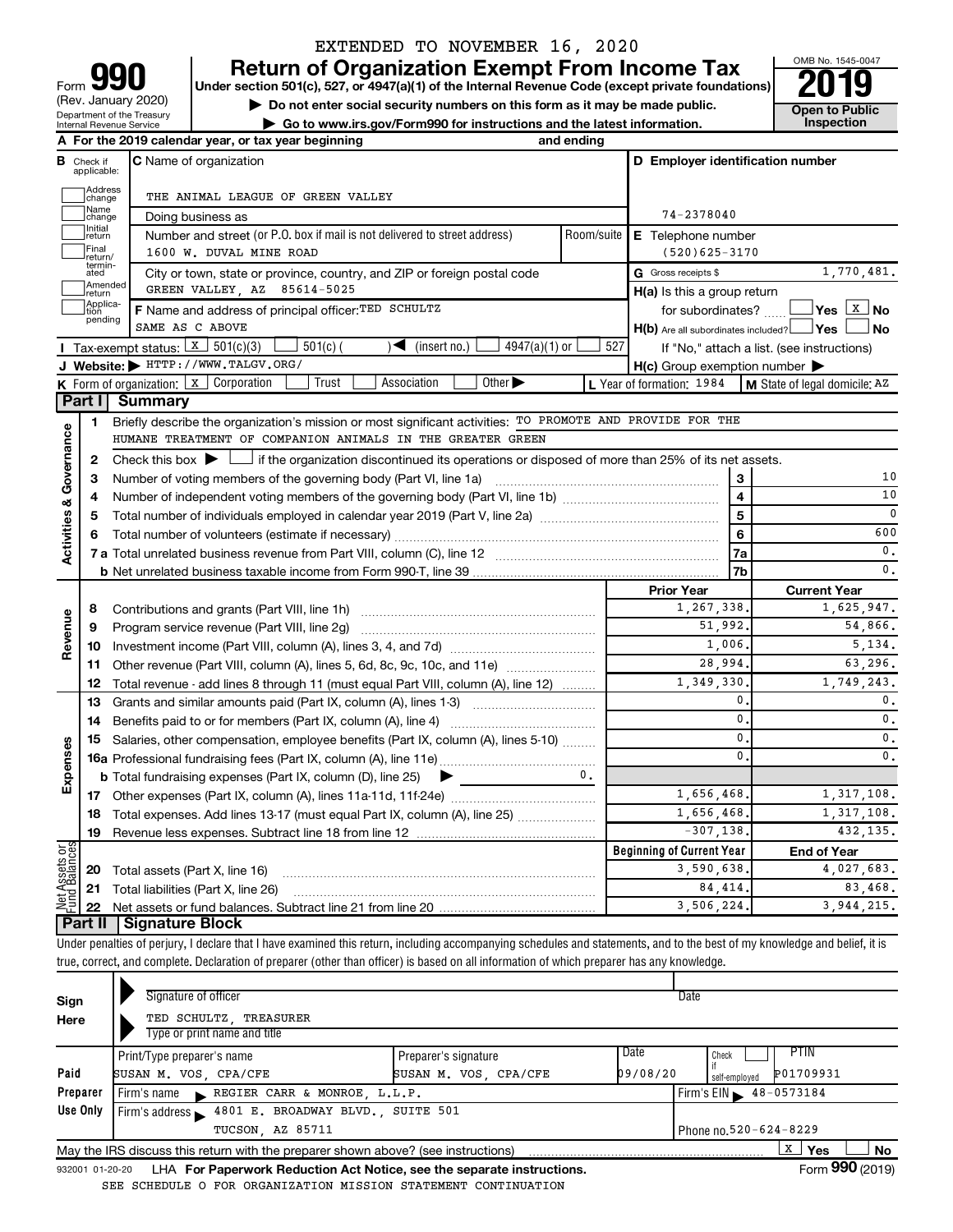| 99M<br>Form                                            |
|--------------------------------------------------------|
| (Rev. January 2020)                                    |
| Department of the Treasury<br>Internal Revenue Service |

# EXTENDED TO NOVEMBER 16, 2020

**your Section 501(c), 527, or 4947(a)(1) of the Internal Revenue Code (except private foundations) 2019** 

OMB No. 1545-0047

|                                                                                              | ----              |
|----------------------------------------------------------------------------------------------|-------------------|
| $\triangleright$ Do not enter social security numbers on this form as it may be made public. | Open to Public    |
| Go to www.irs.gov/Form990 for instructions and the latest information.                       | <b>Inspection</b> |

|                                                   |                         | A For the 2019 calendar year, or tax year beginning                                                                                                           | and ending |                                                     |                                            |  |  |
|---------------------------------------------------|-------------------------|---------------------------------------------------------------------------------------------------------------------------------------------------------------|------------|-----------------------------------------------------|--------------------------------------------|--|--|
| в                                                 | Check if<br>applicable: | <b>C</b> Name of organization                                                                                                                                 |            | D Employer identification number                    |                                            |  |  |
|                                                   | Address<br>]change      | THE ANIMAL LEAGUE OF GREEN VALLEY                                                                                                                             |            |                                                     |                                            |  |  |
| Name<br>74-2378040<br>change<br>Doing business as |                         |                                                                                                                                                               |            |                                                     |                                            |  |  |
|                                                   | Initial<br>return       | Number and street (or P.O. box if mail is not delivered to street address)                                                                                    | Room/suite | E Telephone number                                  |                                            |  |  |
|                                                   | Final<br>return/        | 1600 W. DUVAL MINE ROAD                                                                                                                                       |            | $(520)625 - 3170$                                   |                                            |  |  |
|                                                   | termin-<br>ated         | City or town, state or province, country, and ZIP or foreign postal code                                                                                      |            | G Gross receipts \$                                 | 1,770,481.                                 |  |  |
|                                                   | Amended<br>return       | GREEN VALLEY, AZ 85614-5025                                                                                                                                   |            | $H(a)$ is this a group return                       |                                            |  |  |
|                                                   | Applica-<br>pending     | F Name and address of principal officer: TED SCHULTZ                                                                                                          |            | for subordinates?                                   | $Yes \L X$ No                              |  |  |
|                                                   |                         | SAME AS C ABOVE                                                                                                                                               |            | H(b) Are all subordinates included? Ves             | ⊿ No                                       |  |  |
|                                                   |                         | Tax-exempt status: $\boxed{x}$ 501(c)(3)<br>$501(c)$ (<br>$\sqrt{\frac{1}{1}}$ (insert no.)<br>$4947(a)(1)$ or                                                | 527        |                                                     | If "No," attach a list. (see instructions) |  |  |
|                                                   |                         | J Website: FITTP://WWW.TALGV.ORG/                                                                                                                             |            | $H(c)$ Group exemption number $\blacktriangleright$ |                                            |  |  |
|                                                   |                         | K Form of organization: X Corporation<br>Trust<br>Association<br>Other $\blacktriangleright$                                                                  |            | L Year of formation: 1984                           | M State of legal domicile: AZ              |  |  |
|                                                   | Part I                  | Summary                                                                                                                                                       |            |                                                     |                                            |  |  |
|                                                   | 1.                      | Briefly describe the organization's mission or most significant activities: TO PROMOTE AND PROVIDE FOR THE                                                    |            |                                                     |                                            |  |  |
| Activities & Governance                           |                         | HUMANE TREATMENT OF COMPANION ANIMALS IN THE GREATER GREEN                                                                                                    |            |                                                     |                                            |  |  |
|                                                   | 2                       | Check this box $\blacktriangleright$ $\Box$<br>$\perp$ if the organization discontinued its operations or disposed of more than 25% of its net assets.        |            |                                                     |                                            |  |  |
|                                                   | з                       | Number of voting members of the governing body (Part VI, line 1a) manufactured contains an example of voting members of the governing body (Part VI, line 1a) |            |                                                     | 10                                         |  |  |
|                                                   | 4                       |                                                                                                                                                               |            | $\overline{\mathbf{4}}$                             | 10                                         |  |  |
|                                                   | 5                       | Total number of individuals employed in calendar year 2019 (Part V, line 2a) <i>multimum communically</i>                                                     |            | 5                                                   | 0                                          |  |  |
|                                                   | 6                       |                                                                                                                                                               |            | 6                                                   | 600                                        |  |  |
|                                                   |                         |                                                                                                                                                               |            | 7a                                                  | $\mathbf{0}$ .<br>0.                       |  |  |
|                                                   |                         |                                                                                                                                                               |            | 7b                                                  |                                            |  |  |
|                                                   |                         |                                                                                                                                                               |            | <b>Prior Year</b><br>1,267,338                      | <b>Current Year</b><br>1,625,947.          |  |  |
|                                                   | 8                       |                                                                                                                                                               |            | 51,992.                                             | 54,866.                                    |  |  |
| Revenue                                           | 9                       | Program service revenue (Part VIII, line 2g)                                                                                                                  |            | 1,006,                                              | 5.134.                                     |  |  |
|                                                   |                         | 11 Other revenue (Part VIII, column (A), lines 5, 6d, 8c, 9c, 10c, and 11e)                                                                                   |            | 28,994.                                             | 63.296.                                    |  |  |
|                                                   | 12                      | Total revenue - add lines 8 through 11 (must equal Part VIII, column (A), line 12)                                                                            |            | 1,349,330                                           | 1.749.243.                                 |  |  |
|                                                   | 13                      | Grants and similar amounts paid (Part IX, column (A), lines 1-3)                                                                                              |            | 0                                                   | $\mathbf{0}$ .                             |  |  |
|                                                   | 14                      |                                                                                                                                                               |            | $\mathbf 0$                                         | $\mathbf{0}$ .                             |  |  |
|                                                   |                         | 15 Salaries, other compensation, employee benefits (Part IX, column (A), lines 5-10)                                                                          |            | 0                                                   | 0.                                         |  |  |
| Expenses                                          |                         |                                                                                                                                                               |            | 0                                                   | 0.                                         |  |  |
|                                                   |                         | <b>b</b> Total fundraising expenses (Part IX, column (D), line 25)<br>▶                                                                                       | 0.         |                                                     |                                            |  |  |
|                                                   |                         |                                                                                                                                                               |            | 1,656,468                                           | 1, 317, 108.                               |  |  |
|                                                   |                         | 18 Total expenses. Add lines 13-17 (must equal Part IX, column (A), line 25)                                                                                  |            | 1,656,468,                                          | 1, 317, 108.                               |  |  |
|                                                   | 19                      |                                                                                                                                                               |            | $-307, 138.$                                        | 432.135.                                   |  |  |
| $\frac{5}{6}$                                     |                         |                                                                                                                                                               |            | <b>Beginning of Current Year</b>                    | <b>End of Year</b>                         |  |  |
| t Assets<br>Id Balanc                             |                         | <b>20</b> Total assets (Part X, line 16)                                                                                                                      |            | 3,590,638.                                          | 4,027,683.                                 |  |  |
|                                                   |                         | 21 Total liabilities (Part X, line 26)                                                                                                                        |            | 84, 414,                                            | 83,468.                                    |  |  |
| Net                                               | 22                      |                                                                                                                                                               |            | 3.506.224.                                          | 3.944.215.                                 |  |  |
|                                                   |                         | Part II   Signature Block                                                                                                                                     |            |                                                     |                                            |  |  |

Under penalties of perjury, I declare that I have examined this return, including accompanying schedules and statements, and to the best of my knowledge and belief, it is true, correct, and complete. Declaration of preparer (other than officer) is based on all information of which preparer has any knowledge.

| Sign                                      | Signature of officer                                                                                         |                       |          | Date                       |  |  |  |  |
|-------------------------------------------|--------------------------------------------------------------------------------------------------------------|-----------------------|----------|----------------------------|--|--|--|--|
| Here                                      | TED SCHULTZ TREASURER<br>Type or print name and title                                                        |                       |          |                            |  |  |  |  |
|                                           | Print/Type preparer's name                                                                                   | Preparer's signature  | Date     | PTIN<br>Check              |  |  |  |  |
| Paid                                      | SUSAN M. VOS, CPA/CFE                                                                                        | SUSAN M. VOS, CPA/CFE | 09/08/20 | P01709931<br>self-emploved |  |  |  |  |
| Preparer                                  | Firm's name REGIER CARR & MONROE, L.L.P.                                                                     |                       |          | Firm's EIN 48-0573184      |  |  |  |  |
| Use Only                                  | Firm's address \ 4801 E. BROADWAY BLVD., SUITE 501                                                           |                       |          |                            |  |  |  |  |
| TUCSON, AZ 85711<br>Phone no.520-624-8229 |                                                                                                              |                       |          |                            |  |  |  |  |
|                                           | May the IRS discuss this return with the preparer shown above? (see instructions)                            |                       |          | x<br>Yes<br><b>No</b>      |  |  |  |  |
|                                           | Form 990 (2019)<br>LHA For Paperwork Reduction Act Notice, see the separate instructions.<br>932001 01-20-20 |                       |          |                            |  |  |  |  |

SEE SCHEDULE O FOR ORGANIZATION MISSION STATEMENT CONTINUATION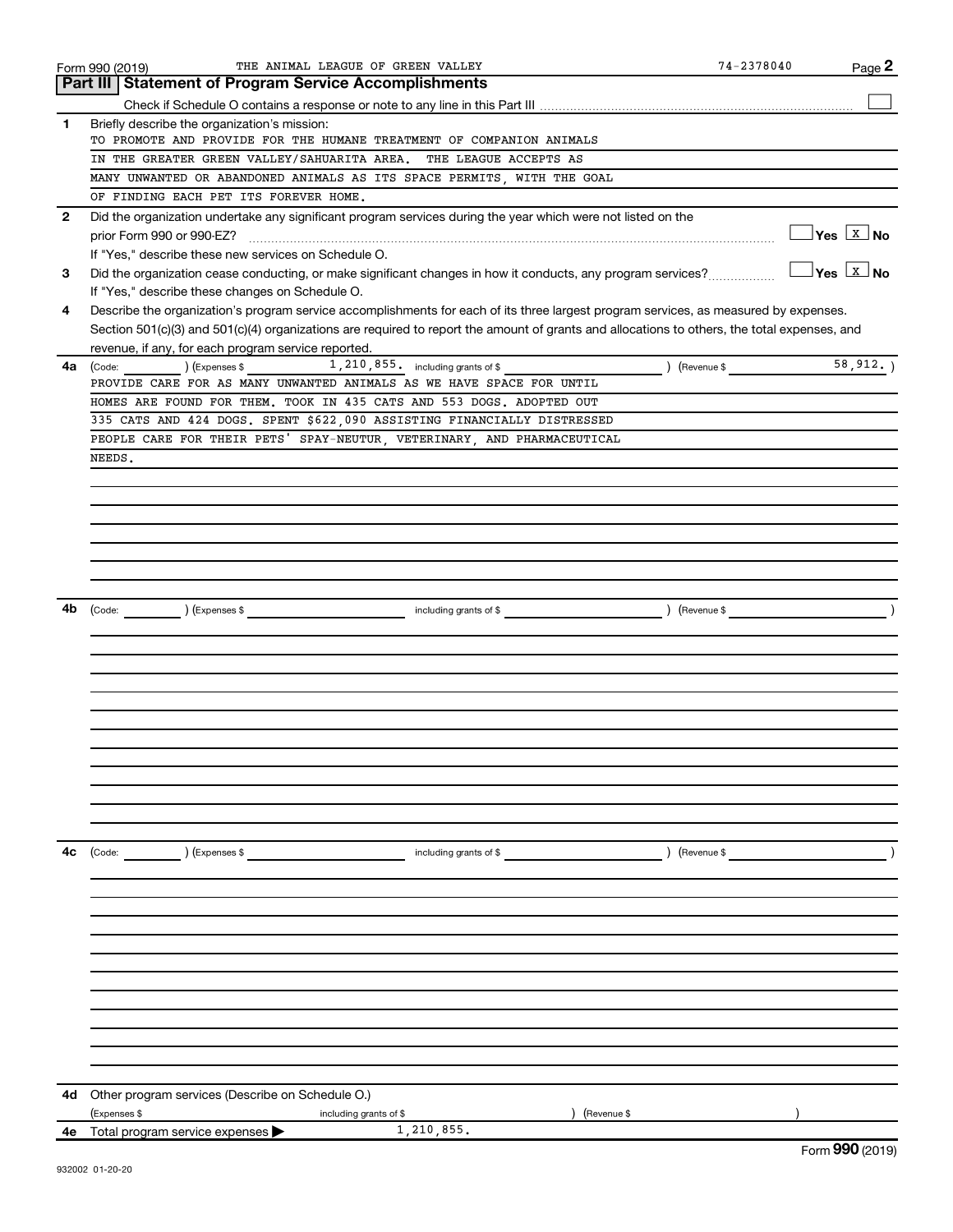|              | THE ANIMAL LEAGUE OF GREEN VALLEY<br>Form 990 (2019)                                                                                         |                        | 74-2378040  | Page 2                                            |
|--------------|----------------------------------------------------------------------------------------------------------------------------------------------|------------------------|-------------|---------------------------------------------------|
|              | Part III   Statement of Program Service Accomplishments                                                                                      |                        |             |                                                   |
|              |                                                                                                                                              |                        |             |                                                   |
| 1            | Briefly describe the organization's mission:                                                                                                 |                        |             |                                                   |
|              | TO PROMOTE AND PROVIDE FOR THE HUMANE TREATMENT OF COMPANION ANIMALS                                                                         |                        |             |                                                   |
|              | IN THE GREATER GREEN VALLEY/SAHUARITA AREA.                                                                                                  | THE LEAGUE ACCEPTS AS  |             |                                                   |
|              | MANY UNWANTED OR ABANDONED ANIMALS AS ITS SPACE PERMITS, WITH THE GOAL                                                                       |                        |             |                                                   |
|              | OF FINDING EACH PET ITS FOREVER HOME.                                                                                                        |                        |             |                                                   |
| $\mathbf{2}$ | Did the organization undertake any significant program services during the year which were not listed on the                                 |                        |             |                                                   |
|              | prior Form 990 or 990-EZ?                                                                                                                    |                        |             | __ Yes <u>  x</u>   No                            |
|              | If "Yes," describe these new services on Schedule O.                                                                                         |                        |             |                                                   |
| 3            | Did the organization cease conducting, or make significant changes in how it conducts, any program services?                                 |                        |             | $\sqrt{}$ Yes $\sqrt{ \ \overline{ \text{X}}}$ No |
|              | If "Yes," describe these changes on Schedule O.                                                                                              |                        |             |                                                   |
| 4            | Describe the organization's program service accomplishments for each of its three largest program services, as measured by expenses.         |                        |             |                                                   |
|              | Section 501(c)(3) and 501(c)(4) organizations are required to report the amount of grants and allocations to others, the total expenses, and |                        |             |                                                   |
|              | revenue, if any, for each program service reported.                                                                                          |                        |             |                                                   |
| 4a           | $1,210,855$ including grants of \$<br>) (Expenses \$<br>(Code:                                                                               |                        | (Revenue \$ | 58, 912.                                          |
|              | PROVIDE CARE FOR AS MANY UNWANTED ANIMALS AS WE HAVE SPACE FOR UNTIL                                                                         |                        |             |                                                   |
|              | HOMES ARE FOUND FOR THEM. TOOK IN 435 CATS AND 553 DOGS. ADOPTED OUT                                                                         |                        |             |                                                   |
|              | 335 CATS AND 424 DOGS. SPENT \$622,090 ASSISTING FINANCIALLY DISTRESSED                                                                      |                        |             |                                                   |
|              | PEOPLE CARE FOR THEIR PETS' SPAY-NEUTUR, VETERINARY, AND PHARMACEUTICAL                                                                      |                        |             |                                                   |
|              | NEEDS.                                                                                                                                       |                        |             |                                                   |
|              |                                                                                                                                              |                        |             |                                                   |
|              |                                                                                                                                              |                        |             |                                                   |
|              |                                                                                                                                              |                        |             |                                                   |
|              |                                                                                                                                              |                        |             |                                                   |
|              |                                                                                                                                              |                        |             |                                                   |
|              |                                                                                                                                              |                        |             |                                                   |
|              |                                                                                                                                              |                        |             |                                                   |
|              |                                                                                                                                              |                        |             |                                                   |
| 4b           | (Expenses \$<br>(Code:                                                                                                                       | including grants of \$ | (Revenue \$ |                                                   |
|              |                                                                                                                                              |                        |             |                                                   |
|              |                                                                                                                                              |                        |             |                                                   |
|              |                                                                                                                                              |                        |             |                                                   |
|              |                                                                                                                                              |                        |             |                                                   |
|              |                                                                                                                                              |                        |             |                                                   |
|              |                                                                                                                                              |                        |             |                                                   |
|              |                                                                                                                                              |                        |             |                                                   |
|              |                                                                                                                                              |                        |             |                                                   |
|              |                                                                                                                                              |                        |             |                                                   |
|              |                                                                                                                                              |                        |             |                                                   |
|              |                                                                                                                                              |                        |             |                                                   |
|              |                                                                                                                                              |                        |             |                                                   |
| 4c           | (Expenses \$<br>(Code:                                                                                                                       | including grants of \$ | (Revenue \$ |                                                   |
|              |                                                                                                                                              |                        |             |                                                   |
|              |                                                                                                                                              |                        |             |                                                   |
|              |                                                                                                                                              |                        |             |                                                   |
|              |                                                                                                                                              |                        |             |                                                   |
|              |                                                                                                                                              |                        |             |                                                   |
|              |                                                                                                                                              |                        |             |                                                   |
|              |                                                                                                                                              |                        |             |                                                   |
|              |                                                                                                                                              |                        |             |                                                   |
|              |                                                                                                                                              |                        |             |                                                   |
|              |                                                                                                                                              |                        |             |                                                   |
|              |                                                                                                                                              |                        |             |                                                   |
|              |                                                                                                                                              |                        |             |                                                   |
| 4d           | Other program services (Describe on Schedule O.)                                                                                             |                        |             |                                                   |
|              | (Expenses \$<br>including grants of \$                                                                                                       | (Revenue \$            |             |                                                   |
|              | 1,210,855.<br>4e Total program service expenses >                                                                                            |                        |             |                                                   |
|              |                                                                                                                                              |                        |             | $F_{\text{sum}}$ 000 (2010)                       |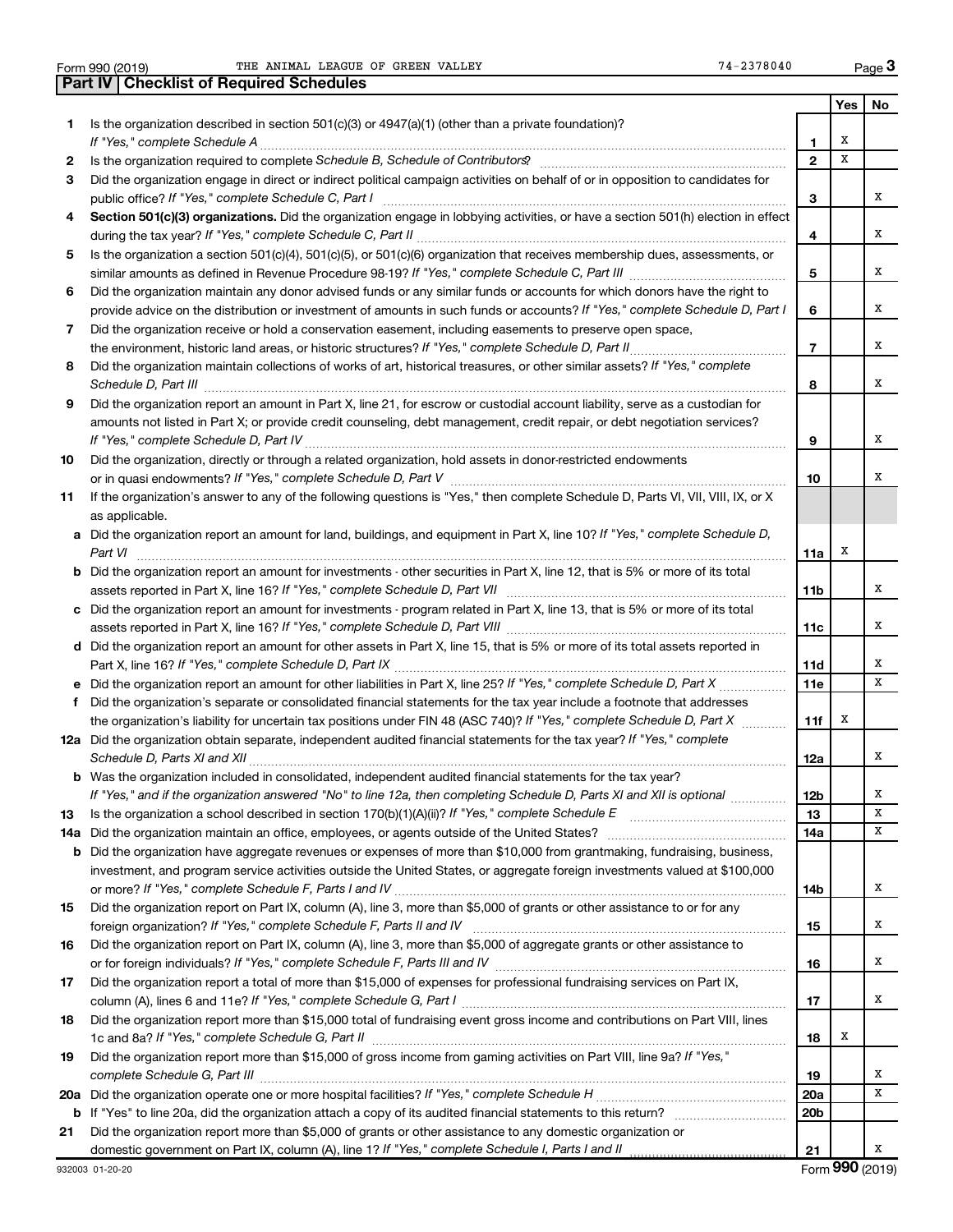Form 990 (2019) THE ANIMAL LEAGUE OF GREEN VALLEY FOR THE SAME RAGE Page

|     | <b>Part IV   Checklist of Required Schedules</b>                                                                                                                                                                                    |                 |     |     |
|-----|-------------------------------------------------------------------------------------------------------------------------------------------------------------------------------------------------------------------------------------|-----------------|-----|-----|
|     |                                                                                                                                                                                                                                     |                 | Yes | No. |
| 1.  | Is the organization described in section $501(c)(3)$ or $4947(a)(1)$ (other than a private foundation)?                                                                                                                             |                 |     |     |
|     |                                                                                                                                                                                                                                     | 1               | X   |     |
| 2   |                                                                                                                                                                                                                                     | $\overline{2}$  | X   |     |
| 3   | Did the organization engage in direct or indirect political campaign activities on behalf of or in opposition to candidates for                                                                                                     |                 |     |     |
|     |                                                                                                                                                                                                                                     | З               |     | х   |
| 4   | Section 501(c)(3) organizations. Did the organization engage in lobbying activities, or have a section 501(h) election in effect                                                                                                    |                 |     |     |
|     |                                                                                                                                                                                                                                     | 4               |     | х   |
| 5   | Is the organization a section 501(c)(4), 501(c)(5), or 501(c)(6) organization that receives membership dues, assessments, or                                                                                                        |                 |     |     |
|     |                                                                                                                                                                                                                                     | 5               |     | х   |
| 6   | Did the organization maintain any donor advised funds or any similar funds or accounts for which donors have the right to                                                                                                           |                 |     |     |
|     | provide advice on the distribution or investment of amounts in such funds or accounts? If "Yes," complete Schedule D, Part I                                                                                                        | 6               |     | х   |
| 7   | Did the organization receive or hold a conservation easement, including easements to preserve open space,                                                                                                                           |                 |     |     |
|     | the environment, historic land areas, or historic structures? If "Yes," complete Schedule D, Part II                                                                                                                                | 7               |     | х   |
| 8   | Did the organization maintain collections of works of art, historical treasures, or other similar assets? If "Yes," complete                                                                                                        |                 |     |     |
|     | Schedule D, Part III <b>Marting Constructs</b> and the construction of the construction of the construction of the construction of the construction of the construction of the construction of the construction of the construction | 8               |     | x   |
| 9   | Did the organization report an amount in Part X, line 21, for escrow or custodial account liability, serve as a custodian for                                                                                                       |                 |     |     |
|     | amounts not listed in Part X; or provide credit counseling, debt management, credit repair, or debt negotiation services?                                                                                                           |                 |     |     |
|     |                                                                                                                                                                                                                                     | 9               |     | х   |
| 10  | Did the organization, directly or through a related organization, hold assets in donor-restricted endowments                                                                                                                        |                 |     |     |
|     |                                                                                                                                                                                                                                     | 10              |     | х   |
| 11  | If the organization's answer to any of the following questions is "Yes," then complete Schedule D, Parts VI, VII, VIII, IX, or X                                                                                                    |                 |     |     |
|     | as applicable.                                                                                                                                                                                                                      |                 |     |     |
| a   | Did the organization report an amount for land, buildings, and equipment in Part X, line 10? If "Yes," complete Schedule D,                                                                                                         |                 |     |     |
|     | Part VI                                                                                                                                                                                                                             | 11a             | x   |     |
| b   | Did the organization report an amount for investments - other securities in Part X, line 12, that is 5% or more of its total                                                                                                        |                 |     |     |
|     |                                                                                                                                                                                                                                     | 11 <sub>b</sub> |     | х   |
| с   | Did the organization report an amount for investments - program related in Part X, line 13, that is 5% or more of its total                                                                                                         |                 |     |     |
|     |                                                                                                                                                                                                                                     | 11c             |     | х   |
| d   | Did the organization report an amount for other assets in Part X, line 15, that is 5% or more of its total assets reported in                                                                                                       |                 |     |     |
|     |                                                                                                                                                                                                                                     | 11d             |     | х   |
|     | Did the organization report an amount for other liabilities in Part X, line 25? If "Yes," complete Schedule D, Part X                                                                                                               | 11e             |     | x   |
| f   | Did the organization's separate or consolidated financial statements for the tax year include a footnote that addresses                                                                                                             |                 |     |     |
|     | the organization's liability for uncertain tax positions under FIN 48 (ASC 740)? If "Yes," complete Schedule D, Part X                                                                                                              | 11f             | X   |     |
|     | 12a Did the organization obtain separate, independent audited financial statements for the tax year? If "Yes," complete                                                                                                             |                 |     |     |
|     |                                                                                                                                                                                                                                     | 12a             |     | x   |
|     | Was the organization included in consolidated, independent audited financial statements for the tax year?                                                                                                                           |                 |     |     |
|     | If "Yes," and if the organization answered "No" to line 12a, then completing Schedule D, Parts XI and XII is optional                                                                                                               | 12b             |     | х   |
| 13  |                                                                                                                                                                                                                                     | 13              |     | x   |
| 14a | Did the organization maintain an office, employees, or agents outside of the United States?                                                                                                                                         | 14a             |     | x   |
| b   | Did the organization have aggregate revenues or expenses of more than \$10,000 from grantmaking, fundraising, business,                                                                                                             |                 |     |     |
|     | investment, and program service activities outside the United States, or aggregate foreign investments valued at \$100,000                                                                                                          |                 |     |     |
|     |                                                                                                                                                                                                                                     | 14b             |     | x   |
| 15  | Did the organization report on Part IX, column (A), line 3, more than \$5,000 of grants or other assistance to or for any                                                                                                           |                 |     |     |
|     | foreign organization? If "Yes," complete Schedule F, Parts II and IV                                                                                                                                                                | 15              |     | x   |
| 16  | Did the organization report on Part IX, column (A), line 3, more than \$5,000 of aggregate grants or other assistance to                                                                                                            |                 |     |     |
|     |                                                                                                                                                                                                                                     | 16              |     | x   |
| 17  | Did the organization report a total of more than \$15,000 of expenses for professional fundraising services on Part IX,                                                                                                             |                 |     |     |
|     |                                                                                                                                                                                                                                     | 17              |     | x   |
| 18  | Did the organization report more than \$15,000 total of fundraising event gross income and contributions on Part VIII, lines                                                                                                        |                 |     |     |
|     |                                                                                                                                                                                                                                     | 18              | X   |     |
| 19  | Did the organization report more than \$15,000 of gross income from gaming activities on Part VIII, line 9a? If "Yes,"                                                                                                              |                 |     |     |
|     |                                                                                                                                                                                                                                     | 19              |     | х   |
| 20a |                                                                                                                                                                                                                                     | 20a             |     | x   |
| b   |                                                                                                                                                                                                                                     | 20 <sub>b</sub> |     |     |
| 21  | Did the organization report more than \$5,000 of grants or other assistance to any domestic organization or                                                                                                                         |                 |     |     |
|     | domestic government on Part IX, column (A), line 1? If "Yes," complete Schedule I, Parts I and II                                                                                                                                   | 21              |     | х   |
|     |                                                                                                                                                                                                                                     |                 |     |     |

Form (2019) **990**

**3**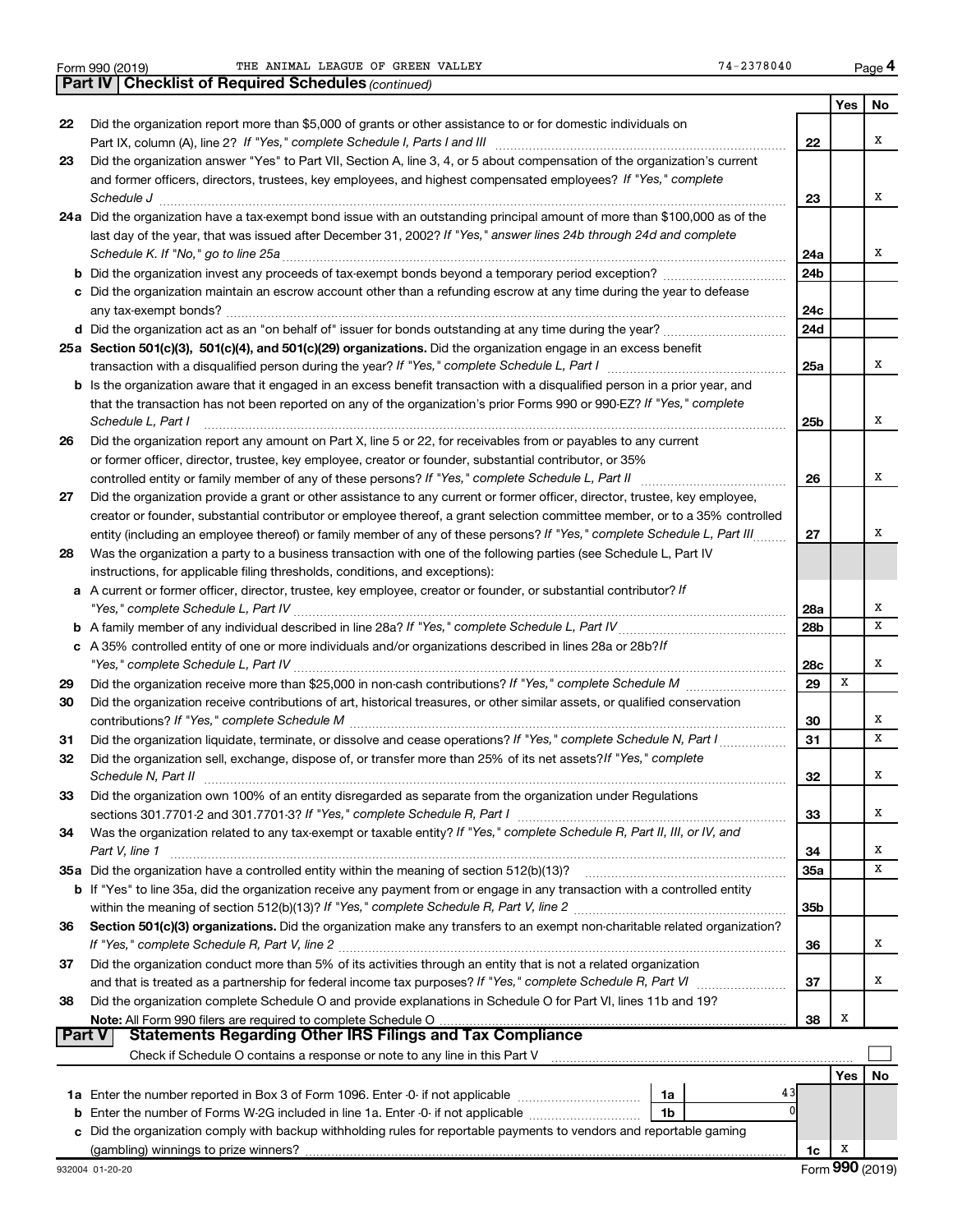**Part IV Checklist of Required Schedules**

*(continued)*

|    |                                                                                                                                                                       |                 | Yes | No |
|----|-----------------------------------------------------------------------------------------------------------------------------------------------------------------------|-----------------|-----|----|
| 22 | Did the organization report more than \$5,000 of grants or other assistance to or for domestic individuals on                                                         |                 |     |    |
|    |                                                                                                                                                                       | 22              |     | X  |
| 23 | Did the organization answer "Yes" to Part VII, Section A, line 3, 4, or 5 about compensation of the organization's current                                            |                 |     |    |
|    | and former officers, directors, trustees, key employees, and highest compensated employees? If "Yes," complete                                                        |                 |     |    |
|    | Schedule J <b>Execute Schedule Schedule Schedule Schedule</b> J <b>Execute Schedule J Execute Schedule J</b>                                                          | 23              |     | х  |
|    | 24a Did the organization have a tax-exempt bond issue with an outstanding principal amount of more than \$100,000 as of the                                           |                 |     |    |
|    | last day of the year, that was issued after December 31, 2002? If "Yes," answer lines 24b through 24d and complete                                                    |                 |     |    |
|    |                                                                                                                                                                       | 24a             |     | X  |
|    |                                                                                                                                                                       | 24b             |     |    |
|    | c Did the organization maintain an escrow account other than a refunding escrow at any time during the year to defease                                                |                 |     |    |
|    |                                                                                                                                                                       | 24с             |     |    |
|    |                                                                                                                                                                       | 24d             |     |    |
|    | 25a Section 501(c)(3), 501(c)(4), and 501(c)(29) organizations. Did the organization engage in an excess benefit                                                      |                 |     |    |
|    |                                                                                                                                                                       | 25a             |     | X  |
|    | <b>b</b> Is the organization aware that it engaged in an excess benefit transaction with a disqualified person in a prior year, and                                   |                 |     |    |
|    | that the transaction has not been reported on any of the organization's prior Forms 990 or 990-EZ? If "Yes," complete                                                 |                 |     |    |
|    | Schedule L, Part I                                                                                                                                                    | 25b             |     | X  |
| 26 | Did the organization report any amount on Part X, line 5 or 22, for receivables from or payables to any current                                                       |                 |     |    |
|    | or former officer, director, trustee, key employee, creator or founder, substantial contributor, or 35%                                                               |                 |     |    |
|    | controlled entity or family member of any of these persons? If "Yes," complete Schedule L, Part II                                                                    | 26              |     | X  |
| 27 | Did the organization provide a grant or other assistance to any current or former officer, director, trustee, key employee,                                           |                 |     |    |
|    | creator or founder, substantial contributor or employee thereof, a grant selection committee member, or to a 35% controlled                                           |                 |     |    |
|    | entity (including an employee thereof) or family member of any of these persons? If "Yes," complete Schedule L, Part III.                                             | 27              |     | X  |
| 28 | Was the organization a party to a business transaction with one of the following parties (see Schedule L, Part IV                                                     |                 |     |    |
|    | instructions, for applicable filing thresholds, conditions, and exceptions):                                                                                          |                 |     |    |
|    | a A current or former officer, director, trustee, key employee, creator or founder, or substantial contributor? If                                                    |                 |     |    |
|    | "Yes," complete Schedule L, Part IV                                                                                                                                   | 28a             |     | X  |
|    |                                                                                                                                                                       | 28 <sub>b</sub> |     | x  |
|    | c A 35% controlled entity of one or more individuals and/or organizations described in lines 28a or 28b?/f                                                            |                 |     |    |
|    |                                                                                                                                                                       | 28c             |     | X  |
| 29 |                                                                                                                                                                       | 29              | X   |    |
| 30 | Did the organization receive contributions of art, historical treasures, or other similar assets, or qualified conservation                                           |                 |     |    |
|    |                                                                                                                                                                       | 30              |     | х  |
| 31 |                                                                                                                                                                       | 31              |     | x  |
| 32 | Did the organization sell, exchange, dispose of, or transfer more than 25% of its net assets? If "Yes," complete                                                      |                 |     |    |
|    | Schedule N, Part II                                                                                                                                                   | 32              |     | х  |
| 33 | Did the organization own 100% of an entity disregarded as separate from the organization under Regulations                                                            |                 |     |    |
|    | sections 301.7701-2 and 301.7701-3? If "Yes," complete Schedule R, Part I                                                                                             | 33              |     | X  |
| 34 | Was the organization related to any tax-exempt or taxable entity? If "Yes," complete Schedule R, Part II, III, or IV, and                                             |                 |     |    |
|    | Part V, line 1                                                                                                                                                        | 34              |     | х  |
|    | 35a Did the organization have a controlled entity within the meaning of section 512(b)(13)?                                                                           | 35a             |     | x  |
|    | b If "Yes" to line 35a, did the organization receive any payment from or engage in any transaction with a controlled entity                                           |                 |     |    |
|    |                                                                                                                                                                       | 35b             |     |    |
| 36 | Section 501(c)(3) organizations. Did the organization make any transfers to an exempt non-charitable related organization?                                            |                 |     |    |
|    |                                                                                                                                                                       | 36              |     | X  |
| 37 | Did the organization conduct more than 5% of its activities through an entity that is not a related organization                                                      |                 |     |    |
|    |                                                                                                                                                                       | 37              |     | X  |
| 38 | Did the organization complete Schedule O and provide explanations in Schedule O for Part VI, lines 11b and 19?                                                        |                 |     |    |
|    | Note: All Form 990 filers are required to complete Schedule O.                                                                                                        | 38              | X   |    |
|    | <b>Part V</b><br><b>Statements Regarding Other IRS Filings and Tax Compliance</b>                                                                                     |                 |     |    |
|    | Check if Schedule O contains a response or note to any line in this Part V [11] manufactured in the Schedule O contains a response or note to any line in this Part V |                 |     |    |
|    |                                                                                                                                                                       |                 | Yes | No |
|    | 43<br>1a                                                                                                                                                              |                 |     |    |
|    | <b>b</b> Enter the number of Forms W-2G included in line 1a. Enter -0- if not applicable<br>1 <sub>b</sub>                                                            |                 |     |    |
|    | c Did the organization comply with backup withholding rules for reportable payments to vendors and reportable gaming                                                  |                 |     |    |
|    |                                                                                                                                                                       | 1c              | x   |    |

**4**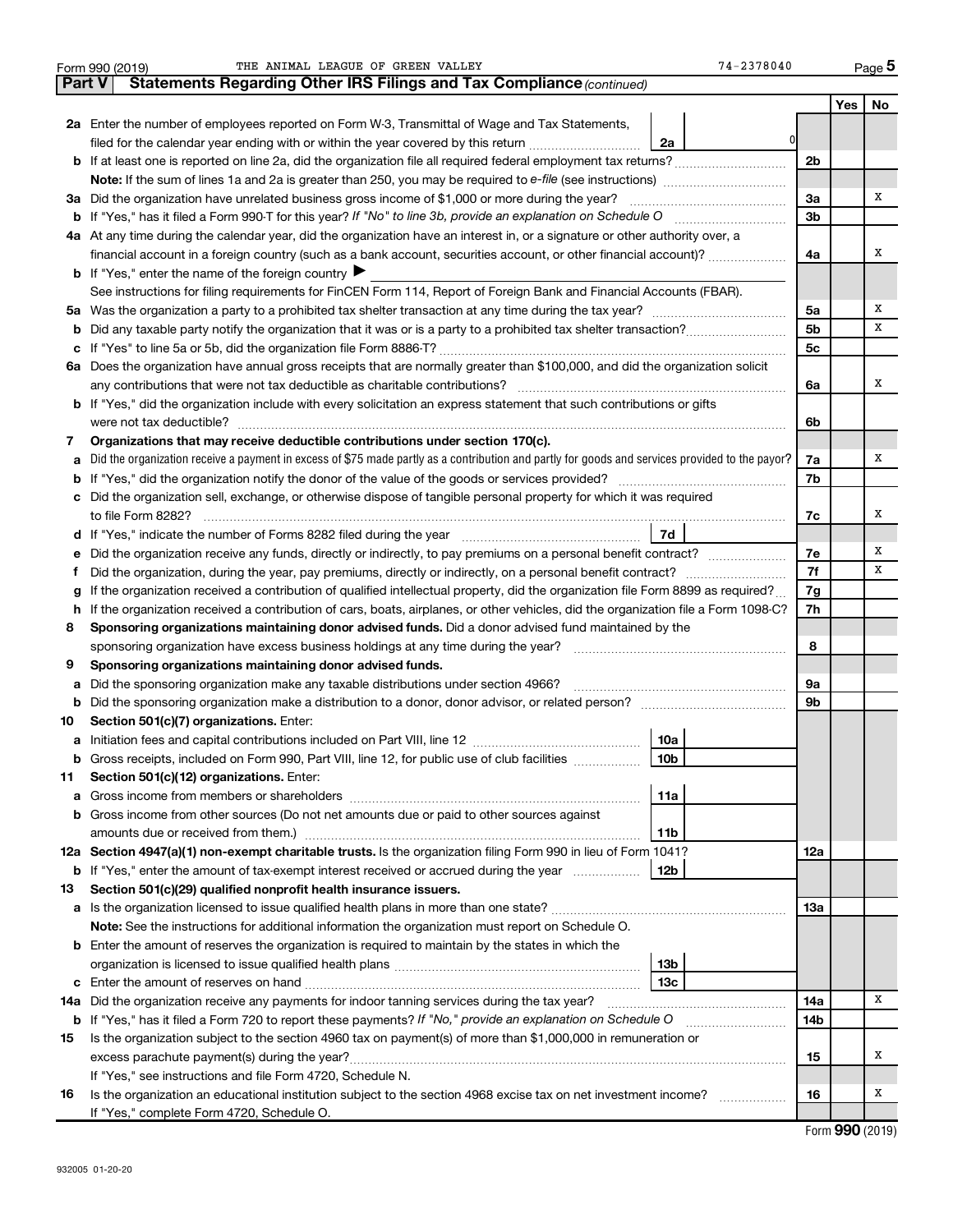|    | THE ANIMAL LEAGUE OF GREEN VALLEY<br>74-2378040<br>Form 990 (2019)                                                                                                                                                                    |                |     | Page 5 |  |
|----|---------------------------------------------------------------------------------------------------------------------------------------------------------------------------------------------------------------------------------------|----------------|-----|--------|--|
|    | Statements Regarding Other IRS Filings and Tax Compliance (continued)<br><b>Part V</b>                                                                                                                                                |                |     |        |  |
|    |                                                                                                                                                                                                                                       |                | Yes | No     |  |
|    | 2a Enter the number of employees reported on Form W-3, Transmittal of Wage and Tax Statements,                                                                                                                                        |                |     |        |  |
|    | 0<br>filed for the calendar year ending with or within the year covered by this return<br>2a                                                                                                                                          |                |     |        |  |
|    |                                                                                                                                                                                                                                       |                |     |        |  |
|    |                                                                                                                                                                                                                                       |                |     |        |  |
|    | 3a Did the organization have unrelated business gross income of \$1,000 or more during the year?                                                                                                                                      |                |     |        |  |
|    |                                                                                                                                                                                                                                       | 3b             |     |        |  |
|    | 4a At any time during the calendar year, did the organization have an interest in, or a signature or other authority over, a                                                                                                          |                |     |        |  |
|    | financial account in a foreign country (such as a bank account, securities account, or other financial account)?                                                                                                                      | 4a             |     | х      |  |
|    | <b>b</b> If "Yes," enter the name of the foreign country $\blacktriangleright$                                                                                                                                                        |                |     |        |  |
|    | See instructions for filing requirements for FinCEN Form 114, Report of Foreign Bank and Financial Accounts (FBAR).                                                                                                                   |                |     |        |  |
|    |                                                                                                                                                                                                                                       | 5a             |     | х      |  |
| b  |                                                                                                                                                                                                                                       | 5 <sub>b</sub> |     | x      |  |
|    |                                                                                                                                                                                                                                       | 5c             |     |        |  |
|    | 6a Does the organization have annual gross receipts that are normally greater than \$100,000, and did the organization solicit                                                                                                        |                |     |        |  |
|    |                                                                                                                                                                                                                                       | 6а             |     | x      |  |
|    | <b>b</b> If "Yes," did the organization include with every solicitation an express statement that such contributions or gifts                                                                                                         |                |     |        |  |
|    |                                                                                                                                                                                                                                       | 6b             |     |        |  |
| 7  | Organizations that may receive deductible contributions under section 170(c).                                                                                                                                                         |                |     |        |  |
| a  | Did the organization receive a payment in excess of \$75 made partly as a contribution and partly for goods and services provided to the payor?                                                                                       | 7a             |     | х      |  |
|    |                                                                                                                                                                                                                                       | 7b             |     |        |  |
|    | c Did the organization sell, exchange, or otherwise dispose of tangible personal property for which it was required                                                                                                                   |                |     |        |  |
|    |                                                                                                                                                                                                                                       | 7c             |     | х      |  |
|    |                                                                                                                                                                                                                                       |                |     |        |  |
| е  |                                                                                                                                                                                                                                       | 7е             |     | х      |  |
| f. |                                                                                                                                                                                                                                       | 7f             |     | x      |  |
|    | If the organization received a contribution of qualified intellectual property, did the organization file Form 8899 as required?                                                                                                      | 7g             |     |        |  |
|    | h If the organization received a contribution of cars, boats, airplanes, or other vehicles, did the organization file a Form 1098-C?                                                                                                  |                |     |        |  |
| 8  | Sponsoring organizations maintaining donor advised funds. Did a donor advised fund maintained by the                                                                                                                                  |                |     |        |  |
|    |                                                                                                                                                                                                                                       | 8              |     |        |  |
| 9  | Sponsoring organizations maintaining donor advised funds.                                                                                                                                                                             |                |     |        |  |
| а  | Did the sponsoring organization make any taxable distributions under section 4966?                                                                                                                                                    | 9а             |     |        |  |
| b  |                                                                                                                                                                                                                                       | 9b             |     |        |  |
| 10 | Section 501(c)(7) organizations. Enter:                                                                                                                                                                                               |                |     |        |  |
|    | 10a<br>a Initiation fees and capital contributions included on Part VIII, line 12 [111] [11] [12] [11] [12] [11] [12] [11] [12] [11] [12] [11] [12] [11] [12] [11] [12] [11] [12] [11] [12] [11] [12] [11] [12] [11] [12] [11] [12] [ |                |     |        |  |
|    | 10 <sub>b</sub><br>Gross receipts, included on Form 990, Part VIII, line 12, for public use of club facilities                                                                                                                        |                |     |        |  |
| 11 | Section 501(c)(12) organizations. Enter:                                                                                                                                                                                              |                |     |        |  |
| а  | 11a                                                                                                                                                                                                                                   |                |     |        |  |
|    | <b>b</b> Gross income from other sources (Do not net amounts due or paid to other sources against                                                                                                                                     |                |     |        |  |
|    | 11b                                                                                                                                                                                                                                   |                |     |        |  |
|    | 12a Section 4947(a)(1) non-exempt charitable trusts. Is the organization filing Form 990 in lieu of Form 1041?                                                                                                                        | 12a            |     |        |  |
|    | 12b<br><b>b</b> If "Yes," enter the amount of tax-exempt interest received or accrued during the year                                                                                                                                 |                |     |        |  |
| 13 | Section 501(c)(29) qualified nonprofit health insurance issuers.                                                                                                                                                                      |                |     |        |  |
|    | a Is the organization licensed to issue qualified health plans in more than one state?                                                                                                                                                | 13a            |     |        |  |
|    | Note: See the instructions for additional information the organization must report on Schedule O.                                                                                                                                     |                |     |        |  |
|    | <b>b</b> Enter the amount of reserves the organization is required to maintain by the states in which the                                                                                                                             |                |     |        |  |
|    | 13b                                                                                                                                                                                                                                   |                |     |        |  |
|    | 13 <sub>c</sub>                                                                                                                                                                                                                       |                |     |        |  |
|    | 14a Did the organization receive any payments for indoor tanning services during the tax year?                                                                                                                                        | 14a            |     | x      |  |
|    | <b>b</b> If "Yes," has it filed a Form 720 to report these payments? If "No," provide an explanation on Schedule O                                                                                                                    | 14b            |     |        |  |
| 15 | Is the organization subject to the section 4960 tax on payment(s) of more than \$1,000,000 in remuneration or                                                                                                                         |                |     |        |  |
|    | excess parachute payment(s) during the year?                                                                                                                                                                                          | 15             |     | х      |  |
|    | If "Yes," see instructions and file Form 4720, Schedule N.                                                                                                                                                                            |                |     |        |  |
| 16 | Is the organization an educational institution subject to the section 4968 excise tax on net investment income?                                                                                                                       | 16             |     | х      |  |
|    | If "Yes," complete Form 4720, Schedule O.                                                                                                                                                                                             |                |     |        |  |

Form (2019) **990**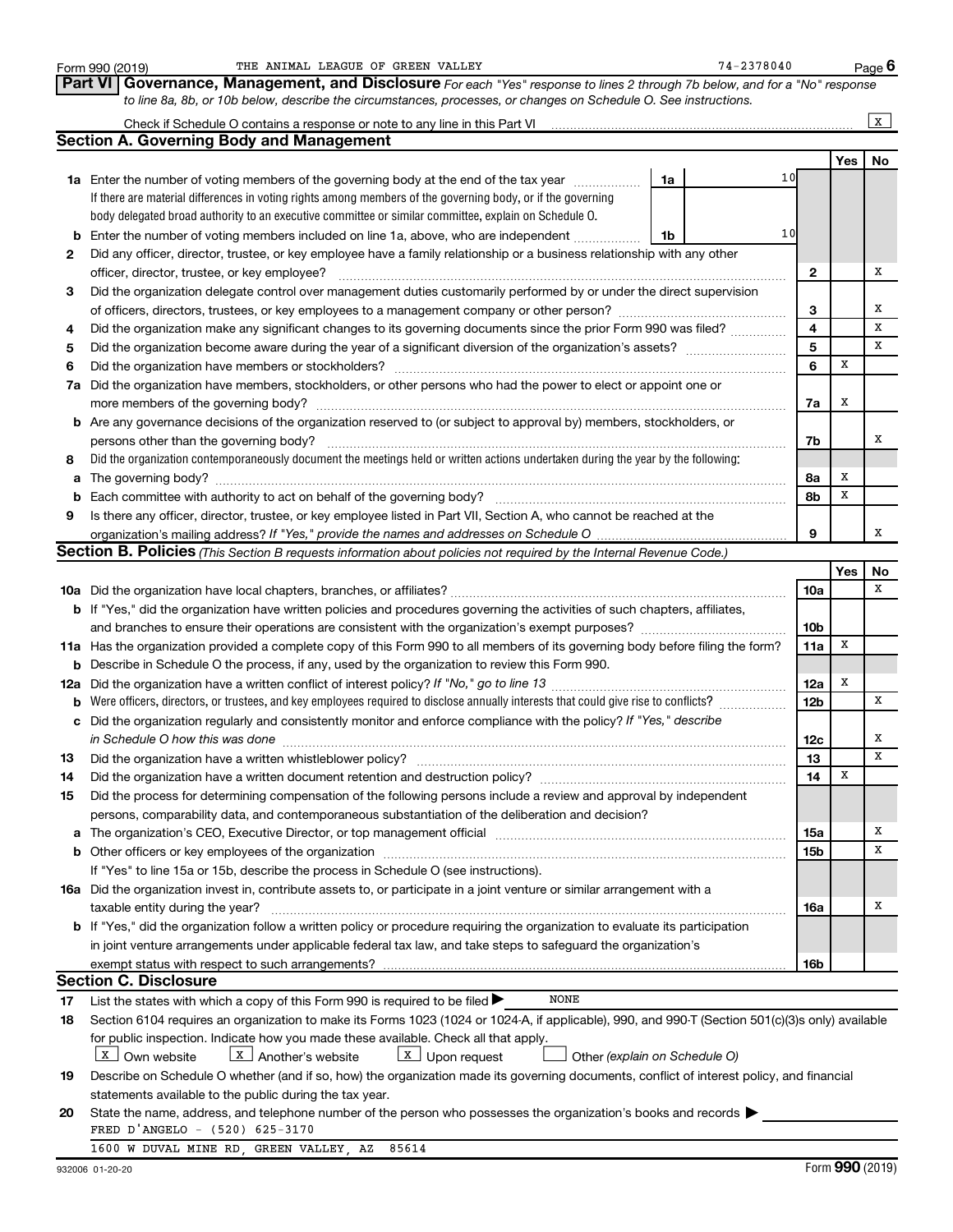|                | THE ANIMAL LEAGUE OF GREEN VALLEY<br>Form 990 (2019)                                                                                                                                                                           |    | $74 - 2378040$ |                 |            | Page 6       |
|----------------|--------------------------------------------------------------------------------------------------------------------------------------------------------------------------------------------------------------------------------|----|----------------|-----------------|------------|--------------|
| <b>Part VI</b> | Governance, Management, and Disclosure For each "Yes" response to lines 2 through 7b below, and for a "No" response                                                                                                            |    |                |                 |            |              |
|                | to line 8a, 8b, or 10b below, describe the circumstances, processes, or changes on Schedule O. See instructions.                                                                                                               |    |                |                 |            |              |
|                | Check if Schedule O contains a response or note to any line in this Part VI                                                                                                                                                    |    |                |                 |            | $\mathbf{x}$ |
|                | <b>Section A. Governing Body and Management</b>                                                                                                                                                                                |    |                |                 |            |              |
|                |                                                                                                                                                                                                                                |    |                |                 | <b>Yes</b> | No           |
|                | <b>1a</b> Enter the number of voting members of the governing body at the end of the tax year                                                                                                                                  | 1a | 10             |                 |            |              |
|                | If there are material differences in voting rights among members of the governing body, or if the governing                                                                                                                    |    |                |                 |            |              |
|                | body delegated broad authority to an executive committee or similar committee, explain on Schedule O.                                                                                                                          |    |                |                 |            |              |
|                | Enter the number of voting members included on line 1a, above, who are independent                                                                                                                                             | 1b | 10             |                 |            |              |
| 2              | Did any officer, director, trustee, or key employee have a family relationship or a business relationship with any other                                                                                                       |    |                |                 |            |              |
|                | officer, director, trustee, or key employee?                                                                                                                                                                                   |    |                | $\mathbf{2}$    |            | х            |
| 3              | Did the organization delegate control over management duties customarily performed by or under the direct supervision                                                                                                          |    |                |                 |            |              |
|                | of officers, directors, trustees, or key employees to a management company or other person?                                                                                                                                    |    |                | З               |            | х            |
| 4              | Did the organization make any significant changes to its governing documents since the prior Form 990 was filed?                                                                                                               |    |                | 4               |            | X            |
| 5              |                                                                                                                                                                                                                                |    |                | 5               |            | X            |
| 6              | Did the organization have members or stockholders?                                                                                                                                                                             |    |                | 6               | X          |              |
| 7a             | Did the organization have members, stockholders, or other persons who had the power to elect or appoint one or                                                                                                                 |    |                |                 |            |              |
|                |                                                                                                                                                                                                                                |    |                | 7a              | х          |              |
| b              | Are any governance decisions of the organization reserved to (or subject to approval by) members, stockholders, or                                                                                                             |    |                |                 |            |              |
|                | persons other than the governing body?                                                                                                                                                                                         |    |                | 7b              |            | х            |
|                | Did the organization contemporaneously document the meetings held or written actions undertaken during the year by the following:                                                                                              |    |                |                 |            |              |
| 8              |                                                                                                                                                                                                                                |    |                |                 | х          |              |
| а              | Each committee with authority to act on behalf of the governing body?                                                                                                                                                          |    |                | 8а<br>8b        | x          |              |
| b              |                                                                                                                                                                                                                                |    |                |                 |            |              |
| 9              | Is there any officer, director, trustee, or key employee listed in Part VII, Section A, who cannot be reached at the                                                                                                           |    |                | 9               |            | x            |
|                | organization's mailing address? If "Yes," provide the names and addresses on Schedule O                                                                                                                                        |    |                |                 |            |              |
|                | Section B. Policies (This Section B requests information about policies not required by the Internal Revenue Code.)                                                                                                            |    |                |                 |            |              |
|                |                                                                                                                                                                                                                                |    |                |                 | Yes        | No<br>x      |
|                |                                                                                                                                                                                                                                |    |                | 10a             |            |              |
|                | <b>b</b> If "Yes," did the organization have written policies and procedures governing the activities of such chapters, affiliates,                                                                                            |    |                |                 |            |              |
|                |                                                                                                                                                                                                                                |    |                | 10b             | X          |              |
|                | 11a Has the organization provided a complete copy of this Form 990 to all members of its governing body before filing the form?                                                                                                |    |                | 11a             |            |              |
| b              | Describe in Schedule O the process, if any, used by the organization to review this Form 990.                                                                                                                                  |    |                |                 |            |              |
| 12a            |                                                                                                                                                                                                                                |    |                | 12a             | х          |              |
| b              | Were officers, directors, or trustees, and key employees required to disclose annually interests that could give rise to conflicts?                                                                                            |    |                | 12 <sub>b</sub> |            | x            |
| с              | Did the organization regularly and consistently monitor and enforce compliance with the policy? If "Yes," describe                                                                                                             |    |                |                 |            |              |
|                | in Schedule O how this was done                                                                                                                                                                                                |    |                | 12c             |            | x            |
| 13             | Did the organization have a written whistleblower policy?                                                                                                                                                                      |    |                | 13              |            | x            |
| 14             |                                                                                                                                                                                                                                |    |                | 14              | х          |              |
| 15             | Did the process for determining compensation of the following persons include a review and approval by independent                                                                                                             |    |                |                 |            |              |
|                | persons, comparability data, and contemporaneous substantiation of the deliberation and decision?                                                                                                                              |    |                |                 |            |              |
| а              | The organization's CEO, Executive Director, or top management official manufacture content content of the organization's CEO, Executive Director, or top management official manufacture content of the original manufacture c |    |                | 15a             |            | х            |
| b              |                                                                                                                                                                                                                                |    |                | 15b             |            | X            |
|                | If "Yes" to line 15a or 15b, describe the process in Schedule O (see instructions).                                                                                                                                            |    |                |                 |            |              |
|                | 16a Did the organization invest in, contribute assets to, or participate in a joint venture or similar arrangement with a                                                                                                      |    |                |                 |            |              |
|                | taxable entity during the year?                                                                                                                                                                                                |    |                | 16a             |            | х            |
|                | b If "Yes," did the organization follow a written policy or procedure requiring the organization to evaluate its participation                                                                                                 |    |                |                 |            |              |
|                | in joint venture arrangements under applicable federal tax law, and take steps to safeguard the organization's                                                                                                                 |    |                |                 |            |              |
|                | exempt status with respect to such arrangements?                                                                                                                                                                               |    |                | 16b             |            |              |
|                | <b>Section C. Disclosure</b>                                                                                                                                                                                                   |    |                |                 |            |              |
| 17             | NONE<br>List the states with which a copy of this Form 990 is required to be filed >                                                                                                                                           |    |                |                 |            |              |
| 18             | Section 6104 requires an organization to make its Forms 1023 (1024 or 1024-A, if applicable), 990, and 990-T (Section 501(c)(3)s only) available                                                                               |    |                |                 |            |              |
|                | for public inspection. Indicate how you made these available. Check all that apply.                                                                                                                                            |    |                |                 |            |              |
|                | $\boxed{\text{x}}$ Upon request<br>  X   Own website<br>  X   Another's website<br>Other (explain on Schedule O)                                                                                                               |    |                |                 |            |              |
| 19             | Describe on Schedule O whether (and if so, how) the organization made its governing documents, conflict of interest policy, and financial                                                                                      |    |                |                 |            |              |
|                | statements available to the public during the tax year.                                                                                                                                                                        |    |                |                 |            |              |
| 20             | State the name, address, and telephone number of the person who possesses the organization's books and records                                                                                                                 |    |                |                 |            |              |
|                | FRED D'ANGELO - (520) 625-3170                                                                                                                                                                                                 |    |                |                 |            |              |
|                | 1600 W DUVAL MINE RD, GREEN VALLEY, AZ 85614                                                                                                                                                                                   |    |                |                 |            |              |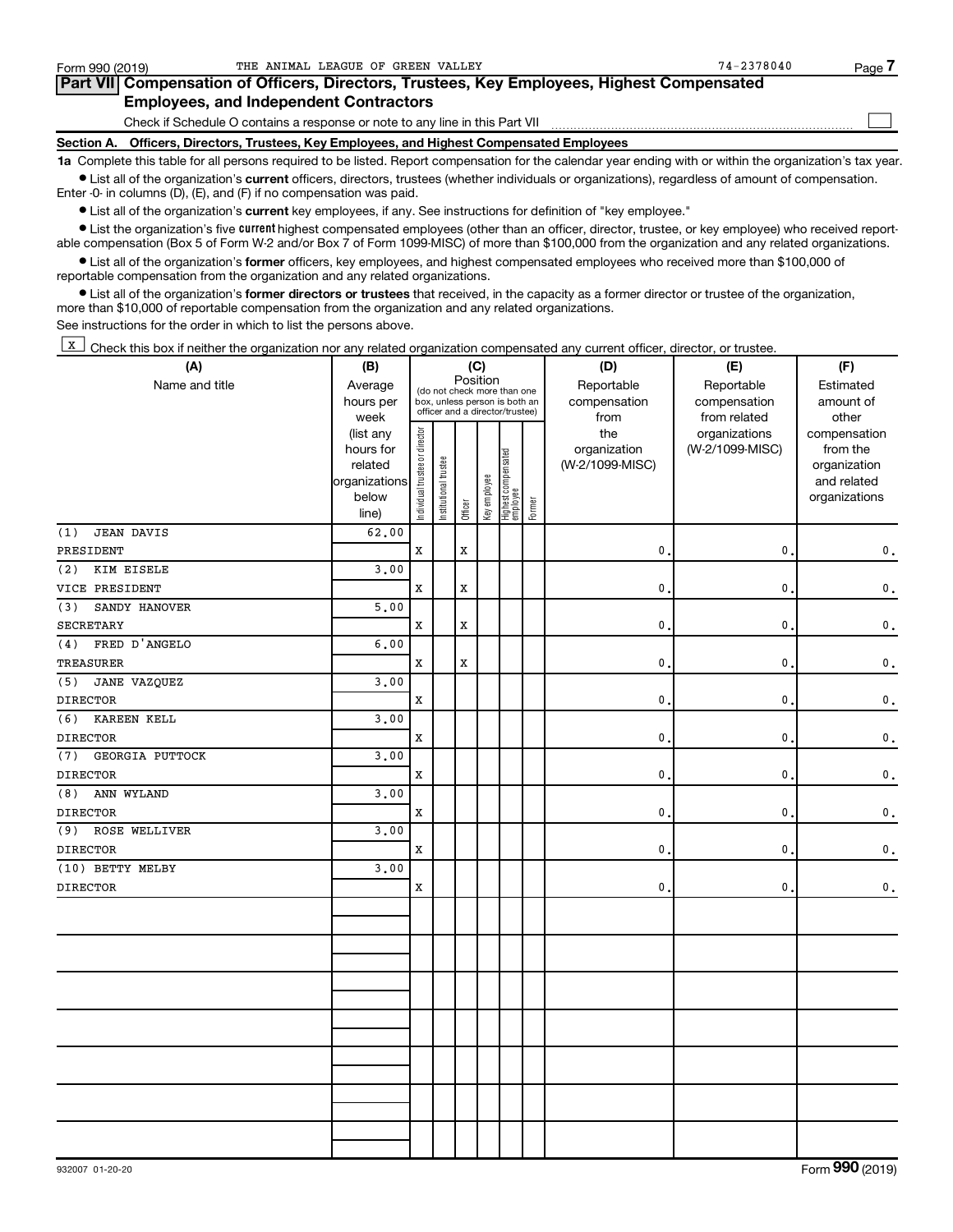| Form 990 (2019) |                                                                              | THE ANIMAL LEAGUE OF GREEN VALLEY                                                          | $74 - 2378040$ | Page 7 |
|-----------------|------------------------------------------------------------------------------|--------------------------------------------------------------------------------------------|----------------|--------|
|                 |                                                                              | Part VII Compensation of Officers, Directors, Trustees, Key Employees, Highest Compensated |                |        |
|                 | <b>Employees, and Independent Contractors</b>                                |                                                                                            |                |        |
|                 | Check if Schedule O contains a response or note to any line in this Part VII |                                                                                            |                |        |
|                 |                                                                              | Section A. Officers, Directors, Trustees, Key Employees, and Highest Compensated Employees |                |        |
|                 |                                                                              |                                                                                            |                |        |

**1a**  Complete this table for all persons required to be listed. Report compensation for the calendar year ending with or within the organization's tax year.  $\bullet$  List all of the organization's current officers, directors, trustees (whether individuals or organizations), regardless of amount of compensation.

Enter -0- in columns (D), (E), and (F) if no compensation was paid.

**•** List all of the organization's current key employees, if any. See instructions for definition of "key employee."

• List the organization's five *current* highest compensated employees (other than an officer, director, trustee, or key employee) who received reportable compensation (Box 5 of Form W-2 and/or Box 7 of Form 1099-MISC) of more than \$100,000 from the organization and any related organizations.

 $\bullet$  List all of the organization's former officers, key employees, and highest compensated employees who received more than \$100,000 of reportable compensation from the organization and any related organizations.

**•** List all of the organization's former directors or trustees that received, in the capacity as a former director or trustee of the organization, more than \$10,000 of reportable compensation from the organization and any related organizations.

See instructions for the order in which to list the persons above.

K Check this box if neither the organization nor any related organization compensated any current officer, director, or trustee.

| (A)                      | (B)                  | (C)                            |                                                                  |             |              |                                 |        | (D)                             | (E)             | (F)                      |  |  |
|--------------------------|----------------------|--------------------------------|------------------------------------------------------------------|-------------|--------------|---------------------------------|--------|---------------------------------|-----------------|--------------------------|--|--|
| Name and title           | Average              |                                | (do not check more than one                                      | Position    |              |                                 |        | Reportable                      | Reportable      | Estimated                |  |  |
|                          | hours per            |                                | box, unless person is both an<br>officer and a director/trustee) |             |              |                                 |        | compensation                    | compensation    | amount of                |  |  |
|                          | week                 |                                |                                                                  |             |              |                                 |        | from                            | from related    | other                    |  |  |
|                          | (list any            |                                |                                                                  |             |              |                                 |        | the                             | organizations   | compensation             |  |  |
|                          | hours for<br>related |                                |                                                                  |             |              |                                 |        | organization<br>(W-2/1099-MISC) | (W-2/1099-MISC) | from the<br>organization |  |  |
|                          | organizations        |                                |                                                                  |             |              |                                 |        |                                 |                 | and related              |  |  |
|                          | below                |                                |                                                                  |             |              |                                 |        |                                 |                 | organizations            |  |  |
|                          | line)                | Individual trustee or director | Institutional trustee                                            | Officer     | Key employee | Highest compensated<br>employee | Former |                                 |                 |                          |  |  |
| <b>JEAN DAVIS</b><br>(1) | 62.00                |                                |                                                                  |             |              |                                 |        |                                 |                 |                          |  |  |
| PRESIDENT                |                      | X                              |                                                                  | $\mathbf x$ |              |                                 |        | $\mathbf{0}$ .                  | 0               | 0.                       |  |  |
| KIM EISELE<br>(2)        | 3,00                 |                                |                                                                  |             |              |                                 |        |                                 |                 |                          |  |  |
| VICE PRESIDENT           |                      | X                              |                                                                  | X           |              |                                 |        | $\mathbf{0}$ .                  | 0               | 0.                       |  |  |
| SANDY HANOVER<br>(3)     | 5.00                 |                                |                                                                  |             |              |                                 |        |                                 |                 |                          |  |  |
| SECRETARY                |                      | X                              |                                                                  | X           |              |                                 |        | 0.                              | 0               | 0.                       |  |  |
| FRED D'ANGELO<br>(4)     | 6,00                 |                                |                                                                  |             |              |                                 |        |                                 |                 |                          |  |  |
| <b>TREASURER</b>         |                      | $\mathbf x$                    |                                                                  | $\mathbf x$ |              |                                 |        | $\mathbf{0}$                    | 0               | $\mathbf 0$ .            |  |  |
| JANE VAZQUEZ<br>(5)      | 3.00                 |                                |                                                                  |             |              |                                 |        |                                 |                 |                          |  |  |
| <b>DIRECTOR</b>          |                      | $\mathbf x$                    |                                                                  |             |              |                                 |        | 0.                              | $\mathbf{0}$    | $\mathbf 0$ .            |  |  |
| (6)<br>KAREEN KELL       | 3.00                 |                                |                                                                  |             |              |                                 |        |                                 |                 |                          |  |  |
| <b>DIRECTOR</b>          |                      | X                              |                                                                  |             |              |                                 |        | 0.                              | 0               | 0.                       |  |  |
| (7)<br>GEORGIA PUTTOCK   | 3,00                 |                                |                                                                  |             |              |                                 |        |                                 |                 |                          |  |  |
| <b>DIRECTOR</b>          |                      | $\mathbf x$                    |                                                                  |             |              |                                 |        | $\mathbf{0}$ .                  | 0               | 0.                       |  |  |
| ANN WYLAND<br>(8)        | 3.00                 |                                |                                                                  |             |              |                                 |        |                                 |                 |                          |  |  |
| <b>DIRECTOR</b>          |                      | $\mathbf x$                    |                                                                  |             |              |                                 |        | $\mathbf{0}$ .                  | 0               | 0.                       |  |  |
| ROSE WELLIVER<br>(9)     | 3,00                 |                                |                                                                  |             |              |                                 |        |                                 |                 |                          |  |  |
| <b>DIRECTOR</b>          |                      | X                              |                                                                  |             |              |                                 |        | $\mathbf{0}$ .                  | 0               | $\mathbf 0$ .            |  |  |
| (10) BETTY MELBY         | 3,00                 |                                |                                                                  |             |              |                                 |        |                                 |                 |                          |  |  |
| <b>DIRECTOR</b>          |                      | X                              |                                                                  |             |              |                                 |        | $\mathbf{0}$ .                  | 0               | 0.                       |  |  |
|                          |                      |                                |                                                                  |             |              |                                 |        |                                 |                 |                          |  |  |
|                          |                      |                                |                                                                  |             |              |                                 |        |                                 |                 |                          |  |  |
|                          |                      |                                |                                                                  |             |              |                                 |        |                                 |                 |                          |  |  |
|                          |                      |                                |                                                                  |             |              |                                 |        |                                 |                 |                          |  |  |
|                          |                      |                                |                                                                  |             |              |                                 |        |                                 |                 |                          |  |  |
|                          |                      |                                |                                                                  |             |              |                                 |        |                                 |                 |                          |  |  |
|                          |                      |                                |                                                                  |             |              |                                 |        |                                 |                 |                          |  |  |
|                          |                      |                                |                                                                  |             |              |                                 |        |                                 |                 |                          |  |  |
|                          |                      |                                |                                                                  |             |              |                                 |        |                                 |                 |                          |  |  |
|                          |                      |                                |                                                                  |             |              |                                 |        |                                 |                 |                          |  |  |
|                          |                      |                                |                                                                  |             |              |                                 |        |                                 |                 |                          |  |  |
|                          |                      |                                |                                                                  |             |              |                                 |        |                                 |                 |                          |  |  |
|                          |                      |                                |                                                                  |             |              |                                 |        |                                 |                 |                          |  |  |
|                          |                      |                                |                                                                  |             |              |                                 |        |                                 |                 |                          |  |  |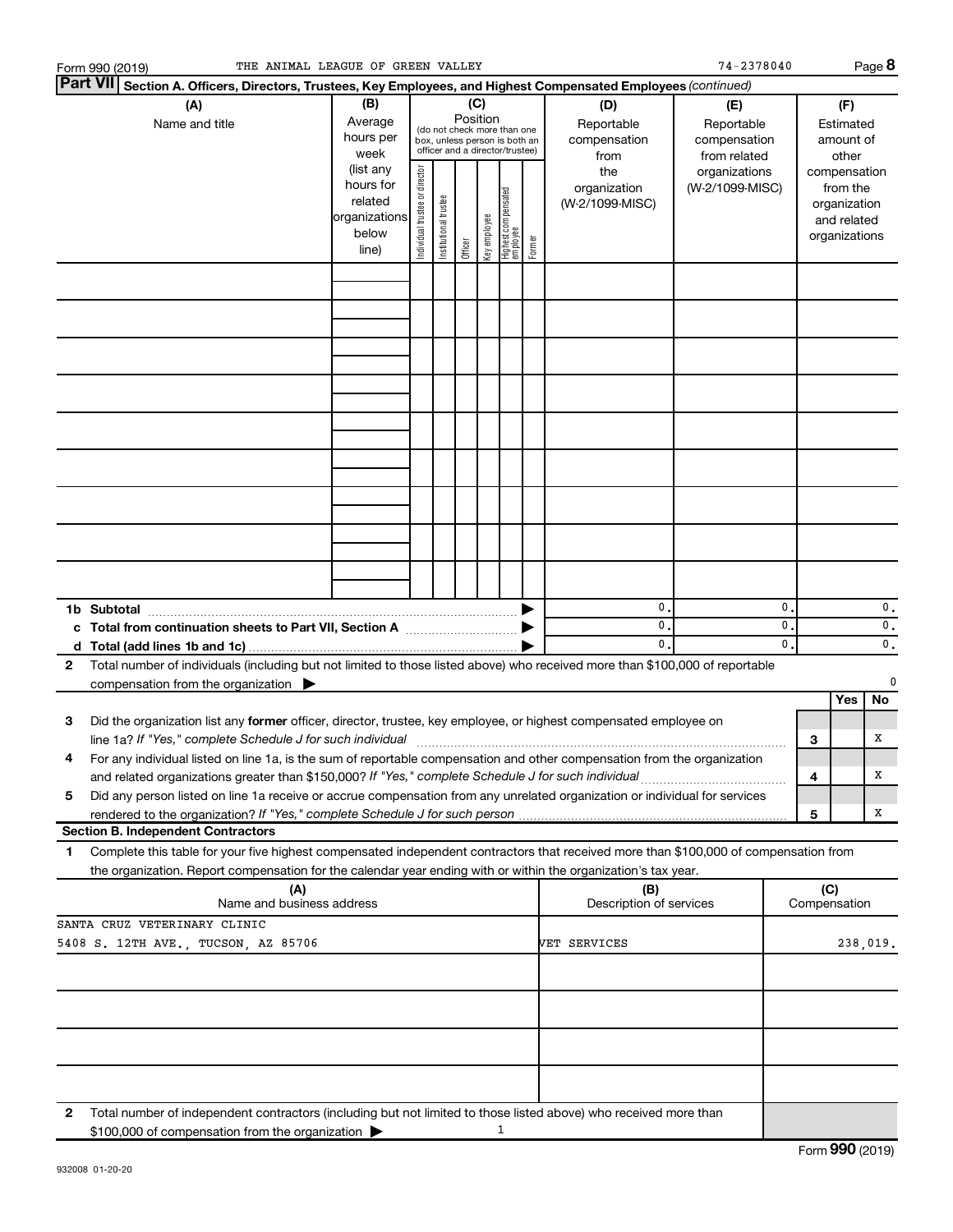| THE ANIMAL LEAGUE OF GREEN VALLEY<br>Form 990 (2019)                                                                                                                                                                                                                      |                                                                      |                                                                                                                    |                       |         |              |                                   |        |                                           | 74-2378040                                        |                      |   |                                                                          | Page 8              |
|---------------------------------------------------------------------------------------------------------------------------------------------------------------------------------------------------------------------------------------------------------------------------|----------------------------------------------------------------------|--------------------------------------------------------------------------------------------------------------------|-----------------------|---------|--------------|-----------------------------------|--------|-------------------------------------------|---------------------------------------------------|----------------------|---|--------------------------------------------------------------------------|---------------------|
| <b>Part VII</b><br>Section A. Officers, Directors, Trustees, Key Employees, and Highest Compensated Employees (continued)                                                                                                                                                 |                                                                      |                                                                                                                    |                       |         |              |                                   |        |                                           |                                                   |                      |   |                                                                          |                     |
| (A)<br>Name and title                                                                                                                                                                                                                                                     | (B)<br>Average<br>hours per<br>week                                  | (C)<br>Position<br>(do not check more than one<br>box, unless person is both an<br>officer and a director/trustee) |                       |         |              |                                   |        | (D)<br>Reportable<br>compensation<br>from | (E)<br>Reportable<br>compensation<br>from related |                      |   | (F)<br>Estimated<br>amount of<br>other                                   |                     |
|                                                                                                                                                                                                                                                                           | (list any<br>hours for<br>related<br>organizations<br>below<br>line) | Individual trustee or director                                                                                     | Institutional trustee | Officer | Key employee | Highest compensated<br>  employee | Former | the<br>organization<br>(W-2/1099-MISC)    | organizations<br>(W-2/1099-MISC)                  |                      |   | compensation<br>from the<br>organization<br>and related<br>organizations |                     |
|                                                                                                                                                                                                                                                                           |                                                                      |                                                                                                                    |                       |         |              |                                   |        |                                           |                                                   |                      |   |                                                                          |                     |
|                                                                                                                                                                                                                                                                           |                                                                      |                                                                                                                    |                       |         |              |                                   |        |                                           |                                                   |                      |   |                                                                          |                     |
|                                                                                                                                                                                                                                                                           |                                                                      |                                                                                                                    |                       |         |              |                                   |        |                                           |                                                   |                      |   |                                                                          |                     |
|                                                                                                                                                                                                                                                                           |                                                                      |                                                                                                                    |                       |         |              |                                   |        |                                           |                                                   |                      |   |                                                                          |                     |
|                                                                                                                                                                                                                                                                           |                                                                      |                                                                                                                    |                       |         |              |                                   |        |                                           |                                                   |                      |   |                                                                          |                     |
|                                                                                                                                                                                                                                                                           |                                                                      |                                                                                                                    |                       |         |              |                                   |        |                                           |                                                   |                      |   |                                                                          |                     |
|                                                                                                                                                                                                                                                                           |                                                                      |                                                                                                                    |                       |         |              |                                   |        |                                           |                                                   |                      |   |                                                                          |                     |
|                                                                                                                                                                                                                                                                           |                                                                      |                                                                                                                    |                       |         |              |                                   |        |                                           |                                                   |                      |   |                                                                          |                     |
|                                                                                                                                                                                                                                                                           |                                                                      |                                                                                                                    |                       |         |              |                                   |        |                                           |                                                   |                      |   |                                                                          |                     |
|                                                                                                                                                                                                                                                                           |                                                                      |                                                                                                                    |                       |         |              |                                   |        |                                           |                                                   |                      |   |                                                                          |                     |
| 1b Subtotal                                                                                                                                                                                                                                                               |                                                                      |                                                                                                                    |                       |         |              |                                   |        | 0.<br>$\mathbf{0}$ .                      |                                                   | 0.<br>$\mathbf{0}$ . |   |                                                                          | $\mathbf 0$ .       |
| c Total from continuation sheets to Part VII, Section A manufactured by                                                                                                                                                                                                   |                                                                      |                                                                                                                    |                       |         |              |                                   |        | $\mathbf{0}$ .                            |                                                   | 0.                   |   |                                                                          | 0.<br>$\mathbf 0$ . |
| Total number of individuals (including but not limited to those listed above) who received more than \$100,000 of reportable<br>2                                                                                                                                         |                                                                      |                                                                                                                    |                       |         |              |                                   |        |                                           |                                                   |                      |   |                                                                          |                     |
| compensation from the organization $\blacktriangleright$                                                                                                                                                                                                                  |                                                                      |                                                                                                                    |                       |         |              |                                   |        |                                           |                                                   |                      |   | <b>Yes</b>                                                               | $\mathbf 0$<br>No.  |
| Did the organization list any former officer, director, trustee, key employee, or highest compensated employee on<br>3                                                                                                                                                    |                                                                      |                                                                                                                    |                       |         |              |                                   |        |                                           |                                                   |                      |   |                                                                          |                     |
| line 1a? If "Yes," complete Schedule J for such individual [11] manufacture manufacture 1a? If "Yes," complete Schedule J for such individual<br>For any individual listed on line 1a, is the sum of reportable compensation and other compensation from the organization |                                                                      |                                                                                                                    |                       |         |              |                                   |        |                                           |                                                   |                      | 3 |                                                                          | х                   |
| Did any person listed on line 1a receive or accrue compensation from any unrelated organization or individual for services<br>5                                                                                                                                           |                                                                      |                                                                                                                    |                       |         |              |                                   |        |                                           |                                                   |                      | 4 |                                                                          | х                   |
|                                                                                                                                                                                                                                                                           |                                                                      |                                                                                                                    |                       |         |              |                                   |        |                                           |                                                   |                      | 5 |                                                                          | х                   |
| <b>Section B. Independent Contractors</b>                                                                                                                                                                                                                                 |                                                                      |                                                                                                                    |                       |         |              |                                   |        |                                           |                                                   |                      |   |                                                                          |                     |
| Complete this table for your five highest compensated independent contractors that received more than \$100,000 of compensation from<br>1<br>the organization. Report compensation for the calendar year ending with or within the organization's tax year.               |                                                                      |                                                                                                                    |                       |         |              |                                   |        |                                           |                                                   |                      |   |                                                                          |                     |
| (A)<br>Name and business address                                                                                                                                                                                                                                          |                                                                      |                                                                                                                    |                       |         |              |                                   |        | (B)<br>Description of services            |                                                   |                      |   | (C)<br>Compensation                                                      |                     |
| SANTA CRUZ VETERINARY CLINIC<br>5408 S. 12TH AVE., TUCSON, AZ 85706                                                                                                                                                                                                       |                                                                      |                                                                                                                    |                       |         |              |                                   |        | VET SERVICES                              |                                                   |                      |   |                                                                          | 238,019.            |
|                                                                                                                                                                                                                                                                           |                                                                      |                                                                                                                    |                       |         |              |                                   |        |                                           |                                                   |                      |   |                                                                          |                     |
|                                                                                                                                                                                                                                                                           |                                                                      |                                                                                                                    |                       |         |              |                                   |        |                                           |                                                   |                      |   |                                                                          |                     |
|                                                                                                                                                                                                                                                                           |                                                                      |                                                                                                                    |                       |         |              |                                   |        |                                           |                                                   |                      |   |                                                                          |                     |
|                                                                                                                                                                                                                                                                           |                                                                      |                                                                                                                    |                       |         |              |                                   |        |                                           |                                                   |                      |   |                                                                          |                     |
| 2<br>Total number of independent contractors (including but not limited to those listed above) who received more than                                                                                                                                                     |                                                                      |                                                                                                                    |                       |         |              |                                   |        |                                           |                                                   |                      |   |                                                                          |                     |
| \$100,000 of compensation from the organization                                                                                                                                                                                                                           |                                                                      |                                                                                                                    |                       |         |              | 1                                 |        |                                           |                                                   |                      |   |                                                                          |                     |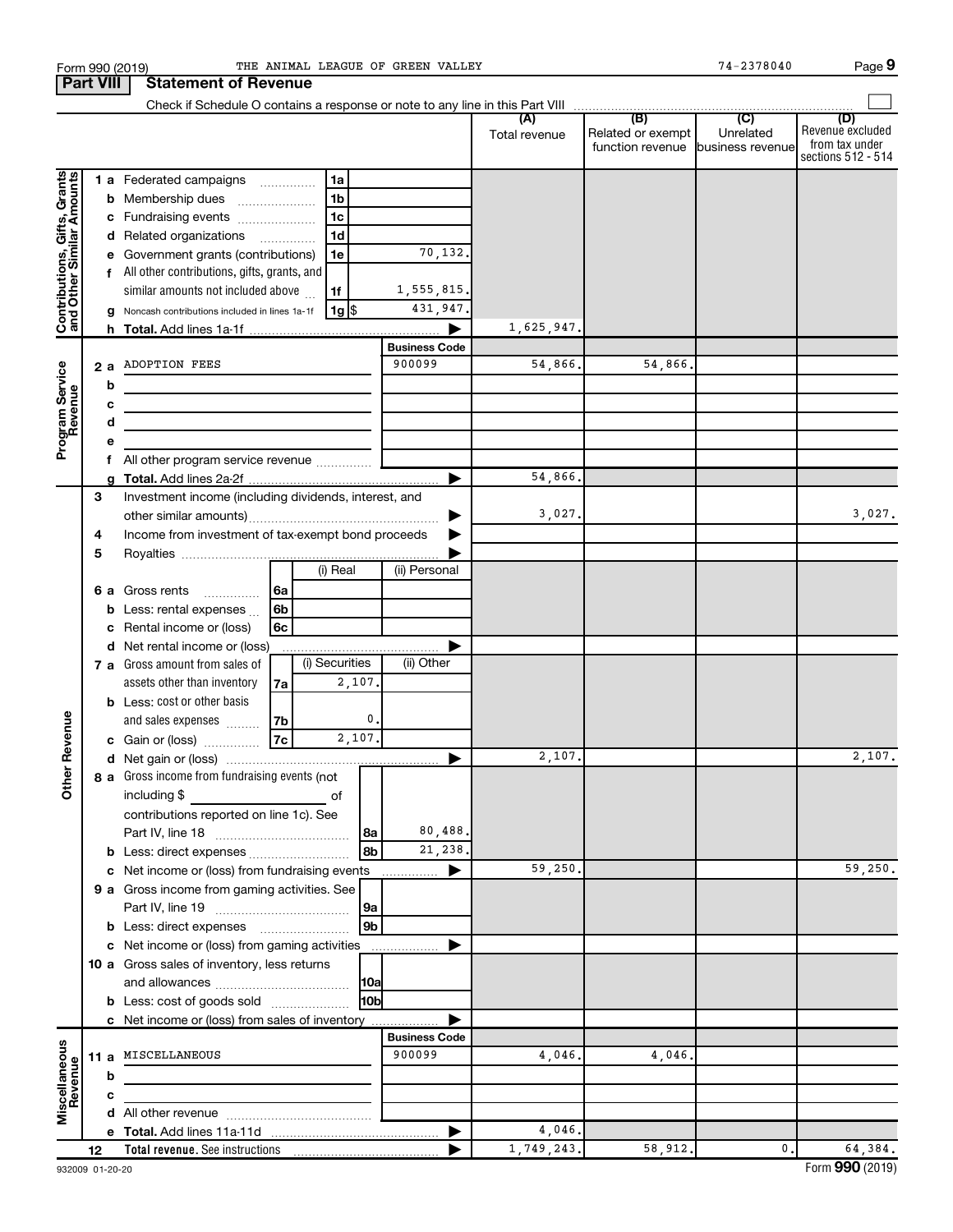|                                               |    |   | Form 990 (2019)                                                                                                      |      |                |                 | THE ANIMAL LEAGUE OF GREEN VALLEY |               |                                       | 74-2378040                    | Page 9                  |
|-----------------------------------------------|----|---|----------------------------------------------------------------------------------------------------------------------|------|----------------|-----------------|-----------------------------------|---------------|---------------------------------------|-------------------------------|-------------------------|
| <b>Part VIII</b>                              |    |   | <b>Statement of Revenue</b>                                                                                          |      |                |                 |                                   |               |                                       |                               |                         |
|                                               |    |   |                                                                                                                      |      |                |                 |                                   |               |                                       |                               |                         |
|                                               |    |   |                                                                                                                      |      |                |                 |                                   | (A)           | (B)                                   | $\overline{C}$                | (D)<br>Revenue excluded |
|                                               |    |   |                                                                                                                      |      |                |                 |                                   | Total revenue | Related or exempt<br>function revenue | Unrelated<br>business revenue | from tax under          |
|                                               |    |   |                                                                                                                      |      |                |                 |                                   |               |                                       |                               | sections 512 - 514      |
|                                               |    |   | 1 a Federated campaigns                                                                                              |      | 1a             |                 |                                   |               |                                       |                               |                         |
| , Grants<br>\mounts                           |    |   | <b>b</b> Membership dues                                                                                             |      | 1 <sub>b</sub> |                 |                                   |               |                                       |                               |                         |
|                                               |    |   | c Fundraising events                                                                                                 |      | 1 <sub>c</sub> |                 |                                   |               |                                       |                               |                         |
|                                               |    |   | d Related organizations                                                                                              |      | 1 <sub>d</sub> |                 |                                   |               |                                       |                               |                         |
|                                               |    |   | e Government grants (contributions)                                                                                  |      | 1e             |                 | 70,132.                           |               |                                       |                               |                         |
|                                               |    |   |                                                                                                                      |      |                |                 |                                   |               |                                       |                               |                         |
|                                               |    |   | f All other contributions, gifts, grants, and                                                                        |      |                |                 |                                   |               |                                       |                               |                         |
|                                               |    |   | similar amounts not included above                                                                                   |      | 1f             |                 | 1,555,815.                        |               |                                       |                               |                         |
| Contributions, Gifts,<br>and Other Similar Ar |    |   | g Noncash contributions included in lines 1a-1f                                                                      |      | 1g  \$         |                 | 431,947.                          |               |                                       |                               |                         |
|                                               |    |   |                                                                                                                      |      |                |                 |                                   | 1,625,947.    |                                       |                               |                         |
|                                               |    |   |                                                                                                                      |      |                |                 | <b>Business Code</b>              |               |                                       |                               |                         |
|                                               |    |   | 2 a ADOPTION FEES                                                                                                    |      |                |                 | 900099                            | 54,866.       | 54,866.                               |                               |                         |
|                                               |    | b | <u> 1980 - Johann Barnett, fransk politiker (</u>                                                                    |      |                |                 |                                   |               |                                       |                               |                         |
|                                               |    | c | <u> 1989 - Johann John Stein, markin fan it ferstjer fan de ferstjer fan it ferstjer fan it ferstjer fan it fers</u> |      |                |                 |                                   |               |                                       |                               |                         |
| Program Service<br>Revenue                    |    | d | the control of the control of the control of the control of the control of                                           |      |                |                 |                                   |               |                                       |                               |                         |
|                                               |    |   |                                                                                                                      |      |                |                 |                                   |               |                                       |                               |                         |
|                                               |    |   | f All other program service revenue                                                                                  |      |                |                 |                                   |               |                                       |                               |                         |
|                                               |    |   |                                                                                                                      |      |                |                 |                                   | 54,866.       |                                       |                               |                         |
|                                               | 3  |   | Investment income (including dividends, interest, and                                                                |      |                |                 |                                   |               |                                       |                               |                         |
|                                               |    |   |                                                                                                                      |      |                |                 |                                   | 3,027.        |                                       |                               | 3,027.                  |
|                                               |    |   | Income from investment of tax-exempt bond proceeds                                                                   |      |                |                 |                                   |               |                                       |                               |                         |
|                                               | 4  |   |                                                                                                                      |      |                |                 |                                   |               |                                       |                               |                         |
|                                               | 5  |   |                                                                                                                      |      | (i) Real       |                 | (ii) Personal                     |               |                                       |                               |                         |
|                                               |    |   |                                                                                                                      |      |                |                 |                                   |               |                                       |                               |                         |
|                                               |    |   | 6 a Gross rents                                                                                                      | l 6a |                |                 |                                   |               |                                       |                               |                         |
|                                               |    |   | <b>b</b> Less: rental expenses $\ldots$                                                                              | 6b   |                |                 |                                   |               |                                       |                               |                         |
|                                               |    |   | Rental income or (loss)                                                                                              | 6c   |                |                 |                                   |               |                                       |                               |                         |
|                                               |    |   | d Net rental income or (loss)                                                                                        |      |                |                 |                                   |               |                                       |                               |                         |
|                                               |    |   | <b>7 a</b> Gross amount from sales of                                                                                |      | (i) Securities |                 | (ii) Other                        |               |                                       |                               |                         |
|                                               |    |   | assets other than inventory                                                                                          | 7a   |                | 2,107.          |                                   |               |                                       |                               |                         |
|                                               |    |   | <b>b</b> Less: cost or other basis                                                                                   |      |                |                 |                                   |               |                                       |                               |                         |
|                                               |    |   | and sales expenses                                                                                                   | 7b   |                | 0.              |                                   |               |                                       |                               |                         |
| evenue                                        |    |   | c Gain or (loss)                                                                                                     | 7c   |                | 2,107.          |                                   |               |                                       |                               |                         |
|                                               |    |   |                                                                                                                      |      |                |                 |                                   | 2,107.        |                                       |                               | 2,107.                  |
| Other <sub>R</sub>                            |    |   | 8 a Gross income from fundraising events (not                                                                        |      |                |                 |                                   |               |                                       |                               |                         |
|                                               |    |   | including \$                                                                                                         |      | of             |                 |                                   |               |                                       |                               |                         |
|                                               |    |   | contributions reported on line 1c). See                                                                              |      |                |                 |                                   |               |                                       |                               |                         |
|                                               |    |   |                                                                                                                      |      |                | 8a              | 80,488.                           |               |                                       |                               |                         |
|                                               |    |   |                                                                                                                      |      |                | 8 <sub>b</sub>  | 21,238.                           |               |                                       |                               |                         |
|                                               |    |   |                                                                                                                      |      |                |                 |                                   |               |                                       |                               | 59,250.                 |
|                                               |    |   | c Net income or (loss) from fundraising events                                                                       |      |                |                 | ▶                                 | 59,250.       |                                       |                               |                         |
|                                               |    |   | 9 a Gross income from gaming activities. See                                                                         |      |                |                 |                                   |               |                                       |                               |                         |
|                                               |    |   |                                                                                                                      |      |                | 9a              |                                   |               |                                       |                               |                         |
|                                               |    |   |                                                                                                                      |      |                | 9 <sub>b</sub>  |                                   |               |                                       |                               |                         |
|                                               |    |   | c Net income or (loss) from gaming activities                                                                        |      |                |                 |                                   |               |                                       |                               |                         |
|                                               |    |   | 10 a Gross sales of inventory, less returns                                                                          |      |                |                 |                                   |               |                                       |                               |                         |
|                                               |    |   |                                                                                                                      |      |                | 10a             |                                   |               |                                       |                               |                         |
|                                               |    |   | <b>b</b> Less: cost of goods sold                                                                                    |      |                | 10 <sub>b</sub> |                                   |               |                                       |                               |                         |
|                                               |    |   | c Net income or (loss) from sales of inventory                                                                       |      |                |                 |                                   |               |                                       |                               |                         |
|                                               |    |   |                                                                                                                      |      |                |                 | <b>Business Code</b>              |               |                                       |                               |                         |
|                                               |    |   | 11 a MISCELLANEOUS                                                                                                   |      |                |                 | 900099                            | 4,046.        | 4,046.                                |                               |                         |
| Miscellaneous<br>Revenue                      |    | b |                                                                                                                      |      |                |                 |                                   |               |                                       |                               |                         |
|                                               |    | с |                                                                                                                      |      |                |                 |                                   |               |                                       |                               |                         |
|                                               |    |   |                                                                                                                      |      |                |                 |                                   |               |                                       |                               |                         |
|                                               |    |   |                                                                                                                      |      |                |                 |                                   | 4,046.        |                                       |                               |                         |
|                                               |    |   |                                                                                                                      |      |                |                 |                                   | 1,749,243.    | 58,912.                               | $\mathfrak{o}$ .              | 64,384.                 |
|                                               | 12 |   |                                                                                                                      |      |                |                 |                                   |               |                                       |                               |                         |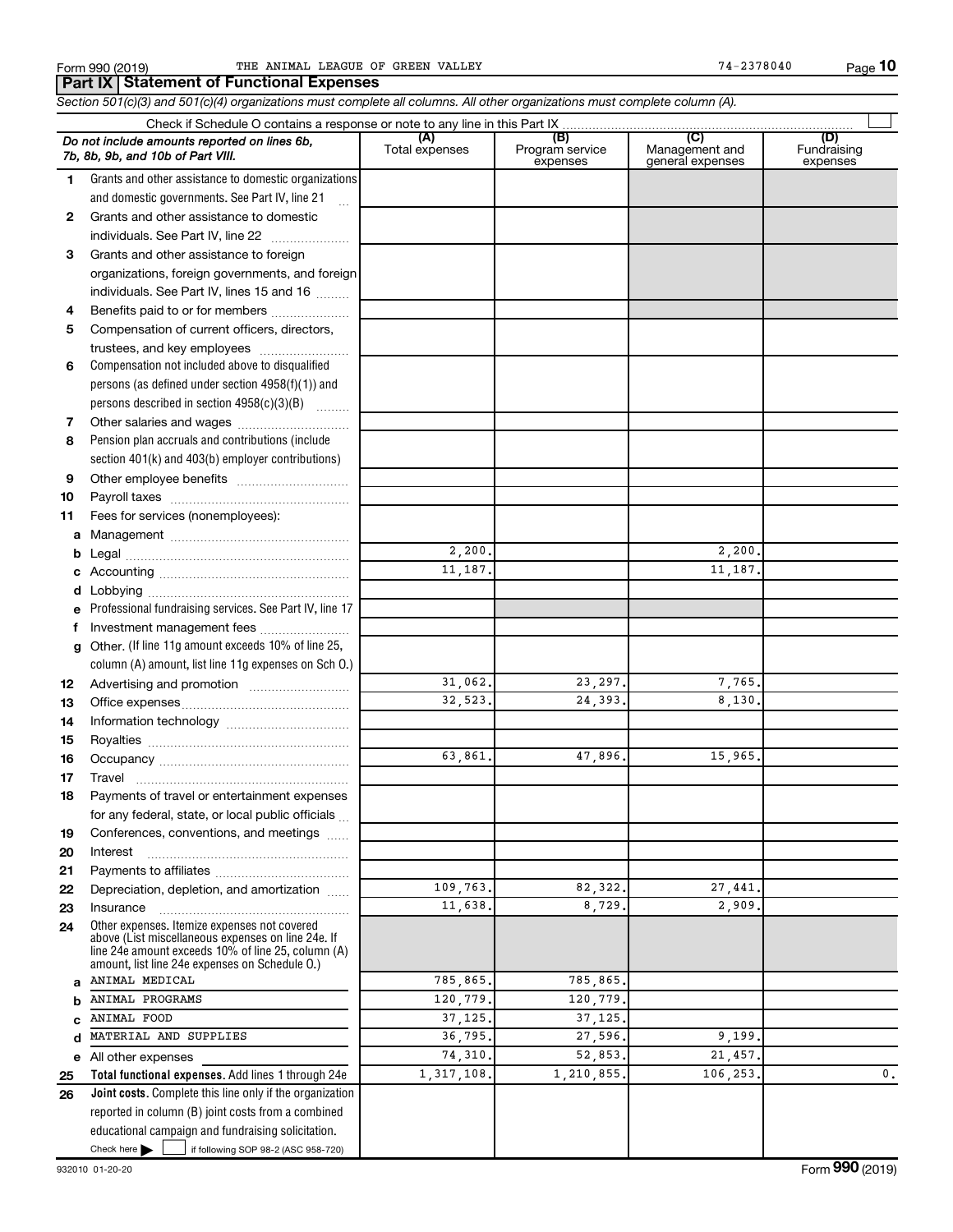**10**

**Total functional expenses.**  Add lines 1 through 24e **Joint costs.** Complete this line only if the organization **(A) (B) (C) (D)** Fundraising **1 2 3** Grants and other assistance to foreign **4 5 6 7 8 9 10 11 a** Management ~~~~~~~~~~~~~~~~ **b c d e f g 12 13 14 15 16 17 18 19 20 21 22 23 24 a b c d e 25 26** *Section 501(c)(3) and 501(c)(4) organizations must complete all columns. All other organizations must complete column (A).* Grants and other assistance to domestic organizations and domestic governments. See Part IV, line 21 Compensation not included above to disqualified persons (as defined under section 4958(f)(1)) and persons described in section  $4958(c)(3)(B)$   $\ldots$ Pension plan accruals and contributions (include section 401(k) and 403(b) employer contributions) Professional fundraising services. See Part IV, line 17 Other. (If line 11g amount exceeds 10% of line 25, column (A) amount, list line 11g expenses on Sch O.) Other expenses. Itemize expenses not covered above (List miscellaneous expenses on line 24e. If line 24e amount exceeds 10% of line 25, column (A) amount, list line 24e expenses on Schedule O.) reported in column (B) joint costs from a combined educational campaign and fundraising solicitation. Check if Schedule O contains a response or note to any line in this Part IX Total expenses Program service expenses Management and general expenses expenses .<br>... Grants and other assistance to domestic individuals. See Part IV, line 22 ~~~~~~~ organizations, foreign governments, and foreign individuals. See Part IV, lines 15 and 16  $\ldots$ Benefits paid to or for members ................... Compensation of current officers, directors, trustees, and key employees ......................... Other salaries and wages ~~~~~~~~~~ Other employee benefits ~~~~~~~~~~ Payroll taxes ~~~~~~~~~~~~~~~~ Fees for services (nonemployees): Legal ~~~~~~~~~~~~~~~~~~~~ Accounting ~~~~~~~~~~~~~~~~~ Lobbying ~~~~~~~~~~~~~~~~~~ Investment management fees ....................... Advertising and promotion ........................... Office expenses ~~~~~~~~~~~~~~~ Information technology ~~~~~~~~~~~ Royalties ~~~~~~~~~~~~~~~~~~ Occupancy ~~~~~~~~~~~~~~~~~ Travel ~~~~~~~~~~~~~~~~~~~ Payments of travel or entertainment expenses for any federal, state, or local public officials ... Conferences, conventions, and meetings Interest ~~~~~~~~~~~~~~~~~~ Payments to affiliates ~~~~~~~~~~~~ Depreciation, depletion, and amortization ...... Insurance ~~~~~~~~~~~~~~~~~ All other expenses *Do not include amounts reported on lines 6b, 7b, 8b, 9b, and 10b of Part VIII.* **Part IX Statement of Functional Expenses**  $\Box$ 2,200. 2,200. 11,187. 11,187. 31,062. 23,297. 7,765 32,523. 24,393. 8,130. 63,861. 47,896. 15,965. 109,763. 82,322. 27,441. 11,638. 8,729. 2,909. ANIMAL MEDICAL 785,865. 785,865. ANIMAL PROGRAMS 120 779. 120 779 ANIMAL FOOD 37,125. 37,125. MATERIAL AND SUPPLIES 36,795. 27,596. 9,199 74,310. 52,853. 21,457. 1,317,108. 1,210,855. 106,253. 0.

Check here |

Check here  $\begin{array}{c} \begin{array}{|c} \hline \end{array} \end{array}$  if following SOP 98-2 (ASC 958-720)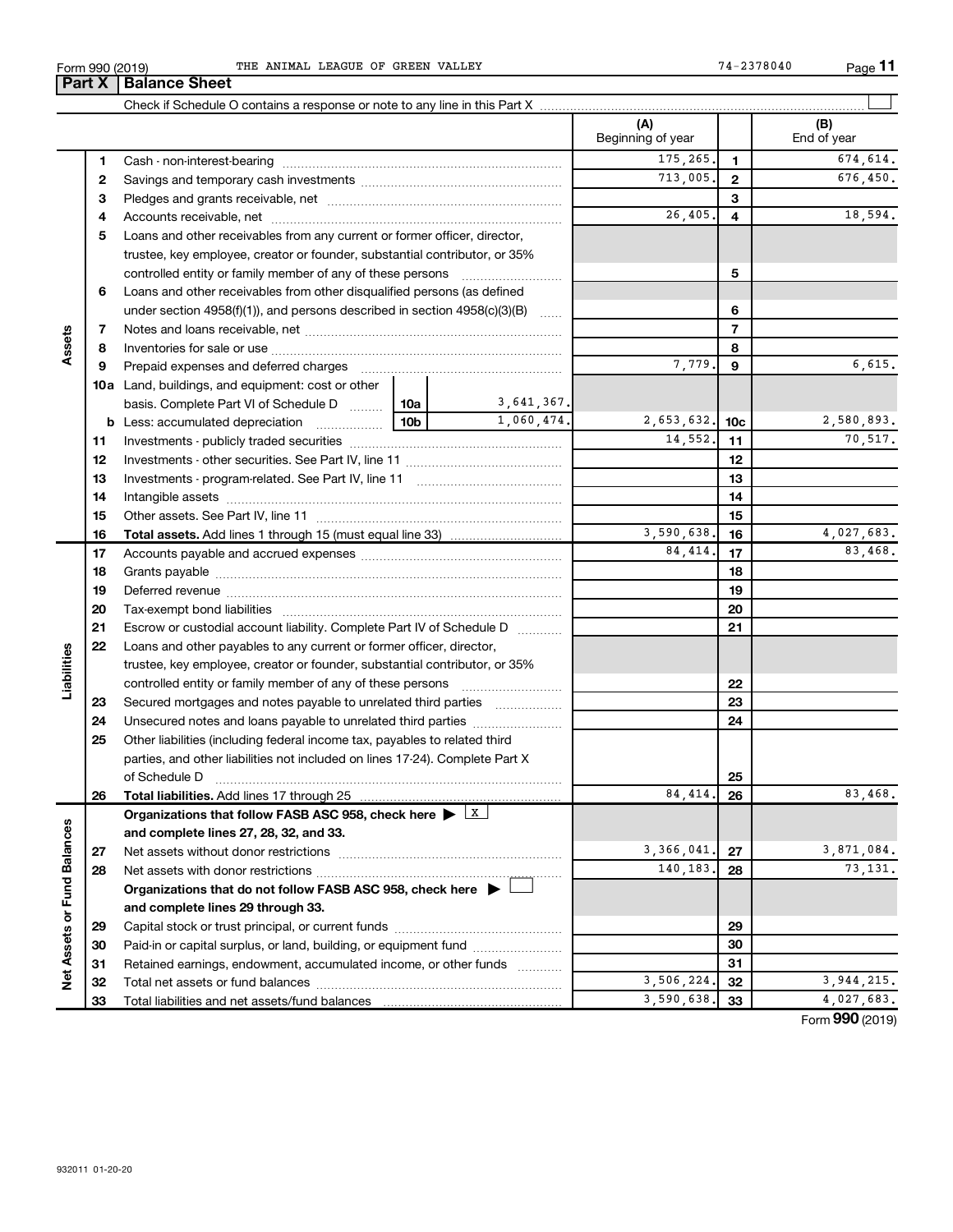**33**

| (2019)<br>-<br>Form 990 | OF<br>VALLEY<br>GREEN<br>LEAGUE<br>ANIMAI<br>THE | 78040 | Page |  |
|-------------------------|--------------------------------------------------|-------|------|--|
|-------------------------|--------------------------------------------------|-------|------|--|

Total liabilities and net assets/fund balances

|                             |    | <b>Part X   Balance Sheet</b>                                                               |                 |            |                          |                 |                    |  |
|-----------------------------|----|---------------------------------------------------------------------------------------------|-----------------|------------|--------------------------|-----------------|--------------------|--|
|                             |    |                                                                                             |                 |            |                          |                 |                    |  |
|                             |    |                                                                                             |                 |            | (A)<br>Beginning of year |                 | (B)<br>End of year |  |
|                             | 1  |                                                                                             |                 |            | 175,265.                 | $\mathbf{1}$    | 674,614.           |  |
|                             | 2  |                                                                                             |                 |            | 713,005.                 | $\mathbf{2}$    | 676,450.           |  |
|                             | з  |                                                                                             |                 |            |                          | 3               |                    |  |
|                             | 4  |                                                                                             |                 |            | 26,405.                  | 4               | 18,594.            |  |
|                             | 5  | Loans and other receivables from any current or former officer, director,                   |                 |            |                          |                 |                    |  |
|                             |    | trustee, key employee, creator or founder, substantial contributor, or 35%                  |                 |            |                          |                 |                    |  |
|                             |    | controlled entity or family member of any of these persons                                  |                 |            |                          | 5               |                    |  |
|                             | 6  | Loans and other receivables from other disqualified persons (as defined                     |                 |            |                          |                 |                    |  |
|                             |    | under section $4958(f)(1)$ , and persons described in section $4958(c)(3)(B)$               |                 |            |                          | 6               |                    |  |
|                             | 7  |                                                                                             |                 |            |                          | $\overline{7}$  |                    |  |
| Assets                      | 8  |                                                                                             |                 |            |                          | 8               |                    |  |
|                             | 9  | Prepaid expenses and deferred charges                                                       |                 |            | 7,779                    | 9               | 6,615.             |  |
|                             |    | 10a Land, buildings, and equipment: cost or other                                           |                 |            |                          |                 |                    |  |
|                             |    | basis. Complete Part VI of Schedule D  10a                                                  |                 | 3,641,367. |                          |                 |                    |  |
|                             | b  | Less: accumulated depreciation                                                              | 10 <sub>b</sub> | 1,060,474. | 2,653,632.               | 10 <sub>c</sub> | 2,580,893.         |  |
|                             | 11 |                                                                                             |                 |            |                          |                 |                    |  |
|                             | 12 |                                                                                             |                 |            |                          | 12              |                    |  |
|                             | 13 |                                                                                             |                 |            |                          | 13              |                    |  |
|                             | 14 |                                                                                             |                 |            |                          | 14              |                    |  |
|                             | 15 |                                                                                             |                 |            |                          | 15              |                    |  |
|                             | 16 |                                                                                             |                 |            | 3,590,638.               | 16              | 4,027,683.         |  |
|                             | 17 |                                                                                             |                 |            | 84,414.                  | 17              | 83,468.            |  |
|                             | 18 |                                                                                             |                 |            | 18                       |                 |                    |  |
|                             | 19 |                                                                                             |                 |            | 19                       |                 |                    |  |
|                             | 20 |                                                                                             |                 |            |                          | 20              |                    |  |
|                             | 21 | Escrow or custodial account liability. Complete Part IV of Schedule D                       |                 |            |                          | 21              |                    |  |
|                             | 22 | Loans and other payables to any current or former officer, director,                        |                 |            |                          |                 |                    |  |
| Liabilities                 |    | trustee, key employee, creator or founder, substantial contributor, or 35%                  |                 |            |                          |                 |                    |  |
|                             |    |                                                                                             |                 |            |                          | 22              |                    |  |
|                             | 23 | Secured mortgages and notes payable to unrelated third parties                              |                 |            |                          | 23              |                    |  |
|                             | 24 | Unsecured notes and loans payable to unrelated third parties                                |                 |            |                          | 24              |                    |  |
|                             | 25 | Other liabilities (including federal income tax, payables to related third                  |                 |            |                          |                 |                    |  |
|                             |    | parties, and other liabilities not included on lines 17-24). Complete Part X                |                 |            |                          |                 |                    |  |
|                             |    | of Schedule D                                                                               |                 |            |                          | 25              |                    |  |
|                             | 26 | Total liabilities. Add lines 17 through 25                                                  |                 |            | 84,414                   | 26              | 83,468.            |  |
|                             |    | Organizations that follow FASB ASC 958, check here $\blacktriangleright$ $\boxed{\text{X}}$ |                 |            |                          |                 |                    |  |
|                             |    | and complete lines 27, 28, 32, and 33.                                                      |                 |            |                          |                 |                    |  |
|                             | 27 |                                                                                             |                 |            | 3.366.041.               | 27              | 3,871,084.         |  |
|                             | 28 |                                                                                             |                 |            | 140,183.                 | 28              | 73,131.            |  |
|                             |    | Organizations that do not follow FASB ASC 958, check here $\blacktriangleright$             |                 |            |                          |                 |                    |  |
|                             |    | and complete lines 29 through 33.                                                           |                 |            |                          |                 |                    |  |
|                             | 29 |                                                                                             |                 |            |                          | 29              |                    |  |
| Net Assets or Fund Balances | 30 | Paid-in or capital surplus, or land, building, or equipment fund                            |                 |            |                          | 30              |                    |  |
|                             | 31 | Retained earnings, endowment, accumulated income, or other funds                            |                 |            |                          | 31              |                    |  |
|                             | 32 | Total net assets or fund balances                                                           |                 |            | 3,506,224.               | 32              | 3,944,215.         |  |

Form (2019) **990**

**33** 3,590,638. 4,027,683.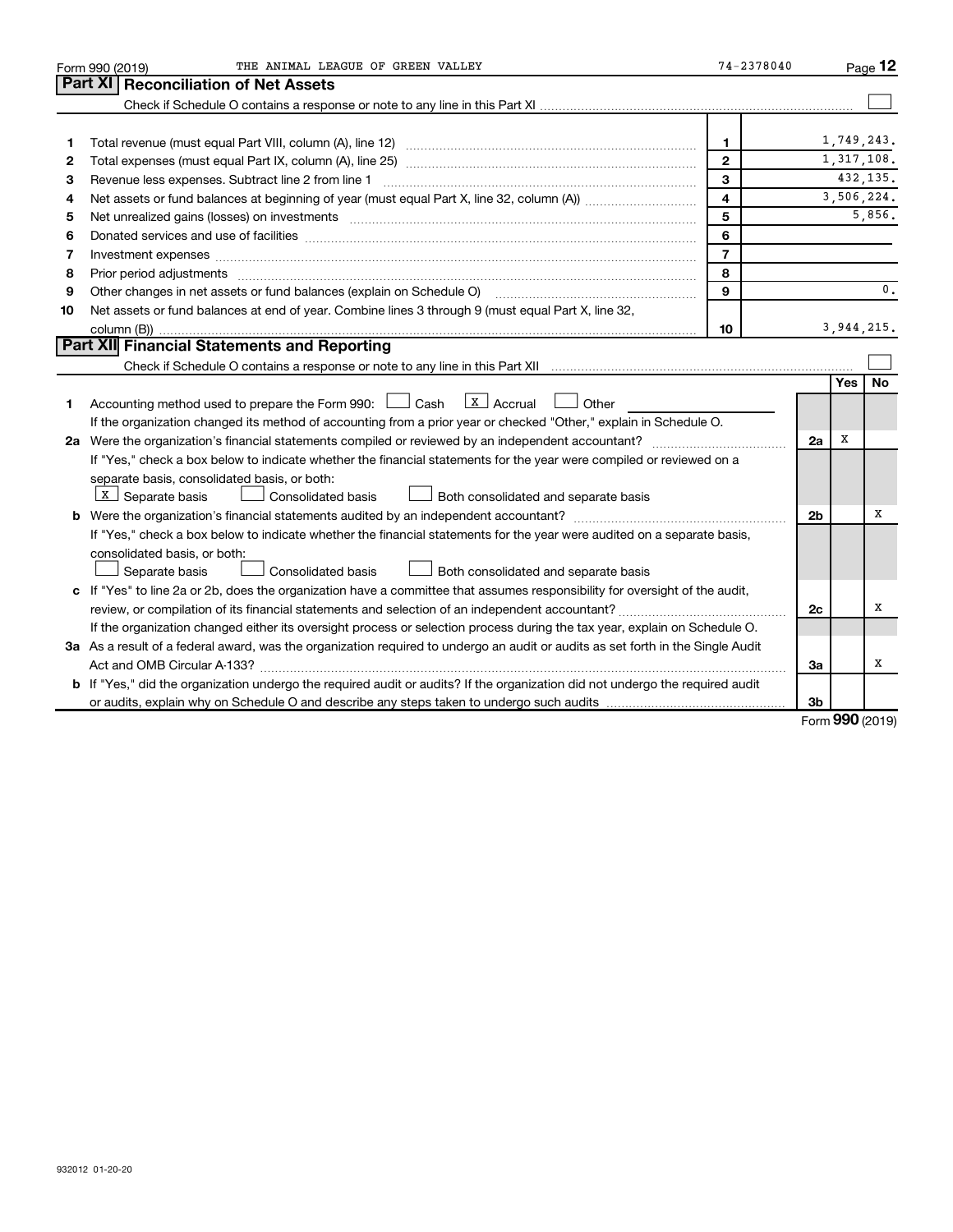|    | THE ANIMAL LEAGUE OF GREEN VALLEY<br>Form 990 (2019)                                                                                                                                                                           | $74 - 2378040$          |                |              | Page 12        |  |  |  |
|----|--------------------------------------------------------------------------------------------------------------------------------------------------------------------------------------------------------------------------------|-------------------------|----------------|--------------|----------------|--|--|--|
|    | Part XI   Reconciliation of Net Assets                                                                                                                                                                                         |                         |                |              |                |  |  |  |
|    |                                                                                                                                                                                                                                |                         |                |              |                |  |  |  |
|    |                                                                                                                                                                                                                                |                         |                |              |                |  |  |  |
| 1  |                                                                                                                                                                                                                                | $\mathbf{1}$            |                | 1,749,243.   |                |  |  |  |
| 2  |                                                                                                                                                                                                                                | $\mathbf{2}$            | 1,317,108.     |              |                |  |  |  |
| З  | 3<br>Revenue less expenses. Subtract line 2 from line 1                                                                                                                                                                        |                         |                |              |                |  |  |  |
| 4  |                                                                                                                                                                                                                                | $\overline{\mathbf{4}}$ |                | 3,506,224.   |                |  |  |  |
| 5  |                                                                                                                                                                                                                                | 5                       |                |              | 5,856.         |  |  |  |
| 6  |                                                                                                                                                                                                                                | 6                       |                |              |                |  |  |  |
| 7  | Investment expenses [[11] https://www.facebook.com/www.facebook.com/www.facebook.com/www.facebook.com/www.facebook.com/www.facebook.com/www.facebook.com/www.facebook.com/www.facebook.com/www.facebook.com/www.facebook.com/w | $\overline{7}$          |                |              |                |  |  |  |
| 8  |                                                                                                                                                                                                                                | 8                       |                |              |                |  |  |  |
| 9  | Other changes in net assets or fund balances (explain on Schedule O) manufactured controller changes in net assets or fund balances (explain on Schedule O)                                                                    | 9                       |                |              | $\mathbf{0}$ . |  |  |  |
| 10 | Net assets or fund balances at end of year. Combine lines 3 through 9 (must equal Part X, line 32,                                                                                                                             |                         |                |              |                |  |  |  |
|    |                                                                                                                                                                                                                                | 10                      |                | 3, 944, 215. |                |  |  |  |
|    | Part XII Financial Statements and Reporting                                                                                                                                                                                    |                         |                |              |                |  |  |  |
|    |                                                                                                                                                                                                                                |                         |                |              |                |  |  |  |
|    |                                                                                                                                                                                                                                |                         |                | Yes l        | No             |  |  |  |
| 1. | Accounting method used to prepare the Form 990: $\Box$ Cash $\Box$ Accrual<br>$\Box$ Other                                                                                                                                     |                         |                |              |                |  |  |  |
|    | If the organization changed its method of accounting from a prior year or checked "Other," explain in Schedule O.                                                                                                              |                         |                |              |                |  |  |  |
|    |                                                                                                                                                                                                                                |                         | 2a             | X            |                |  |  |  |
|    | If "Yes," check a box below to indicate whether the financial statements for the year were compiled or reviewed on a                                                                                                           |                         |                |              |                |  |  |  |
|    | separate basis, consolidated basis, or both:                                                                                                                                                                                   |                         |                |              |                |  |  |  |
|    | $X$ Separate basis<br>Both consolidated and separate basis<br><b>Consolidated basis</b>                                                                                                                                        |                         |                |              |                |  |  |  |
|    |                                                                                                                                                                                                                                |                         | 2 <sub>b</sub> |              | x              |  |  |  |
|    | If "Yes," check a box below to indicate whether the financial statements for the year were audited on a separate basis,                                                                                                        |                         |                |              |                |  |  |  |
|    | consolidated basis, or both:                                                                                                                                                                                                   |                         |                |              |                |  |  |  |
|    | Consolidated basis<br>Separate basis<br>Both consolidated and separate basis                                                                                                                                                   |                         |                |              |                |  |  |  |
|    | c If "Yes" to line 2a or 2b, does the organization have a committee that assumes responsibility for oversight of the audit,                                                                                                    |                         |                |              |                |  |  |  |
|    |                                                                                                                                                                                                                                |                         | 2c             |              | x              |  |  |  |
|    | If the organization changed either its oversight process or selection process during the tax year, explain on Schedule O.                                                                                                      |                         |                |              |                |  |  |  |
|    | 3a As a result of a federal award, was the organization required to undergo an audit or audits as set forth in the Single Audit                                                                                                |                         |                |              |                |  |  |  |
|    |                                                                                                                                                                                                                                |                         | За             |              | х              |  |  |  |
|    | <b>b</b> If "Yes," did the organization undergo the required audit or audits? If the organization did not undergo the required audit                                                                                           |                         |                |              |                |  |  |  |
|    |                                                                                                                                                                                                                                |                         | 3 <sub>b</sub> |              |                |  |  |  |

Form (2019) **990**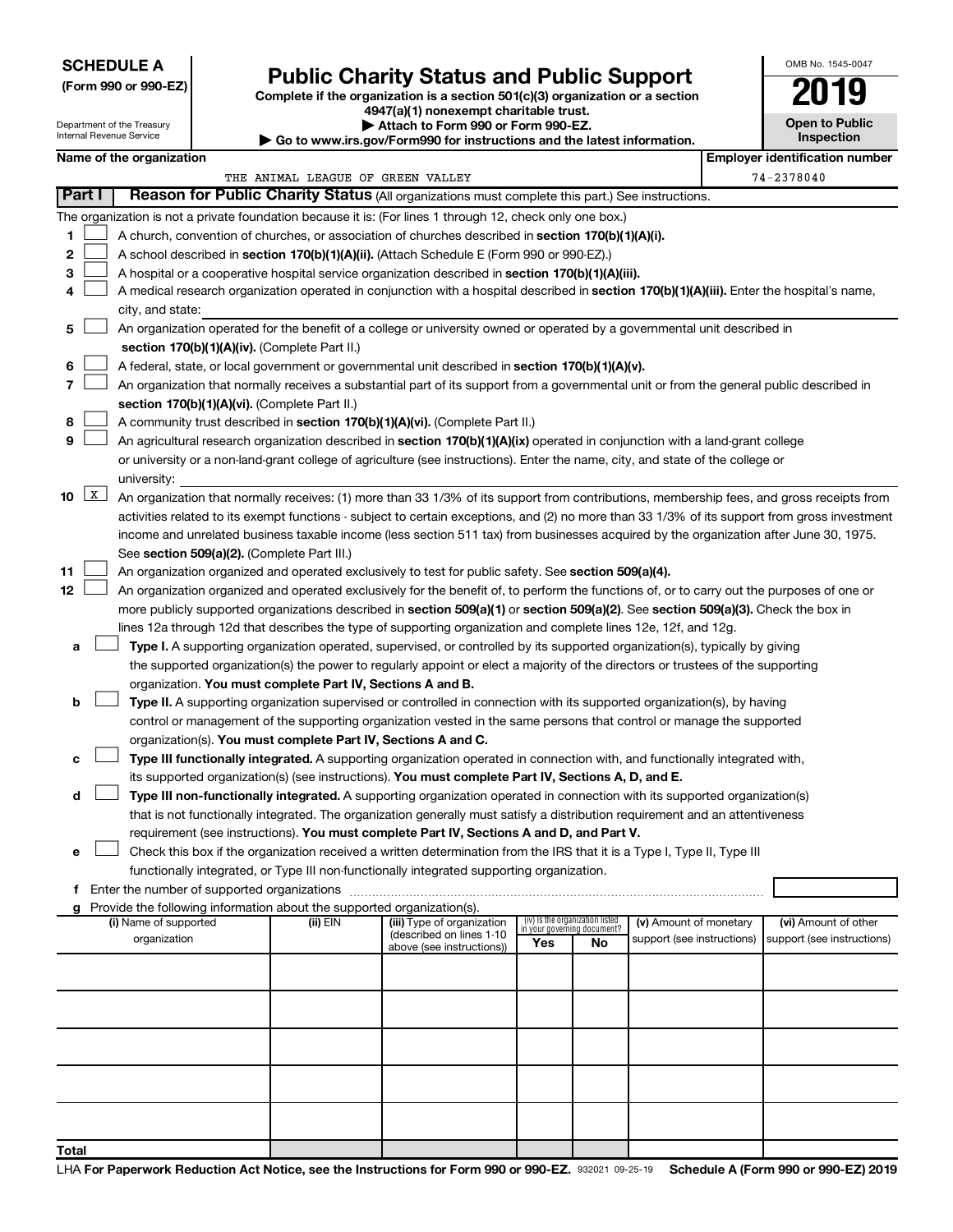# **SCHEDULE A**

Department of the Treasury Internal Revenue Service

# Form 990 or 990-EZ)<br>
Complete if the organization is a section 501(c)(3) organization or a section<br> **Public Charity Status and Public Support**

**4947(a)(1) nonexempt charitable trust.**

**| Attach to Form 990 or Form 990-EZ. | Go to www.irs.gov/Form990 for instructions and the latest information.**

| OMB No. 1545-0047                   |
|-------------------------------------|
| FIQ<br>11                           |
| <b>Open to Public</b><br>Inspection |
|                                     |

|             | Name of the organization                                                                                                                                                                                      |                                   |                                                        |                                 |    |                                                      |  | <b>Employer identification number</b>              |  |  |  |  |  |
|-------------|---------------------------------------------------------------------------------------------------------------------------------------------------------------------------------------------------------------|-----------------------------------|--------------------------------------------------------|---------------------------------|----|------------------------------------------------------|--|----------------------------------------------------|--|--|--|--|--|
|             |                                                                                                                                                                                                               | THE ANIMAL LEAGUE OF GREEN VALLEY |                                                        |                                 |    |                                                      |  | 74-2378040                                         |  |  |  |  |  |
| Part I      | Reason for Public Charity Status (All organizations must complete this part.) See instructions.                                                                                                               |                                   |                                                        |                                 |    |                                                      |  |                                                    |  |  |  |  |  |
|             | The organization is not a private foundation because it is: (For lines 1 through 12, check only one box.)                                                                                                     |                                   |                                                        |                                 |    |                                                      |  |                                                    |  |  |  |  |  |
| 1.          | A church, convention of churches, or association of churches described in section 170(b)(1)(A)(i).                                                                                                            |                                   |                                                        |                                 |    |                                                      |  |                                                    |  |  |  |  |  |
| 2           | A school described in section 170(b)(1)(A)(ii). (Attach Schedule E (Form 990 or 990-EZ).)                                                                                                                     |                                   |                                                        |                                 |    |                                                      |  |                                                    |  |  |  |  |  |
| з           | A hospital or a cooperative hospital service organization described in section 170(b)(1)(A)(iii).                                                                                                             |                                   |                                                        |                                 |    |                                                      |  |                                                    |  |  |  |  |  |
| 4           | A medical research organization operated in conjunction with a hospital described in section 170(b)(1)(A)(iii). Enter the hospital's name,                                                                    |                                   |                                                        |                                 |    |                                                      |  |                                                    |  |  |  |  |  |
|             | city, and state:                                                                                                                                                                                              |                                   |                                                        |                                 |    |                                                      |  |                                                    |  |  |  |  |  |
| 5           | An organization operated for the benefit of a college or university owned or operated by a governmental unit described in                                                                                     |                                   |                                                        |                                 |    |                                                      |  |                                                    |  |  |  |  |  |
|             |                                                                                                                                                                                                               |                                   |                                                        |                                 |    |                                                      |  |                                                    |  |  |  |  |  |
|             | section 170(b)(1)(A)(iv). (Complete Part II.)                                                                                                                                                                 |                                   |                                                        |                                 |    |                                                      |  |                                                    |  |  |  |  |  |
| 6           | A federal, state, or local government or governmental unit described in section 170(b)(1)(A)(v).                                                                                                              |                                   |                                                        |                                 |    |                                                      |  |                                                    |  |  |  |  |  |
| 7           | An organization that normally receives a substantial part of its support from a governmental unit or from the general public described in                                                                     |                                   |                                                        |                                 |    |                                                      |  |                                                    |  |  |  |  |  |
|             | section 170(b)(1)(A)(vi). (Complete Part II.)                                                                                                                                                                 |                                   |                                                        |                                 |    |                                                      |  |                                                    |  |  |  |  |  |
| 8           | A community trust described in section 170(b)(1)(A)(vi). (Complete Part II.)<br>An agricultural research organization described in section 170(b)(1)(A)(ix) operated in conjunction with a land-grant college |                                   |                                                        |                                 |    |                                                      |  |                                                    |  |  |  |  |  |
| 9           |                                                                                                                                                                                                               |                                   |                                                        |                                 |    |                                                      |  |                                                    |  |  |  |  |  |
|             | or university or a non-land-grant college of agriculture (see instructions). Enter the name, city, and state of the college or                                                                                |                                   |                                                        |                                 |    |                                                      |  |                                                    |  |  |  |  |  |
|             | university:                                                                                                                                                                                                   |                                   |                                                        |                                 |    |                                                      |  |                                                    |  |  |  |  |  |
| $10 \mid X$ | An organization that normally receives: (1) more than 33 1/3% of its support from contributions, membership fees, and gross receipts from                                                                     |                                   |                                                        |                                 |    |                                                      |  |                                                    |  |  |  |  |  |
|             | activities related to its exempt functions - subject to certain exceptions, and (2) no more than 33 1/3% of its support from gross investment                                                                 |                                   |                                                        |                                 |    |                                                      |  |                                                    |  |  |  |  |  |
|             | income and unrelated business taxable income (less section 511 tax) from businesses acquired by the organization after June 30, 1975.                                                                         |                                   |                                                        |                                 |    |                                                      |  |                                                    |  |  |  |  |  |
|             | See section 509(a)(2). (Complete Part III.)                                                                                                                                                                   |                                   |                                                        |                                 |    |                                                      |  |                                                    |  |  |  |  |  |
| 11          | An organization organized and operated exclusively to test for public safety. See section 509(a)(4).                                                                                                          |                                   |                                                        |                                 |    |                                                      |  |                                                    |  |  |  |  |  |
| 12          | An organization organized and operated exclusively for the benefit of, to perform the functions of, or to carry out the purposes of one or                                                                    |                                   |                                                        |                                 |    |                                                      |  |                                                    |  |  |  |  |  |
|             | more publicly supported organizations described in section 509(a)(1) or section 509(a)(2). See section 509(a)(3). Check the box in                                                                            |                                   |                                                        |                                 |    |                                                      |  |                                                    |  |  |  |  |  |
|             | lines 12a through 12d that describes the type of supporting organization and complete lines 12e, 12f, and 12g.                                                                                                |                                   |                                                        |                                 |    |                                                      |  |                                                    |  |  |  |  |  |
| а           | Type I. A supporting organization operated, supervised, or controlled by its supported organization(s), typically by giving                                                                                   |                                   |                                                        |                                 |    |                                                      |  |                                                    |  |  |  |  |  |
|             | the supported organization(s) the power to regularly appoint or elect a majority of the directors or trustees of the supporting                                                                               |                                   |                                                        |                                 |    |                                                      |  |                                                    |  |  |  |  |  |
|             | organization. You must complete Part IV, Sections A and B.                                                                                                                                                    |                                   |                                                        |                                 |    |                                                      |  |                                                    |  |  |  |  |  |
| b           | Type II. A supporting organization supervised or controlled in connection with its supported organization(s), by having                                                                                       |                                   |                                                        |                                 |    |                                                      |  |                                                    |  |  |  |  |  |
|             | control or management of the supporting organization vested in the same persons that control or manage the supported                                                                                          |                                   |                                                        |                                 |    |                                                      |  |                                                    |  |  |  |  |  |
|             | organization(s). You must complete Part IV, Sections A and C.                                                                                                                                                 |                                   |                                                        |                                 |    |                                                      |  |                                                    |  |  |  |  |  |
| с           | Type III functionally integrated. A supporting organization operated in connection with, and functionally integrated with,                                                                                    |                                   |                                                        |                                 |    |                                                      |  |                                                    |  |  |  |  |  |
|             | its supported organization(s) (see instructions). You must complete Part IV, Sections A, D, and E.                                                                                                            |                                   |                                                        |                                 |    |                                                      |  |                                                    |  |  |  |  |  |
| d           | Type III non-functionally integrated. A supporting organization operated in connection with its supported organization(s)                                                                                     |                                   |                                                        |                                 |    |                                                      |  |                                                    |  |  |  |  |  |
|             | that is not functionally integrated. The organization generally must satisfy a distribution requirement and an attentiveness                                                                                  |                                   |                                                        |                                 |    |                                                      |  |                                                    |  |  |  |  |  |
|             | requirement (see instructions). You must complete Part IV, Sections A and D, and Part V.                                                                                                                      |                                   |                                                        |                                 |    |                                                      |  |                                                    |  |  |  |  |  |
|             | Check this box if the organization received a written determination from the IRS that it is a Type I, Type II, Type III                                                                                       |                                   |                                                        |                                 |    |                                                      |  |                                                    |  |  |  |  |  |
|             | functionally integrated, or Type III non-functionally integrated supporting organization.                                                                                                                     |                                   |                                                        |                                 |    |                                                      |  |                                                    |  |  |  |  |  |
|             | f Enter the number of supported organizations                                                                                                                                                                 |                                   |                                                        |                                 |    |                                                      |  |                                                    |  |  |  |  |  |
|             | g Provide the following information about the supported organization(s).                                                                                                                                      |                                   |                                                        | (iv) Is the organization listed |    |                                                      |  |                                                    |  |  |  |  |  |
|             | (i) Name of supported<br>organization                                                                                                                                                                         | (ii) EIN                          | (iii) Type of organization<br>(described on lines 1-10 | in your governing document?     |    | (v) Amount of monetary<br>support (see instructions) |  | (vi) Amount of other<br>support (see instructions) |  |  |  |  |  |
|             |                                                                                                                                                                                                               |                                   | above (see instructions))                              | Yes                             | No |                                                      |  |                                                    |  |  |  |  |  |
|             |                                                                                                                                                                                                               |                                   |                                                        |                                 |    |                                                      |  |                                                    |  |  |  |  |  |
|             |                                                                                                                                                                                                               |                                   |                                                        |                                 |    |                                                      |  |                                                    |  |  |  |  |  |
|             |                                                                                                                                                                                                               |                                   |                                                        |                                 |    |                                                      |  |                                                    |  |  |  |  |  |
|             |                                                                                                                                                                                                               |                                   |                                                        |                                 |    |                                                      |  |                                                    |  |  |  |  |  |
|             |                                                                                                                                                                                                               |                                   |                                                        |                                 |    |                                                      |  |                                                    |  |  |  |  |  |
|             |                                                                                                                                                                                                               |                                   |                                                        |                                 |    |                                                      |  |                                                    |  |  |  |  |  |
|             |                                                                                                                                                                                                               |                                   |                                                        |                                 |    |                                                      |  |                                                    |  |  |  |  |  |
|             |                                                                                                                                                                                                               |                                   |                                                        |                                 |    |                                                      |  |                                                    |  |  |  |  |  |
|             |                                                                                                                                                                                                               |                                   |                                                        |                                 |    |                                                      |  |                                                    |  |  |  |  |  |
|             |                                                                                                                                                                                                               |                                   |                                                        |                                 |    |                                                      |  |                                                    |  |  |  |  |  |
| Total       |                                                                                                                                                                                                               |                                   |                                                        |                                 |    |                                                      |  |                                                    |  |  |  |  |  |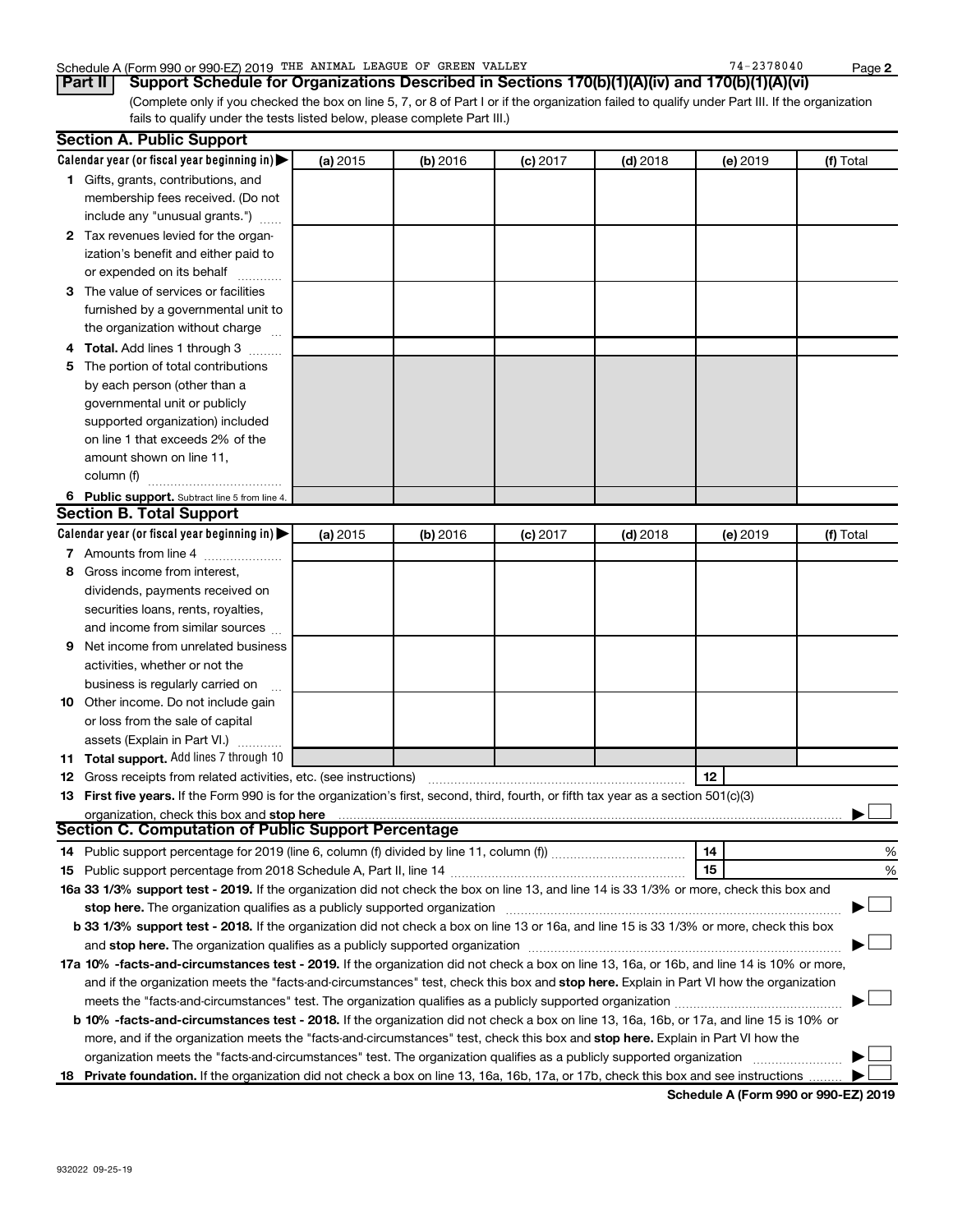### Schedule A (Form 990 or 990-EZ) 2019 THE ANIMAL LEAGUE OF GREEN VALLEY 74-2378040 Page

(Complete only if you checked the box on line 5, 7, or 8 of Part I or if the organization failed to qualify under Part III. If the organization fails to qualify under the tests listed below, please complete Part III.) **Part II Support Schedule for Organizations Described in Sections 170(b)(1)(A)(iv) and 170(b)(1)(A)(vi)**

|   | <b>Section A. Public Support</b>                                                                                                               |          |          |            |            |          |           |
|---|------------------------------------------------------------------------------------------------------------------------------------------------|----------|----------|------------|------------|----------|-----------|
|   | Calendar year (or fiscal year beginning in)                                                                                                    | (a) 2015 | (b) 2016 | $(c)$ 2017 | $(d)$ 2018 | (e) 2019 | (f) Total |
|   | 1 Gifts, grants, contributions, and                                                                                                            |          |          |            |            |          |           |
|   | membership fees received. (Do not                                                                                                              |          |          |            |            |          |           |
|   | include any "unusual grants.")                                                                                                                 |          |          |            |            |          |           |
|   | 2 Tax revenues levied for the organ-                                                                                                           |          |          |            |            |          |           |
|   | ization's benefit and either paid to                                                                                                           |          |          |            |            |          |           |
|   | or expended on its behalf                                                                                                                      |          |          |            |            |          |           |
|   | 3 The value of services or facilities                                                                                                          |          |          |            |            |          |           |
|   | furnished by a governmental unit to                                                                                                            |          |          |            |            |          |           |
|   | the organization without charge                                                                                                                |          |          |            |            |          |           |
|   | 4 Total. Add lines 1 through 3                                                                                                                 |          |          |            |            |          |           |
| 5 | The portion of total contributions                                                                                                             |          |          |            |            |          |           |
|   | by each person (other than a                                                                                                                   |          |          |            |            |          |           |
|   | governmental unit or publicly                                                                                                                  |          |          |            |            |          |           |
|   | supported organization) included                                                                                                               |          |          |            |            |          |           |
|   | on line 1 that exceeds 2% of the                                                                                                               |          |          |            |            |          |           |
|   | amount shown on line 11,                                                                                                                       |          |          |            |            |          |           |
|   | column (f)                                                                                                                                     |          |          |            |            |          |           |
|   | 6 Public support. Subtract line 5 from line 4.                                                                                                 |          |          |            |            |          |           |
|   | <b>Section B. Total Support</b>                                                                                                                |          |          |            |            |          |           |
|   | Calendar year (or fiscal year beginning in)                                                                                                    | (a) 2015 | (b) 2016 | $(c)$ 2017 | $(d)$ 2018 | (e) 2019 | (f) Total |
|   | 7 Amounts from line 4                                                                                                                          |          |          |            |            |          |           |
| 8 | Gross income from interest,                                                                                                                    |          |          |            |            |          |           |
|   | dividends, payments received on                                                                                                                |          |          |            |            |          |           |
|   | securities loans, rents, royalties,                                                                                                            |          |          |            |            |          |           |
|   | and income from similar sources                                                                                                                |          |          |            |            |          |           |
| 9 | Net income from unrelated business                                                                                                             |          |          |            |            |          |           |
|   | activities, whether or not the                                                                                                                 |          |          |            |            |          |           |
|   | business is regularly carried on                                                                                                               |          |          |            |            |          |           |
|   | 10 Other income. Do not include gain                                                                                                           |          |          |            |            |          |           |
|   | or loss from the sale of capital                                                                                                               |          |          |            |            |          |           |
|   | assets (Explain in Part VI.)                                                                                                                   |          |          |            |            |          |           |
|   | 11 Total support. Add lines 7 through 10                                                                                                       |          |          |            |            |          |           |
|   | <b>12</b> Gross receipts from related activities, etc. (see instructions)                                                                      |          |          |            |            | 12       |           |
|   | 13 First five years. If the Form 990 is for the organization's first, second, third, fourth, or fifth tax year as a section 501(c)(3)          |          |          |            |            |          |           |
|   |                                                                                                                                                |          |          |            |            |          |           |
|   | <b>Section C. Computation of Public Support Percentage</b>                                                                                     |          |          |            |            |          |           |
|   |                                                                                                                                                |          |          |            |            | 14       | %         |
|   |                                                                                                                                                |          |          |            |            | 15       | %         |
|   | 16a 33 1/3% support test - 2019. If the organization did not check the box on line 13, and line 14 is 33 1/3% or more, check this box and      |          |          |            |            |          |           |
|   |                                                                                                                                                |          |          |            |            |          |           |
|   | b 33 1/3% support test - 2018. If the organization did not check a box on line 13 or 16a, and line 15 is 33 1/3% or more, check this box       |          |          |            |            |          |           |
|   |                                                                                                                                                |          |          |            |            |          |           |
|   | 17a 10% -facts-and-circumstances test - 2019. If the organization did not check a box on line 13, 16a, or 16b, and line 14 is 10% or more,     |          |          |            |            |          |           |
|   | and if the organization meets the "facts-and-circumstances" test, check this box and stop here. Explain in Part VI how the organization        |          |          |            |            |          |           |
|   |                                                                                                                                                |          |          |            |            |          |           |
|   | <b>b 10%</b> -facts-and-circumstances test - 2018. If the organization did not check a box on line 13, 16a, 16b, or 17a, and line 15 is 10% or |          |          |            |            |          |           |
|   | more, and if the organization meets the "facts-and-circumstances" test, check this box and stop here. Explain in Part VI how the               |          |          |            |            |          |           |
|   | organization meets the "facts-and-circumstances" test. The organization qualifies as a publicly supported organization                         |          |          |            |            |          |           |
|   | 18 Private foundation. If the organization did not check a box on line 13, 16a, 16b, 17a, or 17b, check this box and see instructions          |          |          |            |            |          |           |

**Schedule A (Form 990 or 990-EZ) 2019**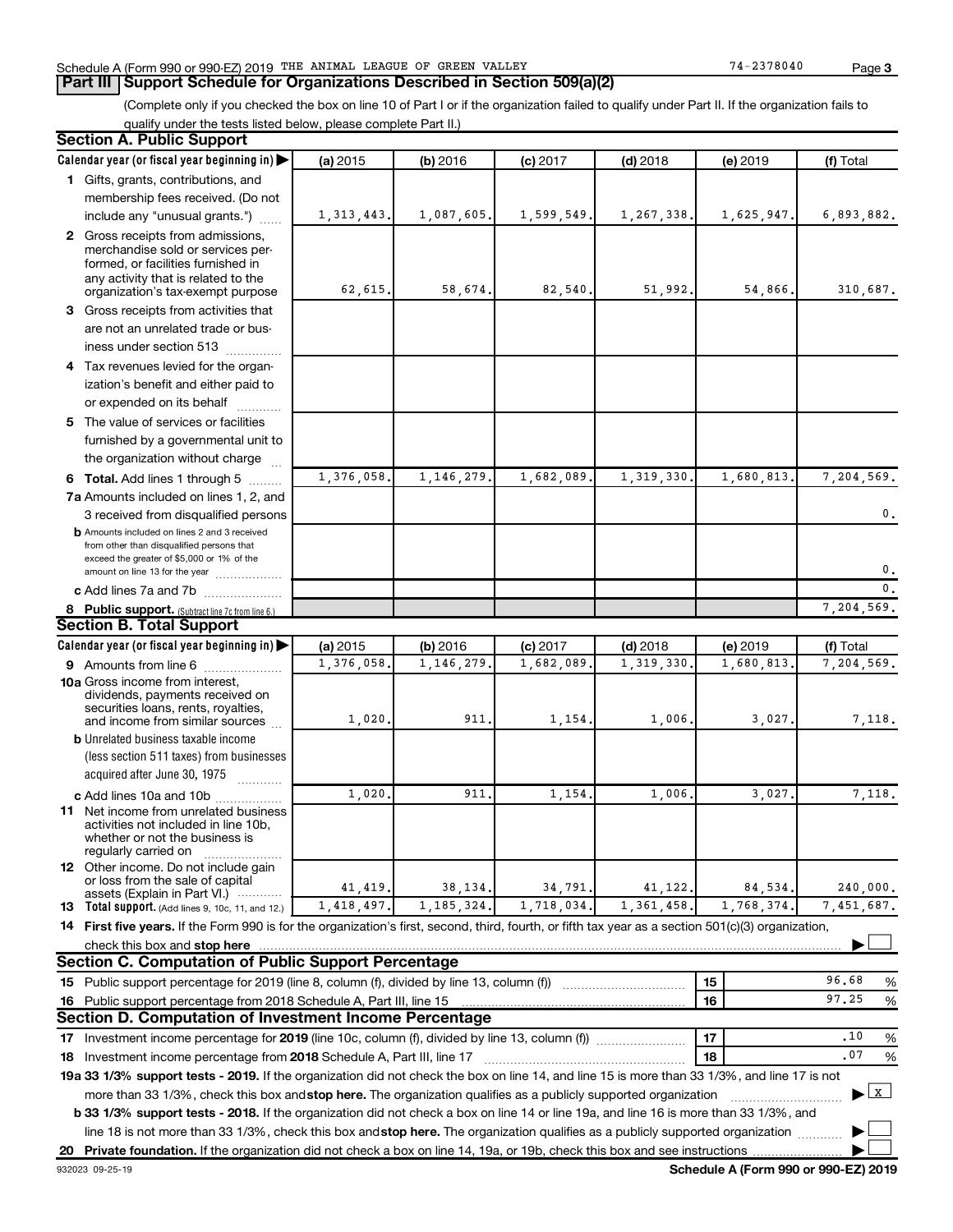### Schedule A (Form 990 or 990-EZ) 2019 THE ANIMAL LEAGUE OF GREEN VALLEY 74-2378040 Page

## **Part III Support Schedule for Organizations Described in Section 509(a)(2)**

(Complete only if you checked the box on line 10 of Part I or if the organization failed to qualify under Part II. If the organization fails to qualify under the tests listed below, please complete Part II.)

| <b>Section A. Public Support</b>                                                                                                                                                                                                                                               |              |              |            |            |            |                   |
|--------------------------------------------------------------------------------------------------------------------------------------------------------------------------------------------------------------------------------------------------------------------------------|--------------|--------------|------------|------------|------------|-------------------|
| Calendar year (or fiscal year beginning in)                                                                                                                                                                                                                                    | (a) 2015     | (b) 2016     | $(c)$ 2017 | $(d)$ 2018 | (e) 2019   | (f) Total         |
| 1 Gifts, grants, contributions, and                                                                                                                                                                                                                                            |              |              |            |            |            |                   |
| membership fees received. (Do not                                                                                                                                                                                                                                              |              |              |            |            |            |                   |
| include any "unusual grants.")                                                                                                                                                                                                                                                 | 1, 313, 443. | 1,087,605    | 1,599,549  | 1,267,338. | 1,625,947. | 6,893,882.        |
| 2 Gross receipts from admissions,<br>merchandise sold or services per-<br>formed, or facilities furnished in<br>any activity that is related to the<br>organization's tax-exempt purpose                                                                                       | 62,615,      | 58,674       | 82,540     | 51,992.    | 54,866,    | 310,687.          |
| 3 Gross receipts from activities that                                                                                                                                                                                                                                          |              |              |            |            |            |                   |
| are not an unrelated trade or bus-<br>iness under section 513                                                                                                                                                                                                                  |              |              |            |            |            |                   |
| 4 Tax revenues levied for the organ-                                                                                                                                                                                                                                           |              |              |            |            |            |                   |
| ization's benefit and either paid to                                                                                                                                                                                                                                           |              |              |            |            |            |                   |
| or expended on its behalf<br>.                                                                                                                                                                                                                                                 |              |              |            |            |            |                   |
| 5 The value of services or facilities<br>furnished by a governmental unit to<br>the organization without charge                                                                                                                                                                |              |              |            |            |            |                   |
| <b>6 Total.</b> Add lines 1 through 5                                                                                                                                                                                                                                          | 1,376,058    | 1,146,279    | 1,682,089  | 1,319,330  | 1,680,813  | 7,204,569.        |
| 7a Amounts included on lines 1, 2, and                                                                                                                                                                                                                                         |              |              |            |            |            |                   |
| 3 received from disqualified persons                                                                                                                                                                                                                                           |              |              |            |            |            | $\mathbf{0}$ .    |
| <b>b</b> Amounts included on lines 2 and 3 received<br>from other than disqualified persons that<br>exceed the greater of \$5,000 or 1% of the<br>amount on line 13 for the year                                                                                               |              |              |            |            |            | 0.                |
| c Add lines 7a and 7b                                                                                                                                                                                                                                                          |              |              |            |            |            | 0.                |
| 8 Public support. (Subtract line 7c from line 6.)                                                                                                                                                                                                                              |              |              |            |            |            | 7,204,569.        |
| <b>Section B. Total Support</b>                                                                                                                                                                                                                                                |              |              |            |            |            |                   |
| Calendar year (or fiscal year beginning in)                                                                                                                                                                                                                                    | (a) 2015     | (b) 2016     | $(c)$ 2017 | $(d)$ 2018 | (e) 2019   | (f) Total         |
| 9 Amounts from line 6                                                                                                                                                                                                                                                          | 1,376,058    | 1, 146, 279  | 1,682,089  | 1,319,330  | 1,680,813  | 7,204,569.        |
| <b>10a</b> Gross income from interest,<br>dividends, payments received on<br>securities loans, rents, royalties,<br>and income from similar sources<br><b>b</b> Unrelated business taxable income<br>(less section 511 taxes) from businesses                                  | 1,020        | 911          | 1,154      | 1,006      | 3,027.     | 7,118.            |
| acquired after June 30, 1975<br>.                                                                                                                                                                                                                                              |              |              |            |            |            |                   |
| c Add lines 10a and 10b                                                                                                                                                                                                                                                        | 1,020        | 911          | 1,154      | 1,006      | 3,027      | 7,118.            |
| 11 Net income from unrelated business<br>activities not included in line 10b.<br>whether or not the business is<br>regularly carried on                                                                                                                                        |              |              |            |            |            |                   |
| 12 Other income. Do not include gain<br>or loss from the sale of capital                                                                                                                                                                                                       |              |              |            |            |            |                   |
| assets (Explain in Part VI.) $\cdots$                                                                                                                                                                                                                                          | 41, 419.     | 38,134.      | 34,791.    | 41,122.    | 84,534.    | 240.000.          |
| <b>13</b> Total support. (Add lines 9, 10c, 11, and 12.)                                                                                                                                                                                                                       | 1,418,497.   | 1, 185, 324. | 1,718,034. | 1,361,458  | 1,768,374  | 7,451,687.        |
| 14 First five years. If the Form 990 is for the organization's first, second, third, fourth, or fifth tax year as a section 501(c)(3) organization,                                                                                                                            |              |              |            |            |            |                   |
| check this box and stop here                                                                                                                                                                                                                                                   |              |              |            |            |            |                   |
| <b>Section C. Computation of Public Support Percentage</b>                                                                                                                                                                                                                     |              |              |            |            |            |                   |
| 15 Public support percentage for 2019 (line 8, column (f), divided by line 13, column (f))                                                                                                                                                                                     |              |              |            |            | 15         | 96.68<br>%        |
| 16 Public support percentage from 2018 Schedule A, Part III, line 15                                                                                                                                                                                                           |              |              |            |            | 16         | 97.25<br>%        |
| Section D. Computation of Investment Income Percentage                                                                                                                                                                                                                         |              |              |            |            |            |                   |
| 17 Investment income percentage for 2019 (line 10c, column (f), divided by line 13, column (f))                                                                                                                                                                                |              |              |            |            | 17         | .10<br>%          |
| 18 Investment income percentage from 2018 Schedule A, Part III, line 17                                                                                                                                                                                                        |              |              |            |            | 18         | .07<br>%          |
| 19a 33 1/3% support tests - 2019. If the organization did not check the box on line 14, and line 15 is more than 33 1/3%, and line 17 is not                                                                                                                                   |              |              |            |            |            |                   |
| more than 33 1/3%, check this box and stop here. The organization qualifies as a publicly supported organization                                                                                                                                                               |              |              |            |            |            | $\mathbf{x}$<br>▶ |
| <b>b 33 1/3% support tests - 2018.</b> If the organization did not check a box on line 14 or line 19a, and line 16 is more than 33 1/3%, and<br>line 18 is not more than 33 1/3%, check this box andstop here. The organization qualifies as a publicly supported organization |              |              |            |            |            |                   |
|                                                                                                                                                                                                                                                                                |              |              |            |            |            |                   |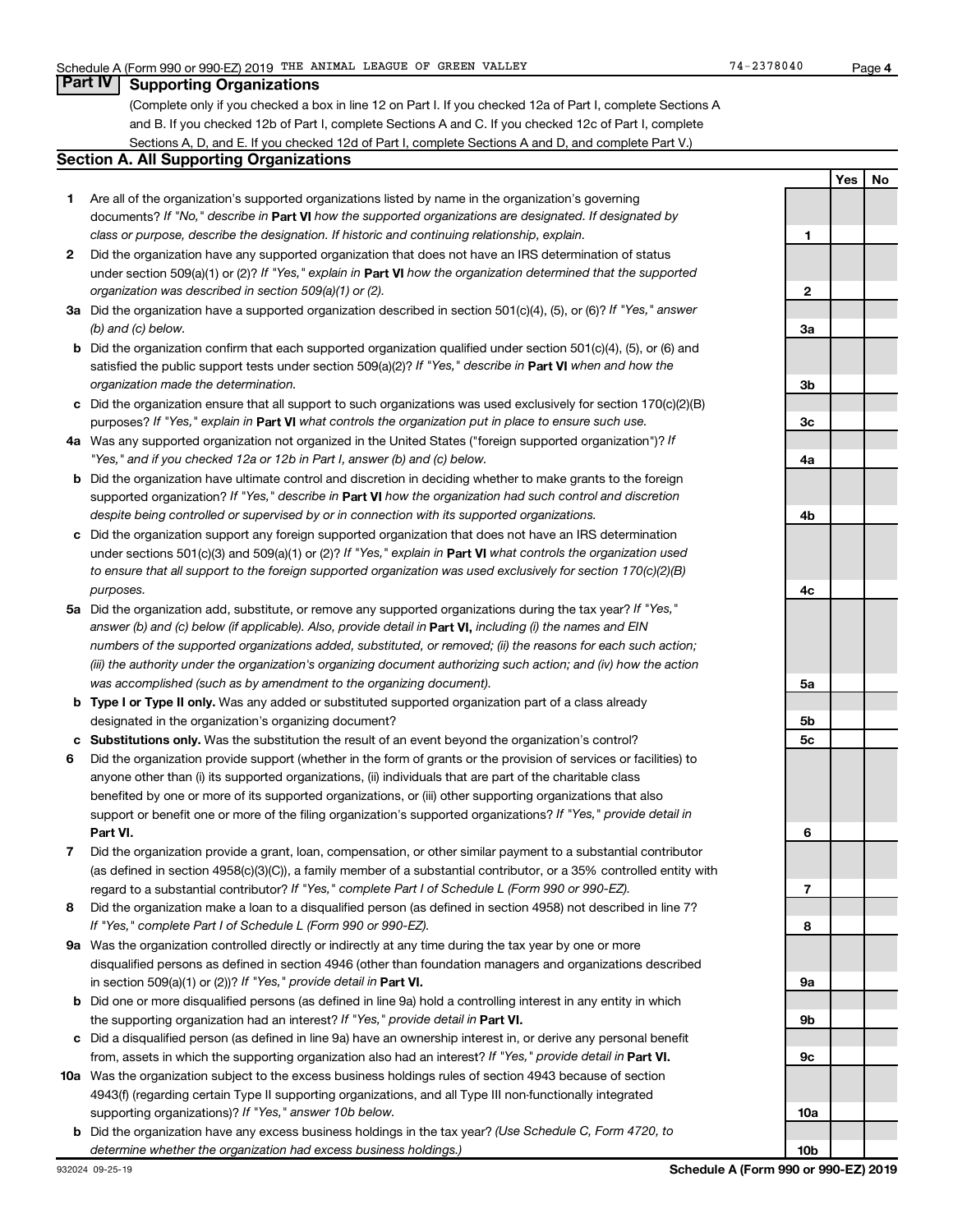# **Part IV Supporting Organizations**

(Complete only if you checked a box in line 12 on Part I. If you checked 12a of Part I, complete Sections A and B. If you checked 12b of Part I, complete Sections A and C. If you checked 12c of Part I, complete Sections A, D, and E. If you checked 12d of Part I, complete Sections A and D, and complete Part V.)

### **Section A. All Supporting Organizations**

- **1** Are all of the organization's supported organizations listed by name in the organization's governing documents? If "No," describe in Part VI how the supported organizations are designated. If designated by *class or purpose, describe the designation. If historic and continuing relationship, explain.*
- **2** Did the organization have any supported organization that does not have an IRS determination of status under section 509(a)(1) or (2)? If "Yes," explain in Part **VI** how the organization determined that the supported *organization was described in section 509(a)(1) or (2).*
- **3a** Did the organization have a supported organization described in section 501(c)(4), (5), or (6)? If "Yes," answer *(b) and (c) below.*
- **b** Did the organization confirm that each supported organization qualified under section 501(c)(4), (5), or (6) and satisfied the public support tests under section 509(a)(2)? If "Yes," describe in Part VI when and how the *organization made the determination.*
- **c** Did the organization ensure that all support to such organizations was used exclusively for section 170(c)(2)(B) purposes? If "Yes," explain in Part VI what controls the organization put in place to ensure such use.
- **4 a** *If* Was any supported organization not organized in the United States ("foreign supported organization")? *"Yes," and if you checked 12a or 12b in Part I, answer (b) and (c) below.*
- **b** Did the organization have ultimate control and discretion in deciding whether to make grants to the foreign supported organization? If "Yes," describe in Part VI how the organization had such control and discretion *despite being controlled or supervised by or in connection with its supported organizations.*
- **c** Did the organization support any foreign supported organization that does not have an IRS determination under sections 501(c)(3) and 509(a)(1) or (2)? If "Yes," explain in Part VI what controls the organization used *to ensure that all support to the foreign supported organization was used exclusively for section 170(c)(2)(B) purposes.*
- **5a** Did the organization add, substitute, or remove any supported organizations during the tax year? If "Yes," answer (b) and (c) below (if applicable). Also, provide detail in **Part VI,** including (i) the names and EIN *numbers of the supported organizations added, substituted, or removed; (ii) the reasons for each such action; (iii) the authority under the organization's organizing document authorizing such action; and (iv) how the action was accomplished (such as by amendment to the organizing document).*
- **b Type I or Type II only.** Was any added or substituted supported organization part of a class already designated in the organization's organizing document?
- **c Substitutions only.**  Was the substitution the result of an event beyond the organization's control?
- **6** Did the organization provide support (whether in the form of grants or the provision of services or facilities) to **Part VI.** support or benefit one or more of the filing organization's supported organizations? If "Yes," provide detail in anyone other than (i) its supported organizations, (ii) individuals that are part of the charitable class benefited by one or more of its supported organizations, or (iii) other supporting organizations that also
- **7** Did the organization provide a grant, loan, compensation, or other similar payment to a substantial contributor regard to a substantial contributor? If "Yes," complete Part I of Schedule L (Form 990 or 990-EZ). (as defined in section 4958(c)(3)(C)), a family member of a substantial contributor, or a 35% controlled entity with
- **8** Did the organization make a loan to a disqualified person (as defined in section 4958) not described in line 7? *If "Yes," complete Part I of Schedule L (Form 990 or 990-EZ).*
- **9 a** Was the organization controlled directly or indirectly at any time during the tax year by one or more in section 509(a)(1) or (2))? If "Yes," provide detail in **Part VI.** disqualified persons as defined in section 4946 (other than foundation managers and organizations described
- **b** Did one or more disqualified persons (as defined in line 9a) hold a controlling interest in any entity in which the supporting organization had an interest? If "Yes," provide detail in Part VI.
- **c** Did a disqualified person (as defined in line 9a) have an ownership interest in, or derive any personal benefit from, assets in which the supporting organization also had an interest? If "Yes," provide detail in Part VI.
- **10 a** Was the organization subject to the excess business holdings rules of section 4943 because of section supporting organizations)? If "Yes," answer 10b below. 4943(f) (regarding certain Type II supporting organizations, and all Type III non-functionally integrated
	- **b** Did the organization have any excess business holdings in the tax year? (Use Schedule C, Form 4720, to *determine whether the organization had excess business holdings.)*

**10b**

**4**

**Yes No**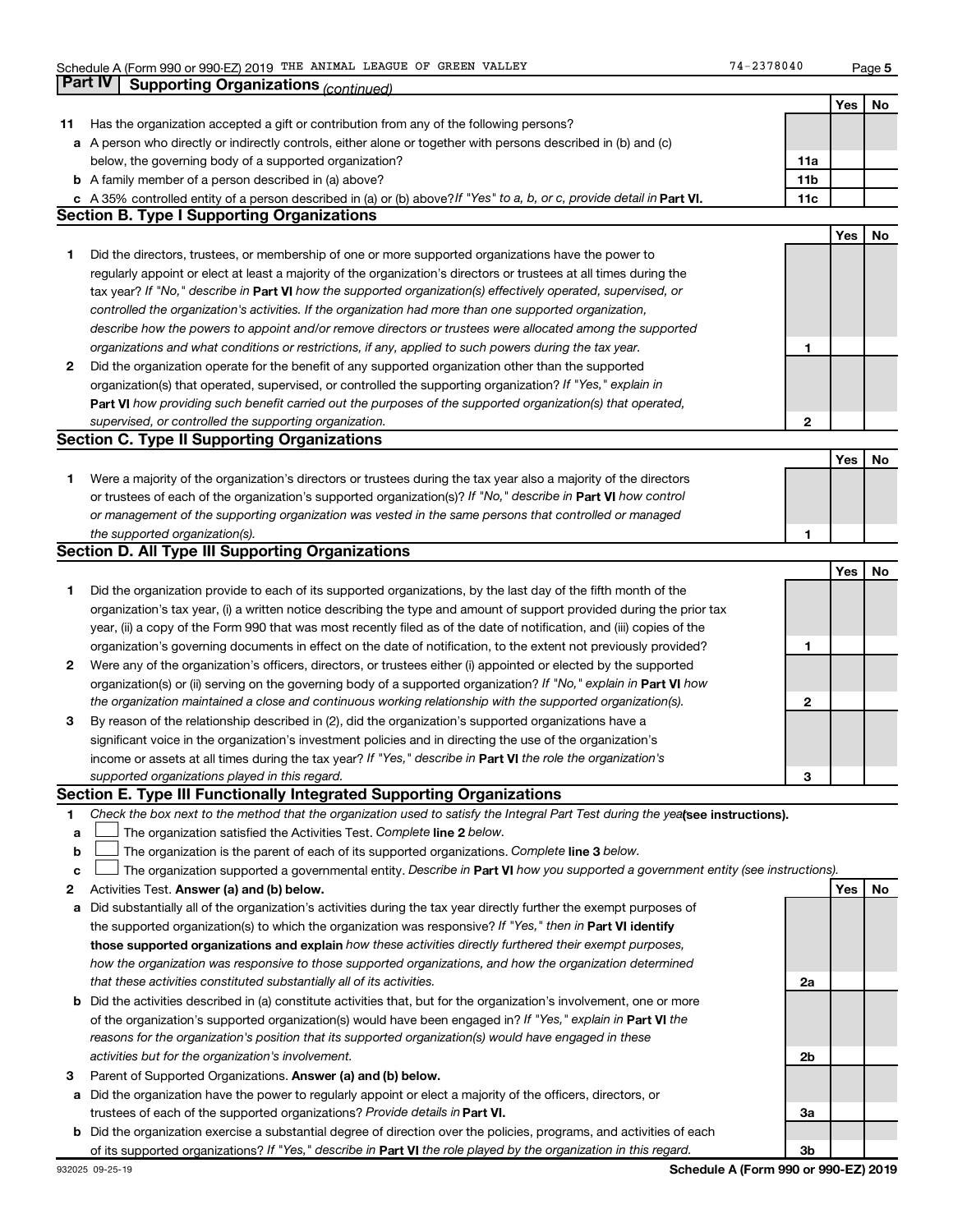**5**

|    | Part IV<br><b>Supporting Organizations (continued)</b>                                                                          |                 |     |    |
|----|---------------------------------------------------------------------------------------------------------------------------------|-----------------|-----|----|
|    |                                                                                                                                 |                 | Yes | No |
| 11 | Has the organization accepted a gift or contribution from any of the following persons?                                         |                 |     |    |
|    | a A person who directly or indirectly controls, either alone or together with persons described in (b) and (c)                  |                 |     |    |
|    | below, the governing body of a supported organization?                                                                          | 11a             |     |    |
|    | <b>b</b> A family member of a person described in (a) above?                                                                    | 11 <sub>b</sub> |     |    |
|    | c A 35% controlled entity of a person described in (a) or (b) above? If "Yes" to a, b, or c, provide detail in Part VI.         | 11c             |     |    |
|    | <b>Section B. Type I Supporting Organizations</b>                                                                               |                 |     |    |
|    |                                                                                                                                 |                 | Yes | No |
| 1  | Did the directors, trustees, or membership of one or more supported organizations have the power to                             |                 |     |    |
|    | regularly appoint or elect at least a majority of the organization's directors or trustees at all times during the              |                 |     |    |
|    | tax year? If "No," describe in Part VI how the supported organization(s) effectively operated, supervised, or                   |                 |     |    |
|    | controlled the organization's activities. If the organization had more than one supported organization,                         |                 |     |    |
|    | describe how the powers to appoint and/or remove directors or trustees were allocated among the supported                       |                 |     |    |
|    | organizations and what conditions or restrictions, if any, applied to such powers during the tax year.                          | 1               |     |    |
| 2  |                                                                                                                                 |                 |     |    |
|    | Did the organization operate for the benefit of any supported organization other than the supported                             |                 |     |    |
|    | organization(s) that operated, supervised, or controlled the supporting organization? If "Yes," explain in                      |                 |     |    |
|    | Part VI how providing such benefit carried out the purposes of the supported organization(s) that operated,                     |                 |     |    |
|    | supervised, or controlled the supporting organization.                                                                          | $\mathbf{2}$    |     |    |
|    | <b>Section C. Type II Supporting Organizations</b>                                                                              |                 |     |    |
|    |                                                                                                                                 |                 | Yes | No |
| 1. | Were a majority of the organization's directors or trustees during the tax year also a majority of the directors                |                 |     |    |
|    | or trustees of each of the organization's supported organization(s)? If "No," describe in Part VI how control                   |                 |     |    |
|    | or management of the supporting organization was vested in the same persons that controlled or managed                          |                 |     |    |
|    | the supported organization(s).                                                                                                  | 1               |     |    |
|    | <b>Section D. All Type III Supporting Organizations</b>                                                                         |                 |     |    |
|    |                                                                                                                                 |                 | Yes | No |
| 1  | Did the organization provide to each of its supported organizations, by the last day of the fifth month of the                  |                 |     |    |
|    | organization's tax year, (i) a written notice describing the type and amount of support provided during the prior tax           |                 |     |    |
|    | year, (ii) a copy of the Form 990 that was most recently filed as of the date of notification, and (iii) copies of the          |                 |     |    |
|    | organization's governing documents in effect on the date of notification, to the extent not previously provided?                | 1               |     |    |
| 2  | Were any of the organization's officers, directors, or trustees either (i) appointed or elected by the supported                |                 |     |    |
|    | organization(s) or (ii) serving on the governing body of a supported organization? If "No," explain in Part VI how              |                 |     |    |
|    | the organization maintained a close and continuous working relationship with the supported organization(s).                     | $\mathbf{2}$    |     |    |
| 3  | By reason of the relationship described in (2), did the organization's supported organizations have a                           |                 |     |    |
|    | significant voice in the organization's investment policies and in directing the use of the organization's                      |                 |     |    |
|    | income or assets at all times during the tax year? If "Yes," describe in Part VI the role the organization's                    |                 |     |    |
|    | supported organizations played in this regard.                                                                                  | з               |     |    |
|    | Section E. Type III Functionally Integrated Supporting Organizations                                                            |                 |     |    |
| 1  | Check the box next to the method that the organization used to satisfy the Integral Part Test during the yealsee instructions). |                 |     |    |
| a  | The organization satisfied the Activities Test. Complete line 2 below.                                                          |                 |     |    |
| b  | The organization is the parent of each of its supported organizations. Complete line 3 below.                                   |                 |     |    |
| c  | The organization supported a governmental entity. Describe in Part VI how you supported a government entity (see instructions). |                 |     |    |
| 2  | Activities Test. Answer (a) and (b) below.                                                                                      |                 | Yes | No |
| а  | Did substantially all of the organization's activities during the tax year directly further the exempt purposes of              |                 |     |    |
|    | the supported organization(s) to which the organization was responsive? If "Yes," then in Part VI identify                      |                 |     |    |
|    | those supported organizations and explain how these activities directly furthered their exempt purposes,                        |                 |     |    |
|    | how the organization was responsive to those supported organizations, and how the organization determined                       |                 |     |    |
|    | that these activities constituted substantially all of its activities.                                                          | 2a              |     |    |
|    | <b>b</b> Did the activities described in (a) constitute activities that, but for the organization's involvement, one or more    |                 |     |    |
|    | of the organization's supported organization(s) would have been engaged in? If "Yes," explain in Part VI the                    |                 |     |    |
|    | reasons for the organization's position that its supported organization(s) would have engaged in these                          |                 |     |    |
|    | activities but for the organization's involvement.                                                                              | 2b              |     |    |
|    |                                                                                                                                 |                 |     |    |
| з  | Parent of Supported Organizations. Answer (a) and (b) below.                                                                    |                 |     |    |
| а  | Did the organization have the power to regularly appoint or elect a majority of the officers, directors, or                     |                 |     |    |
|    | trustees of each of the supported organizations? Provide details in Part VI.                                                    | За              |     |    |
|    | <b>b</b> Did the organization exercise a substantial degree of direction over the policies, programs, and activities of each    |                 |     |    |
|    | of its supported organizations? If "Yes," describe in Part VI the role played by the organization in this regard.               | 3b              |     |    |

**Schedule A (Form 990 or 990-EZ) 2019**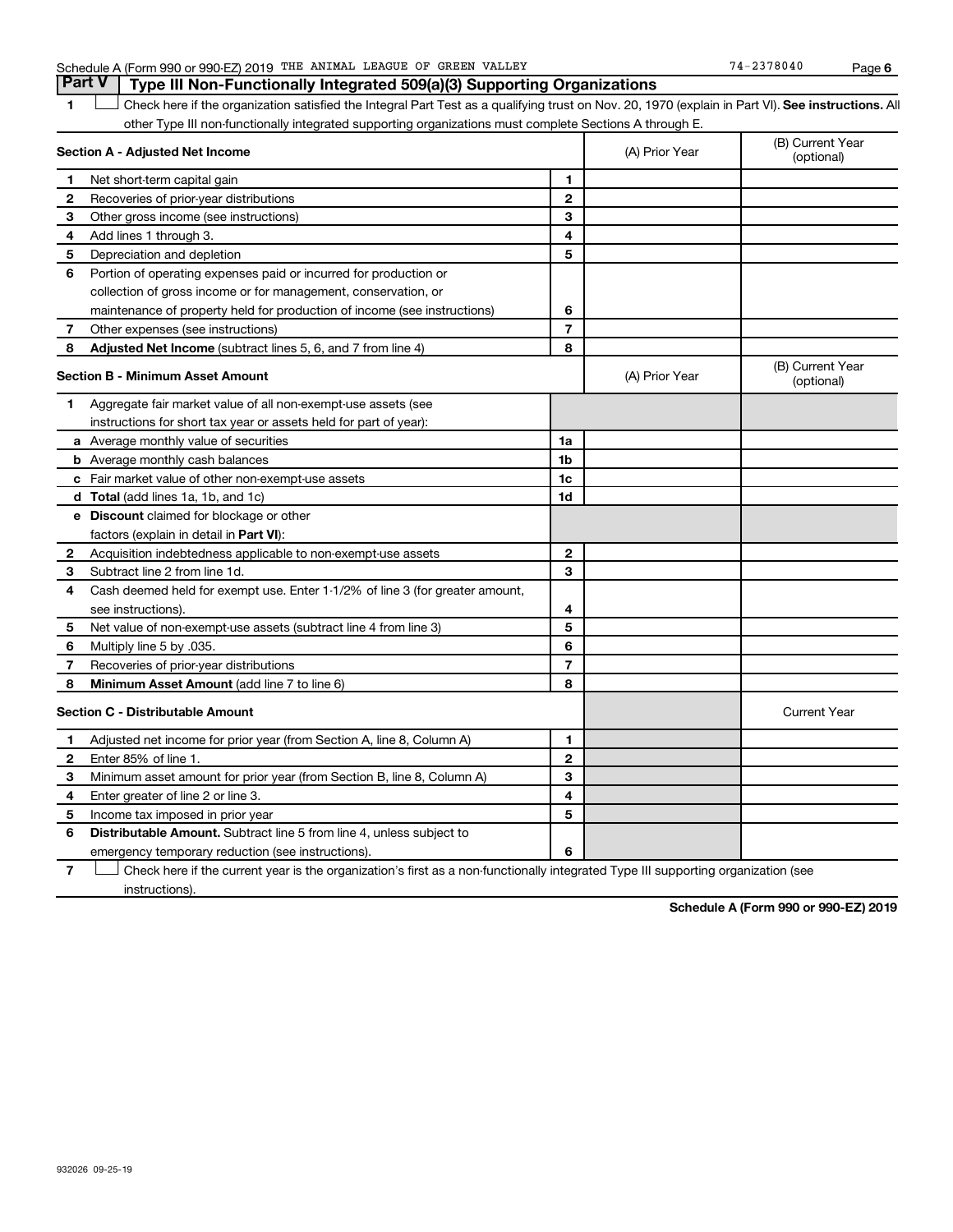# Schedule A (Form 990 or 990-EZ) 2019 THE ANIMAL LEAGUE OF GREEN VALLEY 74-2378040 Page

1 **Letter See instructions.** All Check here if the organization satisfied the Integral Part Test as a qualifying trust on Nov. 20, 1970 (explain in Part VI). See instructions. All other Type III non-functionally integrated supporting organizations must complete Sections A through E.

| Section A - Adjusted Net Income         |                                                                              | (A) Prior Year | (B) Current Year<br>(optional) |                                |
|-----------------------------------------|------------------------------------------------------------------------------|----------------|--------------------------------|--------------------------------|
| 1                                       | Net short-term capital gain                                                  | 1              |                                |                                |
| 2                                       | Recoveries of prior-year distributions                                       | $\overline{2}$ |                                |                                |
| 3                                       | Other gross income (see instructions)                                        | 3              |                                |                                |
| 4                                       | Add lines 1 through 3.                                                       | 4              |                                |                                |
| 5                                       | Depreciation and depletion                                                   | 5              |                                |                                |
| 6                                       | Portion of operating expenses paid or incurred for production or             |                |                                |                                |
|                                         | collection of gross income or for management, conservation, or               |                |                                |                                |
|                                         | maintenance of property held for production of income (see instructions)     | 6              |                                |                                |
| 7                                       | Other expenses (see instructions)                                            | $\overline{7}$ |                                |                                |
| 8                                       | Adjusted Net Income (subtract lines 5, 6, and 7 from line 4)                 | 8              |                                |                                |
| <b>Section B - Minimum Asset Amount</b> |                                                                              |                | (A) Prior Year                 | (B) Current Year<br>(optional) |
| 1                                       | Aggregate fair market value of all non-exempt-use assets (see                |                |                                |                                |
|                                         | instructions for short tax year or assets held for part of year):            |                |                                |                                |
|                                         | a Average monthly value of securities                                        | 1a             |                                |                                |
|                                         | <b>b</b> Average monthly cash balances                                       | 1 <sub>b</sub> |                                |                                |
|                                         | c Fair market value of other non-exempt-use assets                           | 1c             |                                |                                |
|                                         | d Total (add lines 1a, 1b, and 1c)                                           | 1d             |                                |                                |
|                                         | <b>e</b> Discount claimed for blockage or other                              |                |                                |                                |
|                                         | factors (explain in detail in Part VI):                                      |                |                                |                                |
| 2                                       | Acquisition indebtedness applicable to non-exempt-use assets                 | $\mathbf{2}$   |                                |                                |
| 3                                       | Subtract line 2 from line 1d.                                                | 3              |                                |                                |
| 4                                       | Cash deemed held for exempt use. Enter 1-1/2% of line 3 (for greater amount, |                |                                |                                |
|                                         | see instructions).                                                           | 4              |                                |                                |
| 5                                       | Net value of non-exempt-use assets (subtract line 4 from line 3)             | 5              |                                |                                |
| 6                                       | Multiply line 5 by .035.                                                     | 6              |                                |                                |
| 7                                       | Recoveries of prior-year distributions                                       | $\overline{7}$ |                                |                                |
| 8                                       | Minimum Asset Amount (add line 7 to line 6)                                  | 8              |                                |                                |
|                                         | <b>Section C - Distributable Amount</b>                                      |                |                                | <b>Current Year</b>            |
| 1                                       | Adjusted net income for prior year (from Section A, line 8, Column A)        | 1              |                                |                                |
| $\mathbf{2}$                            | Enter 85% of line 1.                                                         | $\overline{2}$ |                                |                                |
| 3                                       | Minimum asset amount for prior year (from Section B, line 8, Column A)       | 3              |                                |                                |
| 4                                       | Enter greater of line 2 or line 3.                                           | 4              |                                |                                |
| 5                                       | Income tax imposed in prior year                                             | 5              |                                |                                |
| 6                                       | <b>Distributable Amount.</b> Subtract line 5 from line 4, unless subject to  |                |                                |                                |
|                                         | emergency temporary reduction (see instructions).                            | 6              |                                |                                |

**7** Let Check here if the current year is the organization's first as a non-functionally integrated Type III supporting organization (see instructions).

**Schedule A (Form 990 or 990-EZ) 2019**

**Part V Type III Non-Functionally Integrated 509(a)(3) Supporting Organizations**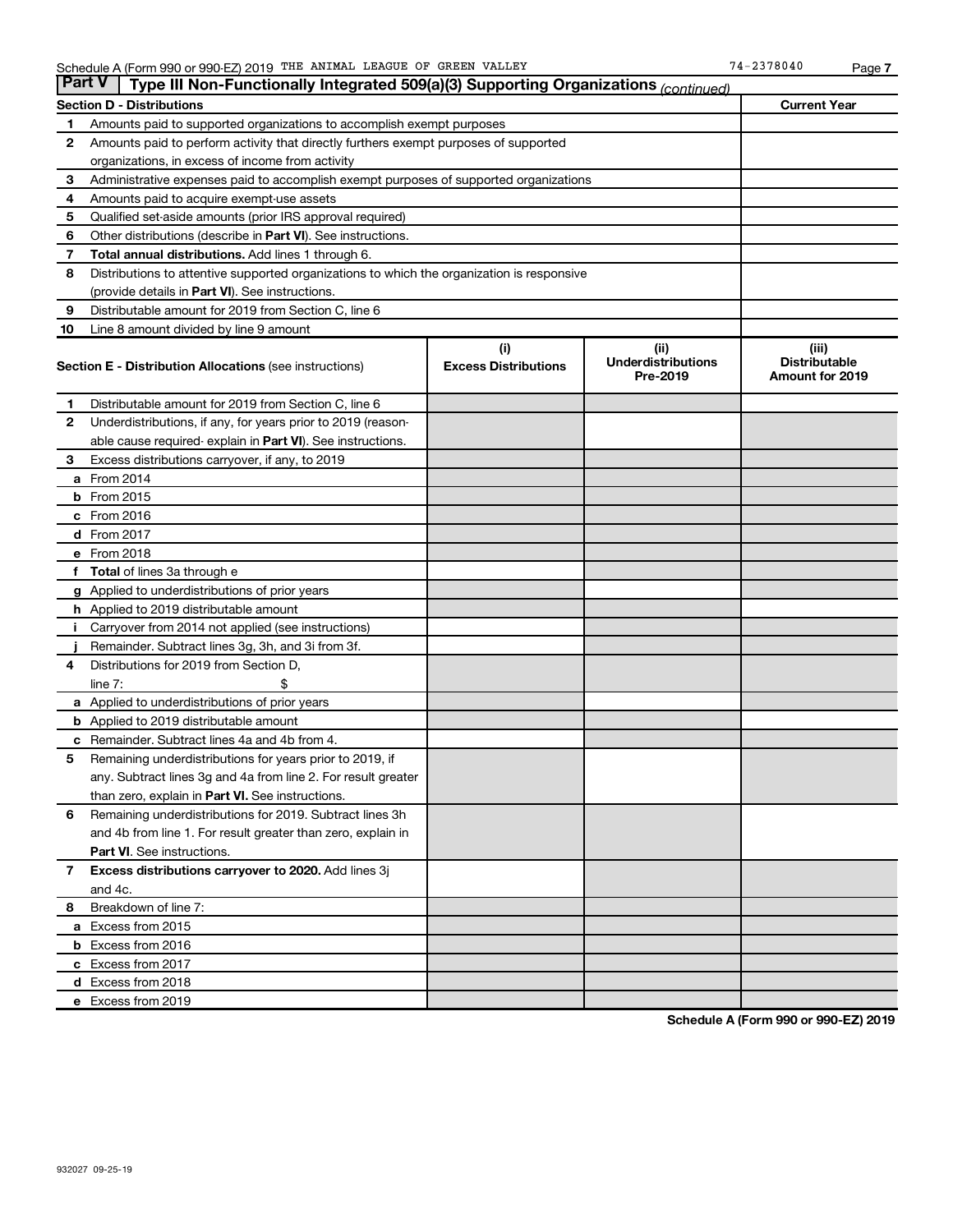| <b>Section D - Distributions</b><br>Amounts paid to supported organizations to accomplish exempt purposes<br>1<br>2<br>Amounts paid to perform activity that directly furthers exempt purposes of supported<br>organizations, in excess of income from activity<br>3<br>Administrative expenses paid to accomplish exempt purposes of supported organizations<br>Amounts paid to acquire exempt-use assets<br>4<br>5<br>Qualified set-aside amounts (prior IRS approval required)<br>6<br>Other distributions (describe in Part VI). See instructions.<br>7<br><b>Total annual distributions.</b> Add lines 1 through 6.<br>8<br>Distributions to attentive supported organizations to which the organization is responsive<br>(provide details in Part VI). See instructions.<br>9<br>Distributable amount for 2019 from Section C, line 6<br>Line 8 amount divided by line 9 amount<br>10<br>(i)<br>(ii)<br>(iii)<br><b>Underdistributions</b><br><b>Distributable</b><br><b>Excess Distributions</b><br><b>Section E - Distribution Allocations (see instructions)</b><br>Pre-2019<br><b>Amount for 2019</b><br>Distributable amount for 2019 from Section C, line 6<br>1.<br>$\mathbf{2}$<br>Underdistributions, if any, for years prior to 2019 (reason-<br>able cause required- explain in Part VI). See instructions.<br>3<br>Excess distributions carryover, if any, to 2019<br>a From 2014<br><b>b</b> From 2015<br>c From 2016<br>d From 2017<br>e From 2018<br>f Total of lines 3a through e<br><b>g</b> Applied to underdistributions of prior years<br><b>h</b> Applied to 2019 distributable amount<br>Carryover from 2014 not applied (see instructions)<br>Remainder. Subtract lines 3g, 3h, and 3i from 3f.<br>Distributions for 2019 from Section D,<br>4<br>$line 7$ :<br><b>a</b> Applied to underdistributions of prior years<br><b>b</b> Applied to 2019 distributable amount<br>Remainder. Subtract lines 4a and 4b from 4.<br>с<br>5<br>Remaining underdistributions for years prior to 2019, if<br>any. Subtract lines 3g and 4a from line 2. For result greater |                     |  |  |  |  |  |  |
|-------------------------------------------------------------------------------------------------------------------------------------------------------------------------------------------------------------------------------------------------------------------------------------------------------------------------------------------------------------------------------------------------------------------------------------------------------------------------------------------------------------------------------------------------------------------------------------------------------------------------------------------------------------------------------------------------------------------------------------------------------------------------------------------------------------------------------------------------------------------------------------------------------------------------------------------------------------------------------------------------------------------------------------------------------------------------------------------------------------------------------------------------------------------------------------------------------------------------------------------------------------------------------------------------------------------------------------------------------------------------------------------------------------------------------------------------------------------------------------------------------------------------------------------------------------------------------------------------------------------------------------------------------------------------------------------------------------------------------------------------------------------------------------------------------------------------------------------------------------------------------------------------------------------------------------------------------------------------------------------------------------------------------------------------------------------------------------------|---------------------|--|--|--|--|--|--|
|                                                                                                                                                                                                                                                                                                                                                                                                                                                                                                                                                                                                                                                                                                                                                                                                                                                                                                                                                                                                                                                                                                                                                                                                                                                                                                                                                                                                                                                                                                                                                                                                                                                                                                                                                                                                                                                                                                                                                                                                                                                                                           | <b>Current Year</b> |  |  |  |  |  |  |
|                                                                                                                                                                                                                                                                                                                                                                                                                                                                                                                                                                                                                                                                                                                                                                                                                                                                                                                                                                                                                                                                                                                                                                                                                                                                                                                                                                                                                                                                                                                                                                                                                                                                                                                                                                                                                                                                                                                                                                                                                                                                                           |                     |  |  |  |  |  |  |
|                                                                                                                                                                                                                                                                                                                                                                                                                                                                                                                                                                                                                                                                                                                                                                                                                                                                                                                                                                                                                                                                                                                                                                                                                                                                                                                                                                                                                                                                                                                                                                                                                                                                                                                                                                                                                                                                                                                                                                                                                                                                                           |                     |  |  |  |  |  |  |
|                                                                                                                                                                                                                                                                                                                                                                                                                                                                                                                                                                                                                                                                                                                                                                                                                                                                                                                                                                                                                                                                                                                                                                                                                                                                                                                                                                                                                                                                                                                                                                                                                                                                                                                                                                                                                                                                                                                                                                                                                                                                                           |                     |  |  |  |  |  |  |
|                                                                                                                                                                                                                                                                                                                                                                                                                                                                                                                                                                                                                                                                                                                                                                                                                                                                                                                                                                                                                                                                                                                                                                                                                                                                                                                                                                                                                                                                                                                                                                                                                                                                                                                                                                                                                                                                                                                                                                                                                                                                                           |                     |  |  |  |  |  |  |
|                                                                                                                                                                                                                                                                                                                                                                                                                                                                                                                                                                                                                                                                                                                                                                                                                                                                                                                                                                                                                                                                                                                                                                                                                                                                                                                                                                                                                                                                                                                                                                                                                                                                                                                                                                                                                                                                                                                                                                                                                                                                                           |                     |  |  |  |  |  |  |
|                                                                                                                                                                                                                                                                                                                                                                                                                                                                                                                                                                                                                                                                                                                                                                                                                                                                                                                                                                                                                                                                                                                                                                                                                                                                                                                                                                                                                                                                                                                                                                                                                                                                                                                                                                                                                                                                                                                                                                                                                                                                                           |                     |  |  |  |  |  |  |
|                                                                                                                                                                                                                                                                                                                                                                                                                                                                                                                                                                                                                                                                                                                                                                                                                                                                                                                                                                                                                                                                                                                                                                                                                                                                                                                                                                                                                                                                                                                                                                                                                                                                                                                                                                                                                                                                                                                                                                                                                                                                                           |                     |  |  |  |  |  |  |
|                                                                                                                                                                                                                                                                                                                                                                                                                                                                                                                                                                                                                                                                                                                                                                                                                                                                                                                                                                                                                                                                                                                                                                                                                                                                                                                                                                                                                                                                                                                                                                                                                                                                                                                                                                                                                                                                                                                                                                                                                                                                                           |                     |  |  |  |  |  |  |
|                                                                                                                                                                                                                                                                                                                                                                                                                                                                                                                                                                                                                                                                                                                                                                                                                                                                                                                                                                                                                                                                                                                                                                                                                                                                                                                                                                                                                                                                                                                                                                                                                                                                                                                                                                                                                                                                                                                                                                                                                                                                                           |                     |  |  |  |  |  |  |
|                                                                                                                                                                                                                                                                                                                                                                                                                                                                                                                                                                                                                                                                                                                                                                                                                                                                                                                                                                                                                                                                                                                                                                                                                                                                                                                                                                                                                                                                                                                                                                                                                                                                                                                                                                                                                                                                                                                                                                                                                                                                                           |                     |  |  |  |  |  |  |
|                                                                                                                                                                                                                                                                                                                                                                                                                                                                                                                                                                                                                                                                                                                                                                                                                                                                                                                                                                                                                                                                                                                                                                                                                                                                                                                                                                                                                                                                                                                                                                                                                                                                                                                                                                                                                                                                                                                                                                                                                                                                                           |                     |  |  |  |  |  |  |
|                                                                                                                                                                                                                                                                                                                                                                                                                                                                                                                                                                                                                                                                                                                                                                                                                                                                                                                                                                                                                                                                                                                                                                                                                                                                                                                                                                                                                                                                                                                                                                                                                                                                                                                                                                                                                                                                                                                                                                                                                                                                                           |                     |  |  |  |  |  |  |
|                                                                                                                                                                                                                                                                                                                                                                                                                                                                                                                                                                                                                                                                                                                                                                                                                                                                                                                                                                                                                                                                                                                                                                                                                                                                                                                                                                                                                                                                                                                                                                                                                                                                                                                                                                                                                                                                                                                                                                                                                                                                                           |                     |  |  |  |  |  |  |
|                                                                                                                                                                                                                                                                                                                                                                                                                                                                                                                                                                                                                                                                                                                                                                                                                                                                                                                                                                                                                                                                                                                                                                                                                                                                                                                                                                                                                                                                                                                                                                                                                                                                                                                                                                                                                                                                                                                                                                                                                                                                                           |                     |  |  |  |  |  |  |
|                                                                                                                                                                                                                                                                                                                                                                                                                                                                                                                                                                                                                                                                                                                                                                                                                                                                                                                                                                                                                                                                                                                                                                                                                                                                                                                                                                                                                                                                                                                                                                                                                                                                                                                                                                                                                                                                                                                                                                                                                                                                                           |                     |  |  |  |  |  |  |
|                                                                                                                                                                                                                                                                                                                                                                                                                                                                                                                                                                                                                                                                                                                                                                                                                                                                                                                                                                                                                                                                                                                                                                                                                                                                                                                                                                                                                                                                                                                                                                                                                                                                                                                                                                                                                                                                                                                                                                                                                                                                                           |                     |  |  |  |  |  |  |
|                                                                                                                                                                                                                                                                                                                                                                                                                                                                                                                                                                                                                                                                                                                                                                                                                                                                                                                                                                                                                                                                                                                                                                                                                                                                                                                                                                                                                                                                                                                                                                                                                                                                                                                                                                                                                                                                                                                                                                                                                                                                                           |                     |  |  |  |  |  |  |
|                                                                                                                                                                                                                                                                                                                                                                                                                                                                                                                                                                                                                                                                                                                                                                                                                                                                                                                                                                                                                                                                                                                                                                                                                                                                                                                                                                                                                                                                                                                                                                                                                                                                                                                                                                                                                                                                                                                                                                                                                                                                                           |                     |  |  |  |  |  |  |
|                                                                                                                                                                                                                                                                                                                                                                                                                                                                                                                                                                                                                                                                                                                                                                                                                                                                                                                                                                                                                                                                                                                                                                                                                                                                                                                                                                                                                                                                                                                                                                                                                                                                                                                                                                                                                                                                                                                                                                                                                                                                                           |                     |  |  |  |  |  |  |
|                                                                                                                                                                                                                                                                                                                                                                                                                                                                                                                                                                                                                                                                                                                                                                                                                                                                                                                                                                                                                                                                                                                                                                                                                                                                                                                                                                                                                                                                                                                                                                                                                                                                                                                                                                                                                                                                                                                                                                                                                                                                                           |                     |  |  |  |  |  |  |
|                                                                                                                                                                                                                                                                                                                                                                                                                                                                                                                                                                                                                                                                                                                                                                                                                                                                                                                                                                                                                                                                                                                                                                                                                                                                                                                                                                                                                                                                                                                                                                                                                                                                                                                                                                                                                                                                                                                                                                                                                                                                                           |                     |  |  |  |  |  |  |
|                                                                                                                                                                                                                                                                                                                                                                                                                                                                                                                                                                                                                                                                                                                                                                                                                                                                                                                                                                                                                                                                                                                                                                                                                                                                                                                                                                                                                                                                                                                                                                                                                                                                                                                                                                                                                                                                                                                                                                                                                                                                                           |                     |  |  |  |  |  |  |
|                                                                                                                                                                                                                                                                                                                                                                                                                                                                                                                                                                                                                                                                                                                                                                                                                                                                                                                                                                                                                                                                                                                                                                                                                                                                                                                                                                                                                                                                                                                                                                                                                                                                                                                                                                                                                                                                                                                                                                                                                                                                                           |                     |  |  |  |  |  |  |
|                                                                                                                                                                                                                                                                                                                                                                                                                                                                                                                                                                                                                                                                                                                                                                                                                                                                                                                                                                                                                                                                                                                                                                                                                                                                                                                                                                                                                                                                                                                                                                                                                                                                                                                                                                                                                                                                                                                                                                                                                                                                                           |                     |  |  |  |  |  |  |
|                                                                                                                                                                                                                                                                                                                                                                                                                                                                                                                                                                                                                                                                                                                                                                                                                                                                                                                                                                                                                                                                                                                                                                                                                                                                                                                                                                                                                                                                                                                                                                                                                                                                                                                                                                                                                                                                                                                                                                                                                                                                                           |                     |  |  |  |  |  |  |
|                                                                                                                                                                                                                                                                                                                                                                                                                                                                                                                                                                                                                                                                                                                                                                                                                                                                                                                                                                                                                                                                                                                                                                                                                                                                                                                                                                                                                                                                                                                                                                                                                                                                                                                                                                                                                                                                                                                                                                                                                                                                                           |                     |  |  |  |  |  |  |
|                                                                                                                                                                                                                                                                                                                                                                                                                                                                                                                                                                                                                                                                                                                                                                                                                                                                                                                                                                                                                                                                                                                                                                                                                                                                                                                                                                                                                                                                                                                                                                                                                                                                                                                                                                                                                                                                                                                                                                                                                                                                                           |                     |  |  |  |  |  |  |
|                                                                                                                                                                                                                                                                                                                                                                                                                                                                                                                                                                                                                                                                                                                                                                                                                                                                                                                                                                                                                                                                                                                                                                                                                                                                                                                                                                                                                                                                                                                                                                                                                                                                                                                                                                                                                                                                                                                                                                                                                                                                                           |                     |  |  |  |  |  |  |
|                                                                                                                                                                                                                                                                                                                                                                                                                                                                                                                                                                                                                                                                                                                                                                                                                                                                                                                                                                                                                                                                                                                                                                                                                                                                                                                                                                                                                                                                                                                                                                                                                                                                                                                                                                                                                                                                                                                                                                                                                                                                                           |                     |  |  |  |  |  |  |
|                                                                                                                                                                                                                                                                                                                                                                                                                                                                                                                                                                                                                                                                                                                                                                                                                                                                                                                                                                                                                                                                                                                                                                                                                                                                                                                                                                                                                                                                                                                                                                                                                                                                                                                                                                                                                                                                                                                                                                                                                                                                                           |                     |  |  |  |  |  |  |
|                                                                                                                                                                                                                                                                                                                                                                                                                                                                                                                                                                                                                                                                                                                                                                                                                                                                                                                                                                                                                                                                                                                                                                                                                                                                                                                                                                                                                                                                                                                                                                                                                                                                                                                                                                                                                                                                                                                                                                                                                                                                                           |                     |  |  |  |  |  |  |
|                                                                                                                                                                                                                                                                                                                                                                                                                                                                                                                                                                                                                                                                                                                                                                                                                                                                                                                                                                                                                                                                                                                                                                                                                                                                                                                                                                                                                                                                                                                                                                                                                                                                                                                                                                                                                                                                                                                                                                                                                                                                                           |                     |  |  |  |  |  |  |
|                                                                                                                                                                                                                                                                                                                                                                                                                                                                                                                                                                                                                                                                                                                                                                                                                                                                                                                                                                                                                                                                                                                                                                                                                                                                                                                                                                                                                                                                                                                                                                                                                                                                                                                                                                                                                                                                                                                                                                                                                                                                                           |                     |  |  |  |  |  |  |
|                                                                                                                                                                                                                                                                                                                                                                                                                                                                                                                                                                                                                                                                                                                                                                                                                                                                                                                                                                                                                                                                                                                                                                                                                                                                                                                                                                                                                                                                                                                                                                                                                                                                                                                                                                                                                                                                                                                                                                                                                                                                                           |                     |  |  |  |  |  |  |
|                                                                                                                                                                                                                                                                                                                                                                                                                                                                                                                                                                                                                                                                                                                                                                                                                                                                                                                                                                                                                                                                                                                                                                                                                                                                                                                                                                                                                                                                                                                                                                                                                                                                                                                                                                                                                                                                                                                                                                                                                                                                                           |                     |  |  |  |  |  |  |
| than zero, explain in Part VI. See instructions.                                                                                                                                                                                                                                                                                                                                                                                                                                                                                                                                                                                                                                                                                                                                                                                                                                                                                                                                                                                                                                                                                                                                                                                                                                                                                                                                                                                                                                                                                                                                                                                                                                                                                                                                                                                                                                                                                                                                                                                                                                          |                     |  |  |  |  |  |  |
| Remaining underdistributions for 2019. Subtract lines 3h<br>6                                                                                                                                                                                                                                                                                                                                                                                                                                                                                                                                                                                                                                                                                                                                                                                                                                                                                                                                                                                                                                                                                                                                                                                                                                                                                                                                                                                                                                                                                                                                                                                                                                                                                                                                                                                                                                                                                                                                                                                                                             |                     |  |  |  |  |  |  |
| and 4b from line 1. For result greater than zero, explain in                                                                                                                                                                                                                                                                                                                                                                                                                                                                                                                                                                                                                                                                                                                                                                                                                                                                                                                                                                                                                                                                                                                                                                                                                                                                                                                                                                                                                                                                                                                                                                                                                                                                                                                                                                                                                                                                                                                                                                                                                              |                     |  |  |  |  |  |  |
| <b>Part VI.</b> See instructions.                                                                                                                                                                                                                                                                                                                                                                                                                                                                                                                                                                                                                                                                                                                                                                                                                                                                                                                                                                                                                                                                                                                                                                                                                                                                                                                                                                                                                                                                                                                                                                                                                                                                                                                                                                                                                                                                                                                                                                                                                                                         |                     |  |  |  |  |  |  |
| Excess distributions carryover to 2020. Add lines 3j<br>$\mathbf{7}$                                                                                                                                                                                                                                                                                                                                                                                                                                                                                                                                                                                                                                                                                                                                                                                                                                                                                                                                                                                                                                                                                                                                                                                                                                                                                                                                                                                                                                                                                                                                                                                                                                                                                                                                                                                                                                                                                                                                                                                                                      |                     |  |  |  |  |  |  |
| and 4c.                                                                                                                                                                                                                                                                                                                                                                                                                                                                                                                                                                                                                                                                                                                                                                                                                                                                                                                                                                                                                                                                                                                                                                                                                                                                                                                                                                                                                                                                                                                                                                                                                                                                                                                                                                                                                                                                                                                                                                                                                                                                                   |                     |  |  |  |  |  |  |
| Breakdown of line 7:<br>8                                                                                                                                                                                                                                                                                                                                                                                                                                                                                                                                                                                                                                                                                                                                                                                                                                                                                                                                                                                                                                                                                                                                                                                                                                                                                                                                                                                                                                                                                                                                                                                                                                                                                                                                                                                                                                                                                                                                                                                                                                                                 |                     |  |  |  |  |  |  |
| a Excess from 2015                                                                                                                                                                                                                                                                                                                                                                                                                                                                                                                                                                                                                                                                                                                                                                                                                                                                                                                                                                                                                                                                                                                                                                                                                                                                                                                                                                                                                                                                                                                                                                                                                                                                                                                                                                                                                                                                                                                                                                                                                                                                        |                     |  |  |  |  |  |  |
| <b>b</b> Excess from 2016                                                                                                                                                                                                                                                                                                                                                                                                                                                                                                                                                                                                                                                                                                                                                                                                                                                                                                                                                                                                                                                                                                                                                                                                                                                                                                                                                                                                                                                                                                                                                                                                                                                                                                                                                                                                                                                                                                                                                                                                                                                                 |                     |  |  |  |  |  |  |
| c Excess from 2017                                                                                                                                                                                                                                                                                                                                                                                                                                                                                                                                                                                                                                                                                                                                                                                                                                                                                                                                                                                                                                                                                                                                                                                                                                                                                                                                                                                                                                                                                                                                                                                                                                                                                                                                                                                                                                                                                                                                                                                                                                                                        |                     |  |  |  |  |  |  |
| d Excess from 2018                                                                                                                                                                                                                                                                                                                                                                                                                                                                                                                                                                                                                                                                                                                                                                                                                                                                                                                                                                                                                                                                                                                                                                                                                                                                                                                                                                                                                                                                                                                                                                                                                                                                                                                                                                                                                                                                                                                                                                                                                                                                        |                     |  |  |  |  |  |  |
| e Excess from 2019                                                                                                                                                                                                                                                                                                                                                                                                                                                                                                                                                                                                                                                                                                                                                                                                                                                                                                                                                                                                                                                                                                                                                                                                                                                                                                                                                                                                                                                                                                                                                                                                                                                                                                                                                                                                                                                                                                                                                                                                                                                                        |                     |  |  |  |  |  |  |

**Schedule A (Form 990 or 990-EZ) 2019**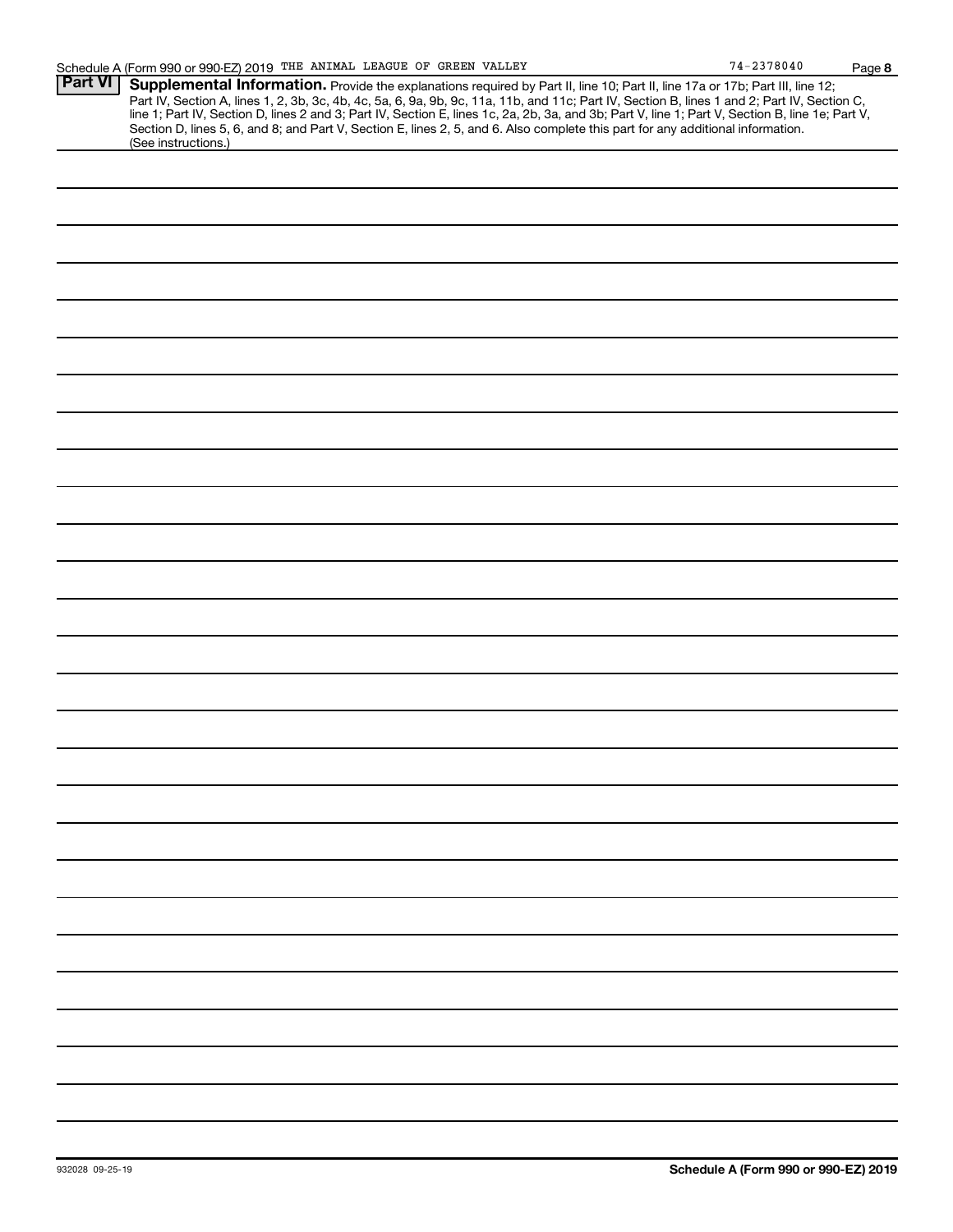|                | Schedule A (Form 990 or 990-EZ) 2019 THE ANIMAL LEAGUE OF GREEN VALLEY                                                                                                                                                                                                                                                                                                                                                            | $74 - 2378040$ | Page 8 |
|----------------|-----------------------------------------------------------------------------------------------------------------------------------------------------------------------------------------------------------------------------------------------------------------------------------------------------------------------------------------------------------------------------------------------------------------------------------|----------------|--------|
| <b>Part VI</b> | Supplemental Information. Provide the explanations required by Part II, line 10; Part II, line 17a or 17b; Part III, line 12;<br>Part IV, Section A, lines 1, 2, 3b, 3c, 4b, 4c, 5a, 6, 9a, 9b, 9c, 11a, 11b, and 11c; Part IV, Section B, lines 1 and 2; Part IV, Section C,<br>line 1; Part IV, Section D, lines 2 and 3; Part IV, Section E, lines 1c, 2a, 2b, 3a, and 3b; Part V, line 1; Part V, Section B, line 1e; Part V, |                |        |
|                | Section D, lines 5, 6, and 8; and Part V, Section E, lines 2, 5, and 6. Also complete this part for any additional information.<br>(See instructions.)                                                                                                                                                                                                                                                                            |                |        |
|                |                                                                                                                                                                                                                                                                                                                                                                                                                                   |                |        |
|                |                                                                                                                                                                                                                                                                                                                                                                                                                                   |                |        |
|                |                                                                                                                                                                                                                                                                                                                                                                                                                                   |                |        |
|                |                                                                                                                                                                                                                                                                                                                                                                                                                                   |                |        |
|                |                                                                                                                                                                                                                                                                                                                                                                                                                                   |                |        |
|                |                                                                                                                                                                                                                                                                                                                                                                                                                                   |                |        |
|                |                                                                                                                                                                                                                                                                                                                                                                                                                                   |                |        |
|                |                                                                                                                                                                                                                                                                                                                                                                                                                                   |                |        |
|                |                                                                                                                                                                                                                                                                                                                                                                                                                                   |                |        |
|                |                                                                                                                                                                                                                                                                                                                                                                                                                                   |                |        |
|                |                                                                                                                                                                                                                                                                                                                                                                                                                                   |                |        |
|                |                                                                                                                                                                                                                                                                                                                                                                                                                                   |                |        |
|                |                                                                                                                                                                                                                                                                                                                                                                                                                                   |                |        |
|                |                                                                                                                                                                                                                                                                                                                                                                                                                                   |                |        |
|                |                                                                                                                                                                                                                                                                                                                                                                                                                                   |                |        |
|                |                                                                                                                                                                                                                                                                                                                                                                                                                                   |                |        |
|                |                                                                                                                                                                                                                                                                                                                                                                                                                                   |                |        |
|                |                                                                                                                                                                                                                                                                                                                                                                                                                                   |                |        |
|                |                                                                                                                                                                                                                                                                                                                                                                                                                                   |                |        |
|                |                                                                                                                                                                                                                                                                                                                                                                                                                                   |                |        |
|                |                                                                                                                                                                                                                                                                                                                                                                                                                                   |                |        |
|                |                                                                                                                                                                                                                                                                                                                                                                                                                                   |                |        |
|                |                                                                                                                                                                                                                                                                                                                                                                                                                                   |                |        |
|                |                                                                                                                                                                                                                                                                                                                                                                                                                                   |                |        |
|                |                                                                                                                                                                                                                                                                                                                                                                                                                                   |                |        |
|                |                                                                                                                                                                                                                                                                                                                                                                                                                                   |                |        |
|                |                                                                                                                                                                                                                                                                                                                                                                                                                                   |                |        |
|                |                                                                                                                                                                                                                                                                                                                                                                                                                                   |                |        |
|                |                                                                                                                                                                                                                                                                                                                                                                                                                                   |                |        |
|                |                                                                                                                                                                                                                                                                                                                                                                                                                                   |                |        |
|                |                                                                                                                                                                                                                                                                                                                                                                                                                                   |                |        |
|                |                                                                                                                                                                                                                                                                                                                                                                                                                                   |                |        |
|                |                                                                                                                                                                                                                                                                                                                                                                                                                                   |                |        |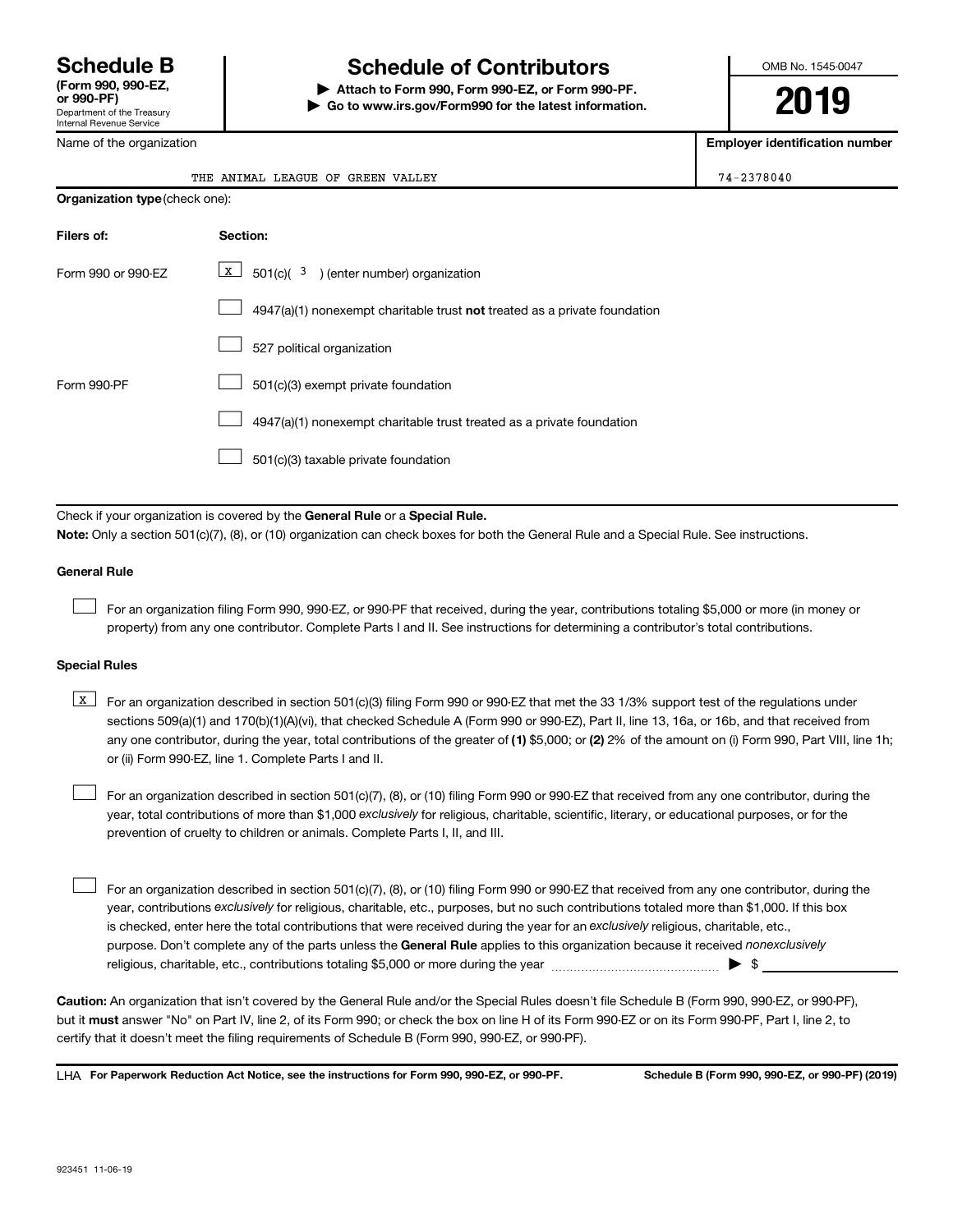# **Schedule B Schedule of Contributors**

**or 990-PF) | Attach to Form 990, Form 990-EZ, or Form 990-PF. | Go to www.irs.gov/Form990 for the latest information.** OMB No. 1545-0047

**2019**

| Department of the Treasury<br>Internal Revenue Service                                                                                                                                                                                                                                                                                                                           |                                                                                                                                                                                                                                                                                                                                                                                                                                                                                                           | Go to www.irs.gov/Form990 for the latest information.                                                                                                                                                                                                                            | LU IJ                                 |  |  |  |
|----------------------------------------------------------------------------------------------------------------------------------------------------------------------------------------------------------------------------------------------------------------------------------------------------------------------------------------------------------------------------------|-----------------------------------------------------------------------------------------------------------------------------------------------------------------------------------------------------------------------------------------------------------------------------------------------------------------------------------------------------------------------------------------------------------------------------------------------------------------------------------------------------------|----------------------------------------------------------------------------------------------------------------------------------------------------------------------------------------------------------------------------------------------------------------------------------|---------------------------------------|--|--|--|
| Name of the organization                                                                                                                                                                                                                                                                                                                                                         |                                                                                                                                                                                                                                                                                                                                                                                                                                                                                                           |                                                                                                                                                                                                                                                                                  | <b>Employer identification number</b> |  |  |  |
|                                                                                                                                                                                                                                                                                                                                                                                  |                                                                                                                                                                                                                                                                                                                                                                                                                                                                                                           | THE ANIMAL LEAGUE OF GREEN VALLEY                                                                                                                                                                                                                                                | 74-2378040                            |  |  |  |
|                                                                                                                                                                                                                                                                                                                                                                                  | Organization type (check one):                                                                                                                                                                                                                                                                                                                                                                                                                                                                            |                                                                                                                                                                                                                                                                                  |                                       |  |  |  |
| Filers of:                                                                                                                                                                                                                                                                                                                                                                       |                                                                                                                                                                                                                                                                                                                                                                                                                                                                                                           | Section:                                                                                                                                                                                                                                                                         |                                       |  |  |  |
| Form 990 or 990-EZ                                                                                                                                                                                                                                                                                                                                                               |                                                                                                                                                                                                                                                                                                                                                                                                                                                                                                           | $\mathbf{X}$<br>$501(c)$ $(3)$ (enter number) organization                                                                                                                                                                                                                       |                                       |  |  |  |
|                                                                                                                                                                                                                                                                                                                                                                                  |                                                                                                                                                                                                                                                                                                                                                                                                                                                                                                           | $4947(a)(1)$ nonexempt charitable trust <b>not</b> treated as a private foundation                                                                                                                                                                                               |                                       |  |  |  |
|                                                                                                                                                                                                                                                                                                                                                                                  |                                                                                                                                                                                                                                                                                                                                                                                                                                                                                                           | 527 political organization                                                                                                                                                                                                                                                       |                                       |  |  |  |
| Form 990-PF                                                                                                                                                                                                                                                                                                                                                                      |                                                                                                                                                                                                                                                                                                                                                                                                                                                                                                           | 501(c)(3) exempt private foundation                                                                                                                                                                                                                                              |                                       |  |  |  |
|                                                                                                                                                                                                                                                                                                                                                                                  |                                                                                                                                                                                                                                                                                                                                                                                                                                                                                                           | 4947(a)(1) nonexempt charitable trust treated as a private foundation                                                                                                                                                                                                            |                                       |  |  |  |
|                                                                                                                                                                                                                                                                                                                                                                                  |                                                                                                                                                                                                                                                                                                                                                                                                                                                                                                           | 501(c)(3) taxable private foundation                                                                                                                                                                                                                                             |                                       |  |  |  |
|                                                                                                                                                                                                                                                                                                                                                                                  |                                                                                                                                                                                                                                                                                                                                                                                                                                                                                                           |                                                                                                                                                                                                                                                                                  |                                       |  |  |  |
|                                                                                                                                                                                                                                                                                                                                                                                  |                                                                                                                                                                                                                                                                                                                                                                                                                                                                                                           | Check if your organization is covered by the General Rule or a Special Rule.<br>Note: Only a section 501(c)(7), (8), or (10) organization can check boxes for both the General Rule and a Special Rule. See instructions.                                                        |                                       |  |  |  |
| <b>General Rule</b>                                                                                                                                                                                                                                                                                                                                                              |                                                                                                                                                                                                                                                                                                                                                                                                                                                                                                           |                                                                                                                                                                                                                                                                                  |                                       |  |  |  |
|                                                                                                                                                                                                                                                                                                                                                                                  |                                                                                                                                                                                                                                                                                                                                                                                                                                                                                                           | For an organization filing Form 990, 990-EZ, or 990-PF that received, during the year, contributions totaling \$5,000 or more (in money or<br>property) from any one contributor. Complete Parts I and II. See instructions for determining a contributor's total contributions. |                                       |  |  |  |
| <b>Special Rules</b>                                                                                                                                                                                                                                                                                                                                                             |                                                                                                                                                                                                                                                                                                                                                                                                                                                                                                           |                                                                                                                                                                                                                                                                                  |                                       |  |  |  |
| x                                                                                                                                                                                                                                                                                                                                                                                | For an organization described in section 501(c)(3) filing Form 990 or 990-EZ that met the 33 1/3% support test of the regulations under<br>sections 509(a)(1) and 170(b)(1)(A)(vi), that checked Schedule A (Form 990 or 990-EZ), Part II, line 13, 16a, or 16b, and that received from<br>any one contributor, during the year, total contributions of the greater of (1) \$5,000; or (2) 2% of the amount on (i) Form 990, Part VIII, line 1h;<br>or (ii) Form 990-EZ, line 1. Complete Parts I and II. |                                                                                                                                                                                                                                                                                  |                                       |  |  |  |
| For an organization described in section 501(c)(7), (8), or (10) filing Form 990 or 990-EZ that received from any one contributor, during the<br>year, total contributions of more than \$1,000 exclusively for religious, charitable, scientific, literary, or educational purposes, or for the<br>prevention of cruelty to children or animals. Complete Parts I, II, and III. |                                                                                                                                                                                                                                                                                                                                                                                                                                                                                                           |                                                                                                                                                                                                                                                                                  |                                       |  |  |  |
|                                                                                                                                                                                                                                                                                                                                                                                  |                                                                                                                                                                                                                                                                                                                                                                                                                                                                                                           | For an organization described in section 501(c)(7), (8), or (10) filing Form 990 or 990-EZ that received from any one contributor, during the                                                                                                                                    |                                       |  |  |  |

purpose. Don't complete any of the parts unless the General Rule applies to this organization because it received nonexclusively year, contributions exclusively for religious, charitable, etc., purposes, but no such contributions totaled more than \$1,000. If this box is checked, enter here the total contributions that were received during the year for an exclusively religious, charitable, etc., For an organization described in section 501(c)(7), (8), or (10) filing Form 990 or 990-EZ that received from any one contributor, during the religious, charitable, etc., contributions totaling \$5,000 or more during the year  $\ldots$  $\ldots$  $\ldots$  $\ldots$  $\ldots$  $\ldots$ 

**Caution:**  An organization that isn't covered by the General Rule and/or the Special Rules doesn't file Schedule B (Form 990, 990-EZ, or 990-PF),  **must** but it answer "No" on Part IV, line 2, of its Form 990; or check the box on line H of its Form 990-EZ or on its Form 990-PF, Part I, line 2, to certify that it doesn't meet the filing requirements of Schedule B (Form 990, 990-EZ, or 990-PF).

**For Paperwork Reduction Act Notice, see the instructions for Form 990, 990-EZ, or 990-PF. Schedule B (Form 990, 990-EZ, or 990-PF) (2019)** LHA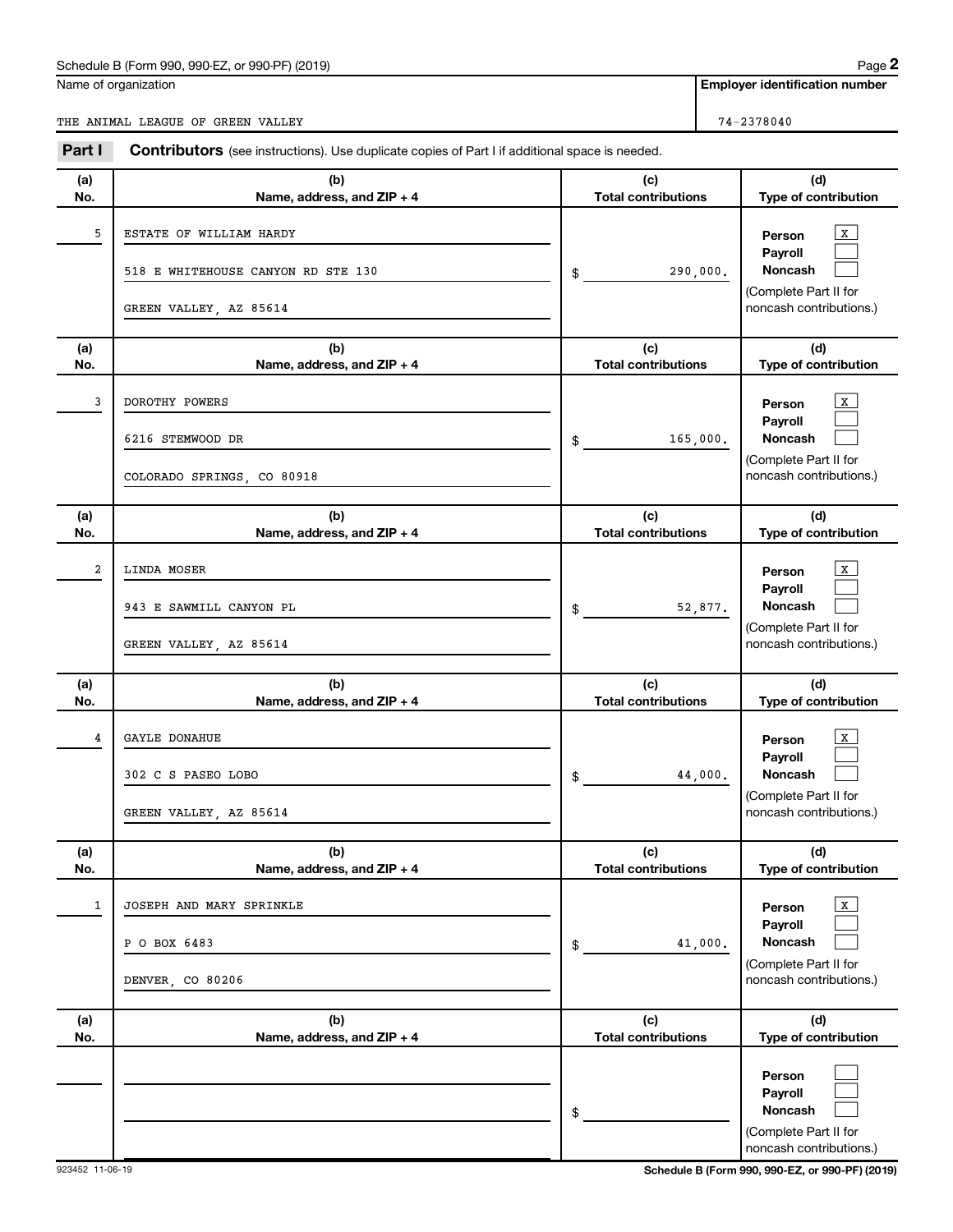## Schedule B (Form 990, 990-EZ, or 990-PF) (2019)

Name of organization

THE ANIMAL LEAGUE OF GREEN VALLEY 74-2378040

**Employer identification number**

| Part I     | <b>Contributors</b> (see instructions). Use duplicate copies of Part I if additional space is needed. |                                   |                                                                                                         |  |  |  |
|------------|-------------------------------------------------------------------------------------------------------|-----------------------------------|---------------------------------------------------------------------------------------------------------|--|--|--|
| (a)<br>No. | (b)<br>Name, address, and ZIP + 4                                                                     | (c)<br><b>Total contributions</b> | (d)<br>Type of contribution                                                                             |  |  |  |
| 5          | ESTATE OF WILLIAM HARDY<br>518 E WHITEHOUSE CANYON RD STE 130<br>GREEN VALLEY, AZ 85614               | 290,000.<br>\$                    | $\mathbf{x}$<br>Person<br>Payroll<br><b>Noncash</b><br>(Complete Part II for<br>noncash contributions.) |  |  |  |
| (a)<br>No. | (b)<br>Name, address, and ZIP + 4                                                                     | (c)<br><b>Total contributions</b> | (d)<br>Type of contribution                                                                             |  |  |  |
| 3          | DOROTHY POWERS<br>6216 STEMWOOD DR<br>COLORADO SPRINGS, CO 80918                                      | 165,000.<br>\$                    | $\mathbf{X}$<br>Person<br>Payroll<br><b>Noncash</b><br>(Complete Part II for<br>noncash contributions.) |  |  |  |
| (a)<br>No. | (b)<br>Name, address, and ZIP + 4                                                                     | (c)<br><b>Total contributions</b> | (d)<br>Type of contribution                                                                             |  |  |  |
| 2          | LINDA MOSER<br>943 E SAWMILL CANYON PL<br>GREEN VALLEY, AZ 85614                                      | 52,877.<br>\$                     | $\mathbf{X}$<br>Person<br>Payroll<br><b>Noncash</b><br>(Complete Part II for<br>noncash contributions.) |  |  |  |
| (a)<br>No. | (b)<br>Name, address, and ZIP + 4                                                                     | (c)<br><b>Total contributions</b> | (d)<br>Type of contribution                                                                             |  |  |  |
| 4          | GAYLE DONAHUE<br>302 C S PASEO LOBO<br>GREEN VALLEY, AZ 85614                                         | 44,000.<br>\$                     | $\mathbf{X}$<br>Person<br>Payroll<br><b>Noncash</b><br>(Complete Part II for<br>noncash contributions.) |  |  |  |
| (a)<br>No. | (b)<br>Name, address, and ZIP + 4                                                                     | (c)<br><b>Total contributions</b> | (d)<br>Type of contribution                                                                             |  |  |  |
| 1          | JOSEPH AND MARY SPRINKLE<br>P O BOX 6483<br>DENVER, CO 80206                                          | 41,000.<br>\$                     | $\mathbf{x}$<br>Person<br>Payroll<br><b>Noncash</b><br>(Complete Part II for<br>noncash contributions.) |  |  |  |
| (a)<br>No. | (b)<br>Name, address, and ZIP + 4                                                                     | (c)<br><b>Total contributions</b> | (d)<br>Type of contribution                                                                             |  |  |  |
|            |                                                                                                       | \$                                | Person<br>Payroll<br><b>Noncash</b><br>(Complete Part II for<br>noncash contributions.)                 |  |  |  |

923452 11-06-19 **Schedule B (Form 990, 990-EZ, or 990-PF) (2019)**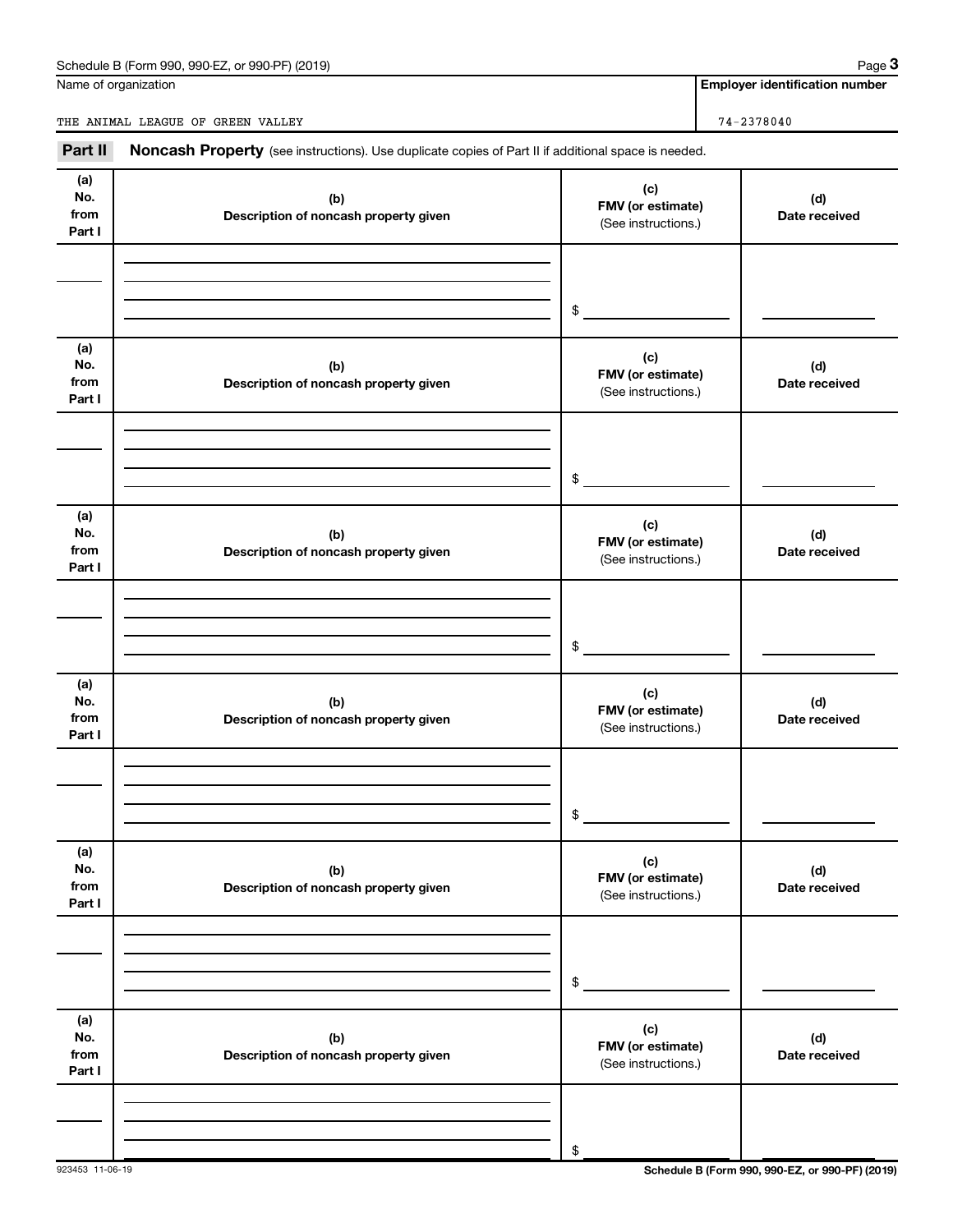## Schedule B (Form 990, 990-EZ, or 990-PF) (2019)

Name of organization

**Employer identification number**

THE ANIMAL LEAGUE OF GREEN VALLEY 74-2378040

Part II Noncash Property (see instructions). Use duplicate copies of Part II if additional space is needed.

| (a)<br>No.<br>from<br>Part I | (b)<br>Description of noncash property given | (c)<br>FMV (or estimate)<br>(See instructions.) | (d)<br>Date received |
|------------------------------|----------------------------------------------|-------------------------------------------------|----------------------|
|                              |                                              | \$                                              |                      |
| (a)<br>No.<br>from<br>Part I | (b)<br>Description of noncash property given | (c)<br>FMV (or estimate)<br>(See instructions.) | (d)<br>Date received |
|                              |                                              | \$                                              |                      |
| (a)<br>No.<br>from<br>Part I | (b)<br>Description of noncash property given | (c)<br>FMV (or estimate)<br>(See instructions.) | (d)<br>Date received |
|                              |                                              | \$                                              |                      |
| (a)<br>No.<br>from<br>Part I | (b)<br>Description of noncash property given | (c)<br>FMV (or estimate)<br>(See instructions.) | (d)<br>Date received |
|                              |                                              | \$                                              |                      |
| (a)<br>No.<br>from<br>Part I | (b)<br>Description of noncash property given | (c)<br>FMV (or estimate)<br>(See instructions.) | (d)<br>Date received |
|                              |                                              | \$                                              |                      |
| (a)<br>No.<br>from<br>Part I | (b)<br>Description of noncash property given | (c)<br>FMV (or estimate)<br>(See instructions.) | (d)<br>Date received |
|                              |                                              | \$                                              |                      |

923453 11-06-19 **Schedule B (Form 990, 990-EZ, or 990-PF) (2019)**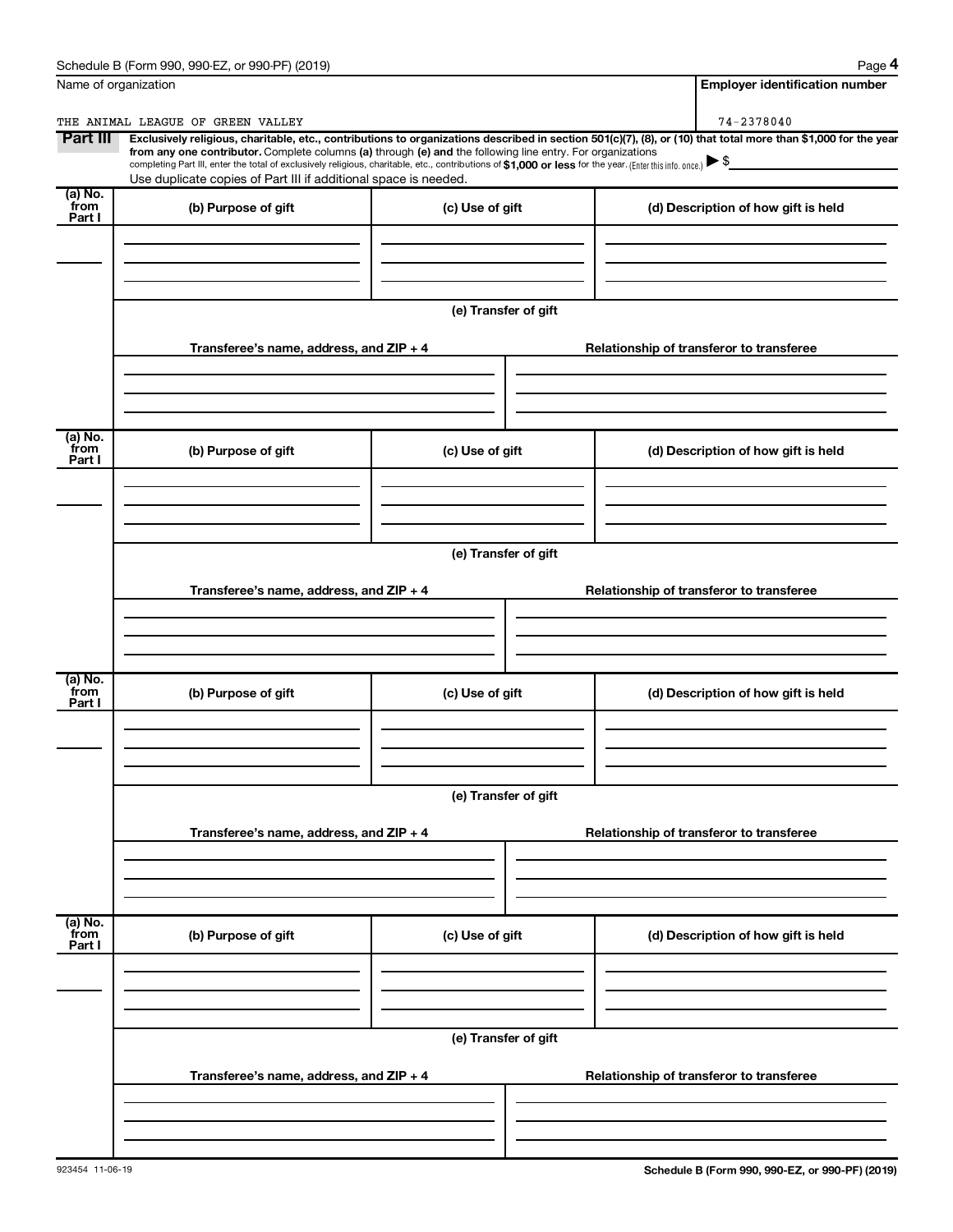| Schedule B (Form 990,<br>(2019)<br>or 990-PF)<br>990-EZ<br>Page |
|-----------------------------------------------------------------|
|-----------------------------------------------------------------|

**4**

|                              | Name of organization                                                                                                                                                                                                                                                                                                                                          |                      | <b>Employer identification number</b>                                                                                                                          |  |  |  |  |  |
|------------------------------|---------------------------------------------------------------------------------------------------------------------------------------------------------------------------------------------------------------------------------------------------------------------------------------------------------------------------------------------------------------|----------------------|----------------------------------------------------------------------------------------------------------------------------------------------------------------|--|--|--|--|--|
|                              | THE ANIMAL LEAGUE OF GREEN VALLEY                                                                                                                                                                                                                                                                                                                             |                      | 74-2378040                                                                                                                                                     |  |  |  |  |  |
| Part III                     | from any one contributor. Complete columns (a) through (e) and the following line entry. For organizations<br>completing Part III, enter the total of exclusively religious, charitable, etc., contributions of \$1,000 or less for the year. (Enter this info. once.) $\triangleright$ \$<br>Use duplicate copies of Part III if additional space is needed. |                      | Exclusively religious, charitable, etc., contributions to organizations described in section 501(c)(7), (8), or (10) that total more than \$1,000 for the year |  |  |  |  |  |
| $(a)$ No.<br>from<br>Part I  | (b) Purpose of gift                                                                                                                                                                                                                                                                                                                                           | (c) Use of gift      | (d) Description of how gift is held                                                                                                                            |  |  |  |  |  |
|                              |                                                                                                                                                                                                                                                                                                                                                               |                      |                                                                                                                                                                |  |  |  |  |  |
|                              |                                                                                                                                                                                                                                                                                                                                                               | (e) Transfer of gift |                                                                                                                                                                |  |  |  |  |  |
|                              | Transferee's name, address, and ZIP + 4                                                                                                                                                                                                                                                                                                                       |                      | Relationship of transferor to transferee                                                                                                                       |  |  |  |  |  |
| $(a)$ No.<br>`from<br>Part I | (b) Purpose of gift                                                                                                                                                                                                                                                                                                                                           | (c) Use of gift      | (d) Description of how gift is held                                                                                                                            |  |  |  |  |  |
|                              |                                                                                                                                                                                                                                                                                                                                                               |                      |                                                                                                                                                                |  |  |  |  |  |
|                              | (e) Transfer of gift                                                                                                                                                                                                                                                                                                                                          |                      |                                                                                                                                                                |  |  |  |  |  |
|                              | Transferee's name, address, and ZIP + 4                                                                                                                                                                                                                                                                                                                       |                      | Relationship of transferor to transferee                                                                                                                       |  |  |  |  |  |
|                              |                                                                                                                                                                                                                                                                                                                                                               |                      |                                                                                                                                                                |  |  |  |  |  |
| $(a)$ No.<br>from<br>Part I  | (b) Purpose of gift                                                                                                                                                                                                                                                                                                                                           | (c) Use of gift      | (d) Description of how gift is held                                                                                                                            |  |  |  |  |  |
|                              |                                                                                                                                                                                                                                                                                                                                                               |                      |                                                                                                                                                                |  |  |  |  |  |
|                              | (e) Transfer of gift                                                                                                                                                                                                                                                                                                                                          |                      |                                                                                                                                                                |  |  |  |  |  |
|                              | Transferee's name, address, and ZIP + 4                                                                                                                                                                                                                                                                                                                       |                      | Relationship of transferor to transferee                                                                                                                       |  |  |  |  |  |
|                              |                                                                                                                                                                                                                                                                                                                                                               |                      |                                                                                                                                                                |  |  |  |  |  |
| (a) No.<br>from<br>Part I    | (b) Purpose of gift                                                                                                                                                                                                                                                                                                                                           | (c) Use of gift      | (d) Description of how gift is held                                                                                                                            |  |  |  |  |  |
|                              |                                                                                                                                                                                                                                                                                                                                                               |                      |                                                                                                                                                                |  |  |  |  |  |
|                              |                                                                                                                                                                                                                                                                                                                                                               | (e) Transfer of gift |                                                                                                                                                                |  |  |  |  |  |
|                              | Transferee's name, address, and ZIP + 4                                                                                                                                                                                                                                                                                                                       |                      | Relationship of transferor to transferee                                                                                                                       |  |  |  |  |  |
|                              |                                                                                                                                                                                                                                                                                                                                                               |                      |                                                                                                                                                                |  |  |  |  |  |
|                              |                                                                                                                                                                                                                                                                                                                                                               |                      |                                                                                                                                                                |  |  |  |  |  |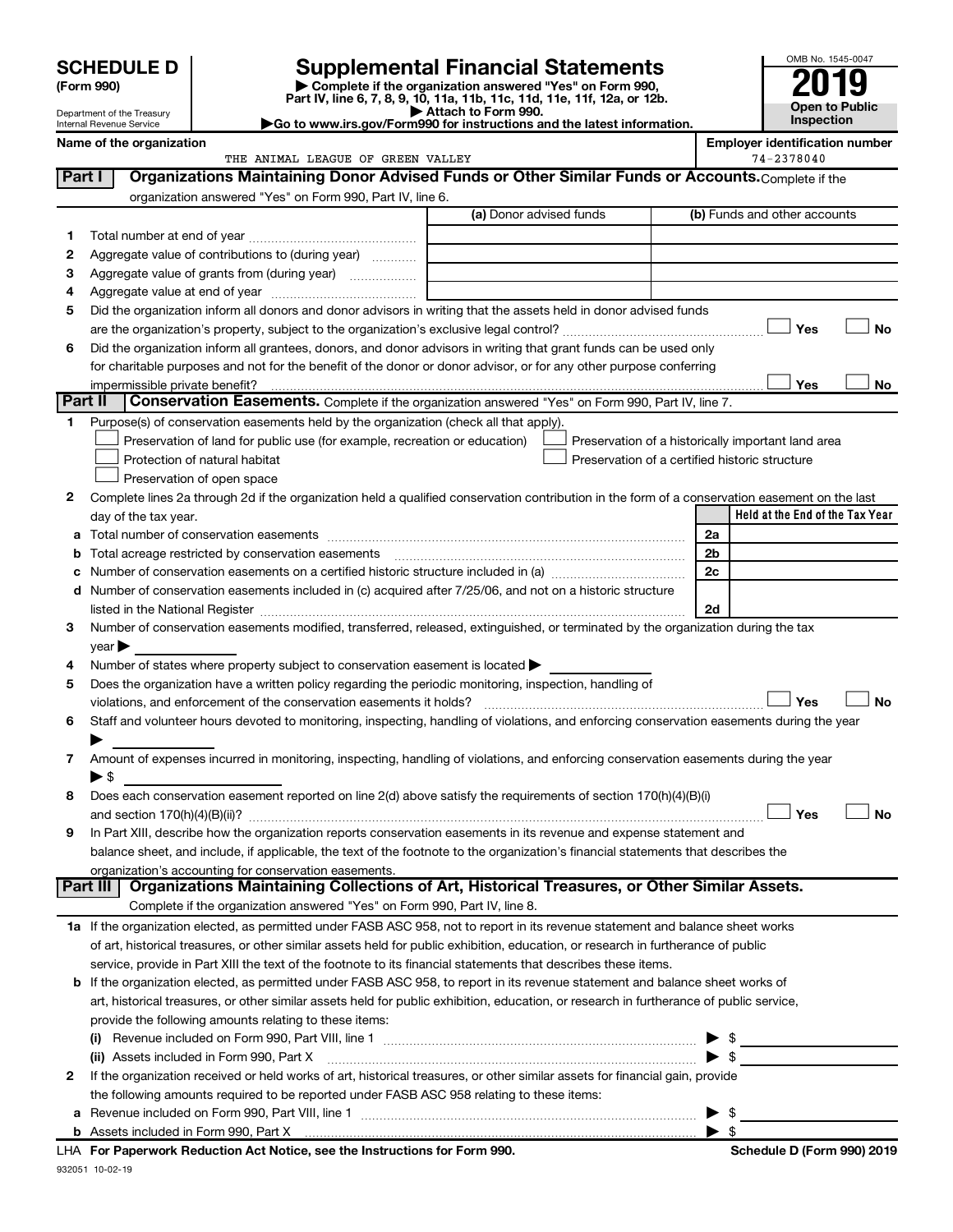| (Form 990) |  |
|------------|--|
|------------|--|

932051 10-02-19

# **SCHEDULE D Supplemental Financial Statements**<br> **Form 990 2019**<br> **Part IV** line 6.7.8.9.10, 11a, 11b, 11d, 11d, 11d, 11d, 11d, 12a, 0r, 12b

**(Form 990) | Complete if the organization answered "Yes" on Form 990, Part IV, line 6, 7, 8, 9, 10, 11a, 11b, 11c, 11d, 11e, 11f, 12a, or 12b.**



Department of the Treasury Internal Revenue Service

**| Attach to Form 990. |Go to www.irs.gov/Form990 for instructions and the latest information.**

|              | Name of the organization<br>THE ANIMAL LEAGUE OF GREEN VALLEY                                                                                  |                         |  | <b>Employer identification number</b><br>74-2378040                                                  |
|--------------|------------------------------------------------------------------------------------------------------------------------------------------------|-------------------------|--|------------------------------------------------------------------------------------------------------|
| Part I       | Organizations Maintaining Donor Advised Funds or Other Similar Funds or Accounts. Complete if the                                              |                         |  |                                                                                                      |
|              |                                                                                                                                                |                         |  |                                                                                                      |
|              | organization answered "Yes" on Form 990, Part IV, line 6.                                                                                      | (a) Donor advised funds |  | (b) Funds and other accounts                                                                         |
|              |                                                                                                                                                |                         |  |                                                                                                      |
| 1            |                                                                                                                                                |                         |  |                                                                                                      |
| 2            | Aggregate value of contributions to (during year)                                                                                              |                         |  |                                                                                                      |
| З            | Aggregate value of grants from (during year)                                                                                                   |                         |  |                                                                                                      |
| 4            |                                                                                                                                                |                         |  |                                                                                                      |
| 5            | Did the organization inform all donors and donor advisors in writing that the assets held in donor advised funds                               |                         |  |                                                                                                      |
|              |                                                                                                                                                |                         |  | Yes<br>No                                                                                            |
| 6            | Did the organization inform all grantees, donors, and donor advisors in writing that grant funds can be used only                              |                         |  |                                                                                                      |
|              | for charitable purposes and not for the benefit of the donor or donor advisor, or for any other purpose conferring                             |                         |  |                                                                                                      |
| Part II      | impermissible private benefit?<br>Conservation Easements. Complete if the organization answered "Yes" on Form 990, Part IV, line 7.            |                         |  | Yes<br>No                                                                                            |
|              |                                                                                                                                                |                         |  |                                                                                                      |
|              | Purpose(s) of conservation easements held by the organization (check all that apply).                                                          |                         |  |                                                                                                      |
|              | Preservation of land for public use (for example, recreation or education)<br>Protection of natural habitat                                    |                         |  | Preservation of a historically important land area<br>Preservation of a certified historic structure |
|              |                                                                                                                                                |                         |  |                                                                                                      |
|              | Preservation of open space                                                                                                                     |                         |  |                                                                                                      |
| 2            | Complete lines 2a through 2d if the organization held a qualified conservation contribution in the form of a conservation easement on the last |                         |  | Held at the End of the Tax Year                                                                      |
|              | day of the tax year.                                                                                                                           |                         |  | 2a                                                                                                   |
| а            |                                                                                                                                                |                         |  | 2 <sub>b</sub>                                                                                       |
| b            |                                                                                                                                                |                         |  | 2c                                                                                                   |
| с<br>d       | Number of conservation easements included in (c) acquired after 7/25/06, and not on a historic structure                                       |                         |  |                                                                                                      |
|              |                                                                                                                                                |                         |  | 2d                                                                                                   |
| З.           | Number of conservation easements modified, transferred, released, extinguished, or terminated by the organization during the tax               |                         |  |                                                                                                      |
|              | year                                                                                                                                           |                         |  |                                                                                                      |
| 4            | Number of states where property subject to conservation easement is located $\blacktriangleright$                                              |                         |  |                                                                                                      |
| 5            | Does the organization have a written policy regarding the periodic monitoring, inspection, handling of                                         |                         |  |                                                                                                      |
|              | violations, and enforcement of the conservation easements it holds?                                                                            |                         |  | Yes<br><b>No</b>                                                                                     |
| 6            | Staff and volunteer hours devoted to monitoring, inspecting, handling of violations, and enforcing conservation easements during the year      |                         |  |                                                                                                      |
|              |                                                                                                                                                |                         |  |                                                                                                      |
| 7            | Amount of expenses incurred in monitoring, inspecting, handling of violations, and enforcing conservation easements during the year            |                         |  |                                                                                                      |
|              | $\blacktriangleright$ \$                                                                                                                       |                         |  |                                                                                                      |
| 8            | Does each conservation easement reported on line 2(d) above satisfy the requirements of section 170(h)(4)(B)(i)                                |                         |  |                                                                                                      |
|              |                                                                                                                                                |                         |  | Yes<br>No                                                                                            |
|              | In Part XIII, describe how the organization reports conservation easements in its revenue and expense statement and                            |                         |  |                                                                                                      |
|              | balance sheet, and include, if applicable, the text of the footnote to the organization's financial statements that describes the              |                         |  |                                                                                                      |
|              | organization's accounting for conservation easements.                                                                                          |                         |  |                                                                                                      |
| Part III     | Organizations Maintaining Collections of Art, Historical Treasures, or Other Similar Assets.                                                   |                         |  |                                                                                                      |
|              | Complete if the organization answered "Yes" on Form 990, Part IV, line 8.                                                                      |                         |  |                                                                                                      |
|              | 1a If the organization elected, as permitted under FASB ASC 958, not to report in its revenue statement and balance sheet works                |                         |  |                                                                                                      |
|              | of art, historical treasures, or other similar assets held for public exhibition, education, or research in furtherance of public              |                         |  |                                                                                                      |
|              | service, provide in Part XIII the text of the footnote to its financial statements that describes these items.                                 |                         |  |                                                                                                      |
| b            | If the organization elected, as permitted under FASB ASC 958, to report in its revenue statement and balance sheet works of                    |                         |  |                                                                                                      |
|              | art, historical treasures, or other similar assets held for public exhibition, education, or research in furtherance of public service,        |                         |  |                                                                                                      |
|              | provide the following amounts relating to these items:                                                                                         |                         |  |                                                                                                      |
|              |                                                                                                                                                |                         |  | \$                                                                                                   |
|              | (ii) Assets included in Form 990, Part X                                                                                                       |                         |  | -\$                                                                                                  |
| $\mathbf{2}$ | If the organization received or held works of art, historical treasures, or other similar assets for financial gain, provide                   |                         |  |                                                                                                      |
|              | the following amounts required to be reported under FASB ASC 958 relating to these items:                                                      |                         |  |                                                                                                      |
|              |                                                                                                                                                |                         |  | \$                                                                                                   |
|              |                                                                                                                                                |                         |  | $\blacktriangleright$ s                                                                              |
|              | LHA For Paperwork Reduction Act Notice, see the Instructions for Form 990.                                                                     |                         |  | Schedule D (Form 990) 2019                                                                           |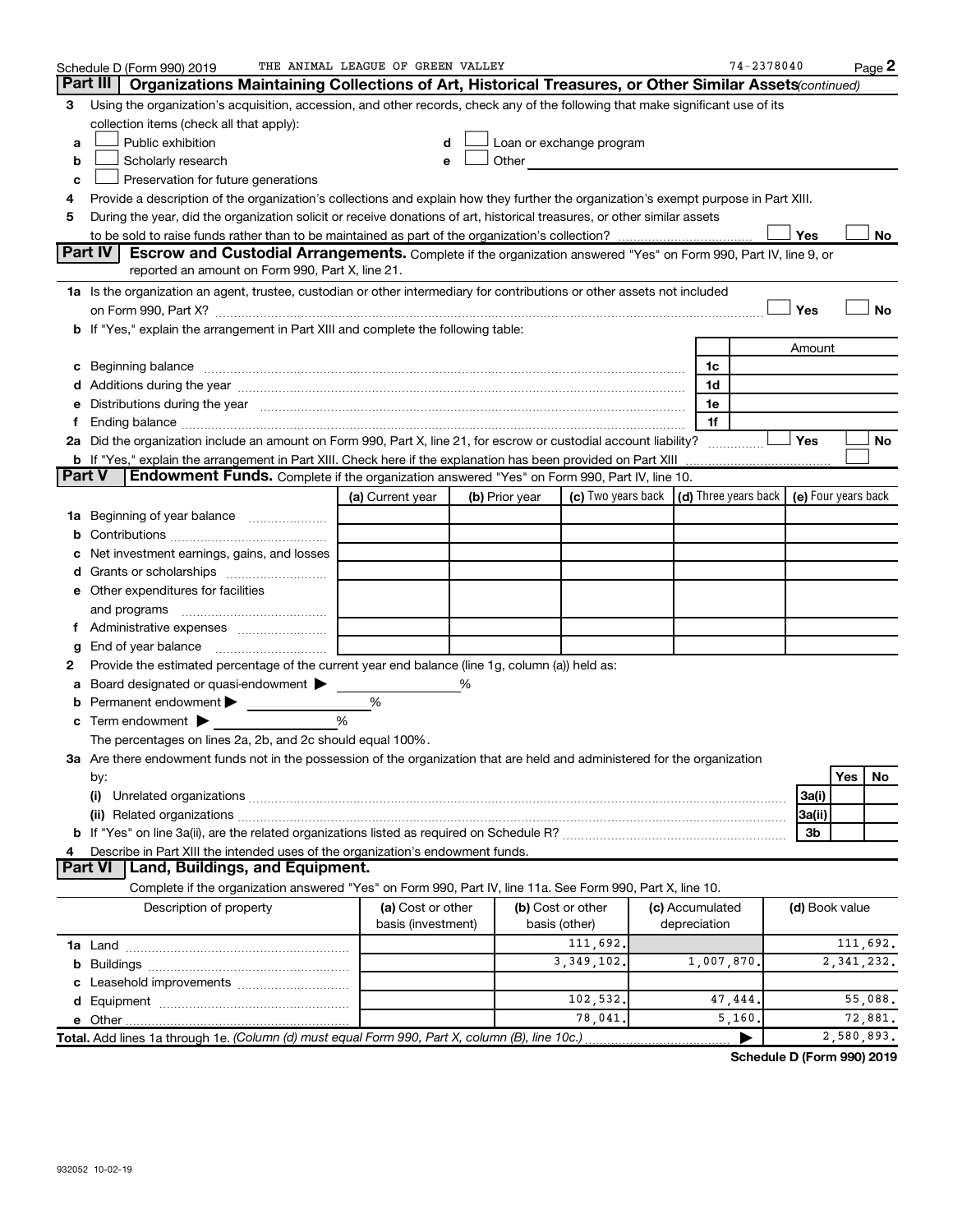|    | Schedule D (Form 990) 2019                                                                                                                                                                                                     | THE ANIMAL LEAGUE OF GREEN VALLEY |                |                                                                                                                                                                                                                               |  |                 | $74 - 2378040$ |                |     | Page 2       |  |
|----|--------------------------------------------------------------------------------------------------------------------------------------------------------------------------------------------------------------------------------|-----------------------------------|----------------|-------------------------------------------------------------------------------------------------------------------------------------------------------------------------------------------------------------------------------|--|-----------------|----------------|----------------|-----|--------------|--|
|    | Part III<br>Organizations Maintaining Collections of Art, Historical Treasures, or Other Similar Assets (continued)                                                                                                            |                                   |                |                                                                                                                                                                                                                               |  |                 |                |                |     |              |  |
| З  | Using the organization's acquisition, accession, and other records, check any of the following that make significant use of its                                                                                                |                                   |                |                                                                                                                                                                                                                               |  |                 |                |                |     |              |  |
|    | collection items (check all that apply):                                                                                                                                                                                       |                                   |                |                                                                                                                                                                                                                               |  |                 |                |                |     |              |  |
| a  | Public exhibition                                                                                                                                                                                                              | d                                 |                | Loan or exchange program                                                                                                                                                                                                      |  |                 |                |                |     |              |  |
| b  | Scholarly research                                                                                                                                                                                                             | e                                 |                | Other and the contract of the contract of the contract of the contract of the contract of the contract of the contract of the contract of the contract of the contract of the contract of the contract of the contract of the |  |                 |                |                |     |              |  |
| c  | Preservation for future generations                                                                                                                                                                                            |                                   |                |                                                                                                                                                                                                                               |  |                 |                |                |     |              |  |
| 4  | Provide a description of the organization's collections and explain how they further the organization's exempt purpose in Part XIII.                                                                                           |                                   |                |                                                                                                                                                                                                                               |  |                 |                |                |     |              |  |
| 5  | During the year, did the organization solicit or receive donations of art, historical treasures, or other similar assets                                                                                                       |                                   |                |                                                                                                                                                                                                                               |  |                 |                |                |     |              |  |
|    |                                                                                                                                                                                                                                |                                   |                |                                                                                                                                                                                                                               |  |                 |                | Yes            |     | No           |  |
|    | Part IV<br>Escrow and Custodial Arrangements. Complete if the organization answered "Yes" on Form 990, Part IV, line 9, or                                                                                                     |                                   |                |                                                                                                                                                                                                                               |  |                 |                |                |     |              |  |
|    | reported an amount on Form 990, Part X, line 21.                                                                                                                                                                               |                                   |                |                                                                                                                                                                                                                               |  |                 |                |                |     |              |  |
|    | 1a Is the organization an agent, trustee, custodian or other intermediary for contributions or other assets not included                                                                                                       |                                   |                |                                                                                                                                                                                                                               |  |                 |                |                |     |              |  |
|    |                                                                                                                                                                                                                                |                                   |                |                                                                                                                                                                                                                               |  |                 |                | Yes            |     | No           |  |
|    | b If "Yes," explain the arrangement in Part XIII and complete the following table:                                                                                                                                             |                                   |                |                                                                                                                                                                                                                               |  |                 |                |                |     |              |  |
|    |                                                                                                                                                                                                                                |                                   |                |                                                                                                                                                                                                                               |  |                 |                | Amount         |     |              |  |
|    | c Beginning balance measurements and the contract of the contract of the contract of the contract of the contract of the contract of the contract of the contract of the contract of the contract of the contract of the contr |                                   |                |                                                                                                                                                                                                                               |  | 1c              |                |                |     |              |  |
|    |                                                                                                                                                                                                                                |                                   |                |                                                                                                                                                                                                                               |  | 1d              |                |                |     |              |  |
|    | Distributions during the year manufactured and continuum control of the year manufactured and the year manufactured and the year manufactured and the year manufactured and the year manufactured and the year manufactured an |                                   |                |                                                                                                                                                                                                                               |  | 1e              |                |                |     |              |  |
|    |                                                                                                                                                                                                                                |                                   |                |                                                                                                                                                                                                                               |  | 1f              |                |                |     |              |  |
|    | 2a Did the organization include an amount on Form 990, Part X, line 21, for escrow or custodial account liability?                                                                                                             |                                   |                |                                                                                                                                                                                                                               |  |                 |                | Yes            |     | No           |  |
|    | <b>b</b> If "Yes," explain the arrangement in Part XIII. Check here if the explanation has been provided on Part XIII                                                                                                          |                                   |                |                                                                                                                                                                                                                               |  |                 |                |                |     |              |  |
|    | <b>Part V</b><br>Endowment Funds. Complete if the organization answered "Yes" on Form 990, Part IV, line 10.                                                                                                                   |                                   |                |                                                                                                                                                                                                                               |  |                 |                |                |     |              |  |
|    |                                                                                                                                                                                                                                | (a) Current year                  | (b) Prior year | (c) Two years back $\vert$ (d) Three years back $\vert$ (e) Four years back                                                                                                                                                   |  |                 |                |                |     |              |  |
|    | 1a Beginning of year balance                                                                                                                                                                                                   |                                   |                |                                                                                                                                                                                                                               |  |                 |                |                |     |              |  |
|    |                                                                                                                                                                                                                                |                                   |                |                                                                                                                                                                                                                               |  |                 |                |                |     |              |  |
|    | Net investment earnings, gains, and losses                                                                                                                                                                                     |                                   |                |                                                                                                                                                                                                                               |  |                 |                |                |     |              |  |
|    |                                                                                                                                                                                                                                |                                   |                |                                                                                                                                                                                                                               |  |                 |                |                |     |              |  |
|    | e Other expenditures for facilities                                                                                                                                                                                            |                                   |                |                                                                                                                                                                                                                               |  |                 |                |                |     |              |  |
|    | and programs                                                                                                                                                                                                                   |                                   |                |                                                                                                                                                                                                                               |  |                 |                |                |     |              |  |
| Ť. |                                                                                                                                                                                                                                |                                   |                |                                                                                                                                                                                                                               |  |                 |                |                |     |              |  |
| g  | End of year balance                                                                                                                                                                                                            |                                   |                |                                                                                                                                                                                                                               |  |                 |                |                |     |              |  |
| 2  | Provide the estimated percentage of the current year end balance (line 1g, column (a)) held as:                                                                                                                                |                                   |                |                                                                                                                                                                                                                               |  |                 |                |                |     |              |  |
| а  | Board designated or quasi-endowment                                                                                                                                                                                            |                                   | ℅              |                                                                                                                                                                                                                               |  |                 |                |                |     |              |  |
| b  | Permanent endowment                                                                                                                                                                                                            | %                                 |                |                                                                                                                                                                                                                               |  |                 |                |                |     |              |  |
|    | Term endowment $\blacktriangleright$                                                                                                                                                                                           | %                                 |                |                                                                                                                                                                                                                               |  |                 |                |                |     |              |  |
|    | The percentages on lines 2a, 2b, and 2c should equal 100%.                                                                                                                                                                     |                                   |                |                                                                                                                                                                                                                               |  |                 |                |                |     |              |  |
|    | 3a Are there endowment funds not in the possession of the organization that are held and administered for the organization                                                                                                     |                                   |                |                                                                                                                                                                                                                               |  |                 |                |                |     |              |  |
|    | by:                                                                                                                                                                                                                            |                                   |                |                                                                                                                                                                                                                               |  |                 |                |                | Yes | No           |  |
|    | (i)                                                                                                                                                                                                                            |                                   |                |                                                                                                                                                                                                                               |  |                 |                | 3a(i)          |     |              |  |
|    |                                                                                                                                                                                                                                |                                   |                |                                                                                                                                                                                                                               |  |                 |                | 3a(ii)         |     |              |  |
|    |                                                                                                                                                                                                                                |                                   |                |                                                                                                                                                                                                                               |  |                 |                | 3b             |     |              |  |
| 4  | Describe in Part XIII the intended uses of the organization's endowment funds.                                                                                                                                                 |                                   |                |                                                                                                                                                                                                                               |  |                 |                |                |     |              |  |
|    | <b>Part VI</b><br>Land, Buildings, and Equipment.                                                                                                                                                                              |                                   |                |                                                                                                                                                                                                                               |  |                 |                |                |     |              |  |
|    | Complete if the organization answered "Yes" on Form 990, Part IV, line 11a. See Form 990, Part X, line 10.                                                                                                                     |                                   |                |                                                                                                                                                                                                                               |  |                 |                |                |     |              |  |
|    | Description of property                                                                                                                                                                                                        | (a) Cost or other                 |                | (b) Cost or other                                                                                                                                                                                                             |  | (c) Accumulated |                | (d) Book value |     |              |  |
|    |                                                                                                                                                                                                                                | basis (investment)                |                | basis (other)                                                                                                                                                                                                                 |  | depreciation    |                |                |     |              |  |
|    |                                                                                                                                                                                                                                |                                   |                | 111,692.                                                                                                                                                                                                                      |  |                 |                |                |     | 111,692.     |  |
|    |                                                                                                                                                                                                                                |                                   |                | 3, 349, 102.                                                                                                                                                                                                                  |  | 1,007,870       |                |                |     | 2, 341, 232. |  |
|    |                                                                                                                                                                                                                                |                                   |                |                                                                                                                                                                                                                               |  |                 |                |                |     |              |  |
|    |                                                                                                                                                                                                                                |                                   |                | 102,532.                                                                                                                                                                                                                      |  | 47,444          |                |                |     | 55,088.      |  |
|    |                                                                                                                                                                                                                                |                                   |                | 78,041.                                                                                                                                                                                                                       |  | 5,160           |                |                |     | 72,881.      |  |
|    | Total. Add lines 1a through 1e. (Column (d) must equal Form 990, Part X, column (B), line 10c.)                                                                                                                                |                                   |                |                                                                                                                                                                                                                               |  |                 |                |                |     | 2,580,893.   |  |

**Schedule D (Form 990) 2019**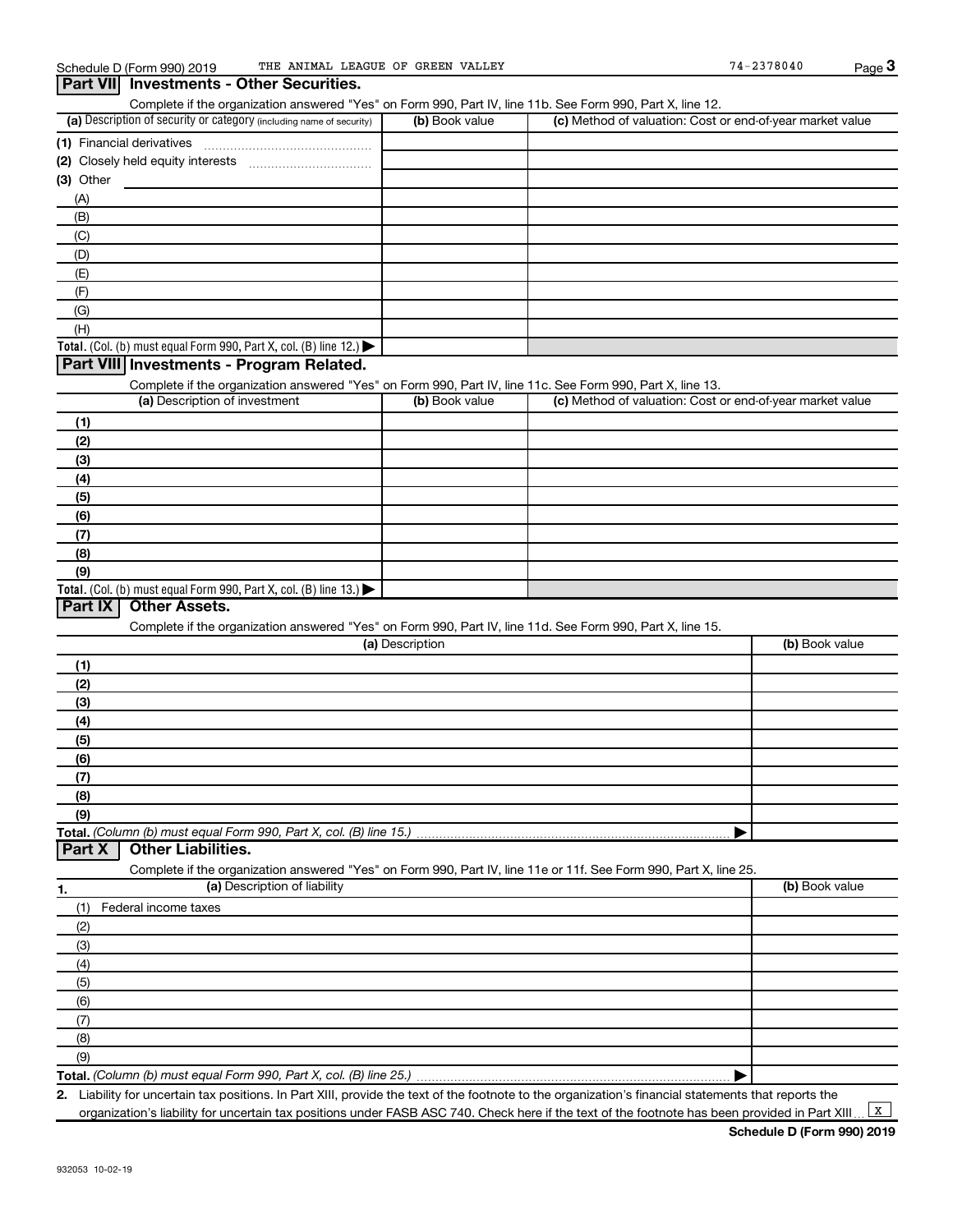| (a) Description of security or category (including name of security)                                              | (b) Book value  | (c) Method of valuation: Cost or end-of-year market value |                |
|-------------------------------------------------------------------------------------------------------------------|-----------------|-----------------------------------------------------------|----------------|
| (1) Financial derivatives                                                                                         |                 |                                                           |                |
|                                                                                                                   |                 |                                                           |                |
| $(3)$ Other                                                                                                       |                 |                                                           |                |
| (A)                                                                                                               |                 |                                                           |                |
| (B)                                                                                                               |                 |                                                           |                |
| (C)                                                                                                               |                 |                                                           |                |
| (D)                                                                                                               |                 |                                                           |                |
| (E)                                                                                                               |                 |                                                           |                |
| (F)                                                                                                               |                 |                                                           |                |
| (G)                                                                                                               |                 |                                                           |                |
| (H)                                                                                                               |                 |                                                           |                |
| <b>Total.</b> (Col. (b) must equal Form 990, Part X, col. (B) line 12.)                                           |                 |                                                           |                |
| Part VIII Investments - Program Related.                                                                          |                 |                                                           |                |
| Complete if the organization answered "Yes" on Form 990, Part IV, line 11c. See Form 990, Part X, line 13.        |                 |                                                           |                |
| (a) Description of investment                                                                                     | (b) Book value  | (c) Method of valuation: Cost or end-of-year market value |                |
| (1)                                                                                                               |                 |                                                           |                |
| (2)                                                                                                               |                 |                                                           |                |
| (3)                                                                                                               |                 |                                                           |                |
| (4)                                                                                                               |                 |                                                           |                |
|                                                                                                                   |                 |                                                           |                |
| (5)<br>(6)                                                                                                        |                 |                                                           |                |
|                                                                                                                   |                 |                                                           |                |
| (7)                                                                                                               |                 |                                                           |                |
| (8)                                                                                                               |                 |                                                           |                |
| (9)                                                                                                               |                 |                                                           |                |
| <b>Total.</b> (Col. (b) must equal Form 990, Part X, col. (B) line 13.)<br>Part IX<br><b>Other Assets.</b>        |                 |                                                           |                |
|                                                                                                                   |                 |                                                           |                |
| Complete if the organization answered "Yes" on Form 990, Part IV, line 11d. See Form 990, Part X, line 15.        | (a) Description |                                                           | (b) Book value |
|                                                                                                                   |                 |                                                           |                |
| (1)                                                                                                               |                 |                                                           |                |
| (2)                                                                                                               |                 |                                                           |                |
| (3)                                                                                                               |                 |                                                           |                |
| (4)                                                                                                               |                 |                                                           |                |
| (5)                                                                                                               |                 |                                                           |                |
| (6)                                                                                                               |                 |                                                           |                |
| (7)                                                                                                               |                 |                                                           |                |
| (8)                                                                                                               |                 |                                                           |                |
| (9)                                                                                                               |                 |                                                           |                |
|                                                                                                                   |                 |                                                           |                |
| <b>Other Liabilities.</b><br>Part X                                                                               |                 |                                                           |                |
| Complete if the organization answered "Yes" on Form 990, Part IV, line 11e or 11f. See Form 990, Part X, line 25. |                 |                                                           |                |
| (a) Description of liability<br>1.                                                                                |                 |                                                           | (b) Book value |

| Federal income taxes<br>(1) |  |
|-----------------------------|--|
| (2)                         |  |
| (3)                         |  |
| (4)                         |  |
| (5)                         |  |
| (6)                         |  |
|                             |  |
| (8)                         |  |
| (9)                         |  |
|                             |  |

**Total.**  *(Column (b) must equal Form 990, Part X, col. (B) line 25.)*

**2.** Liability for uncertain tax positions. In Part XIII, provide the text of the footnote to the organization's financial statements that reports the organization's liability for uncertain tax positions under FASB ASC 740. Check here if the text of the footnote has been provided in Part XIII ...  $\boxed{\texttt{X}}$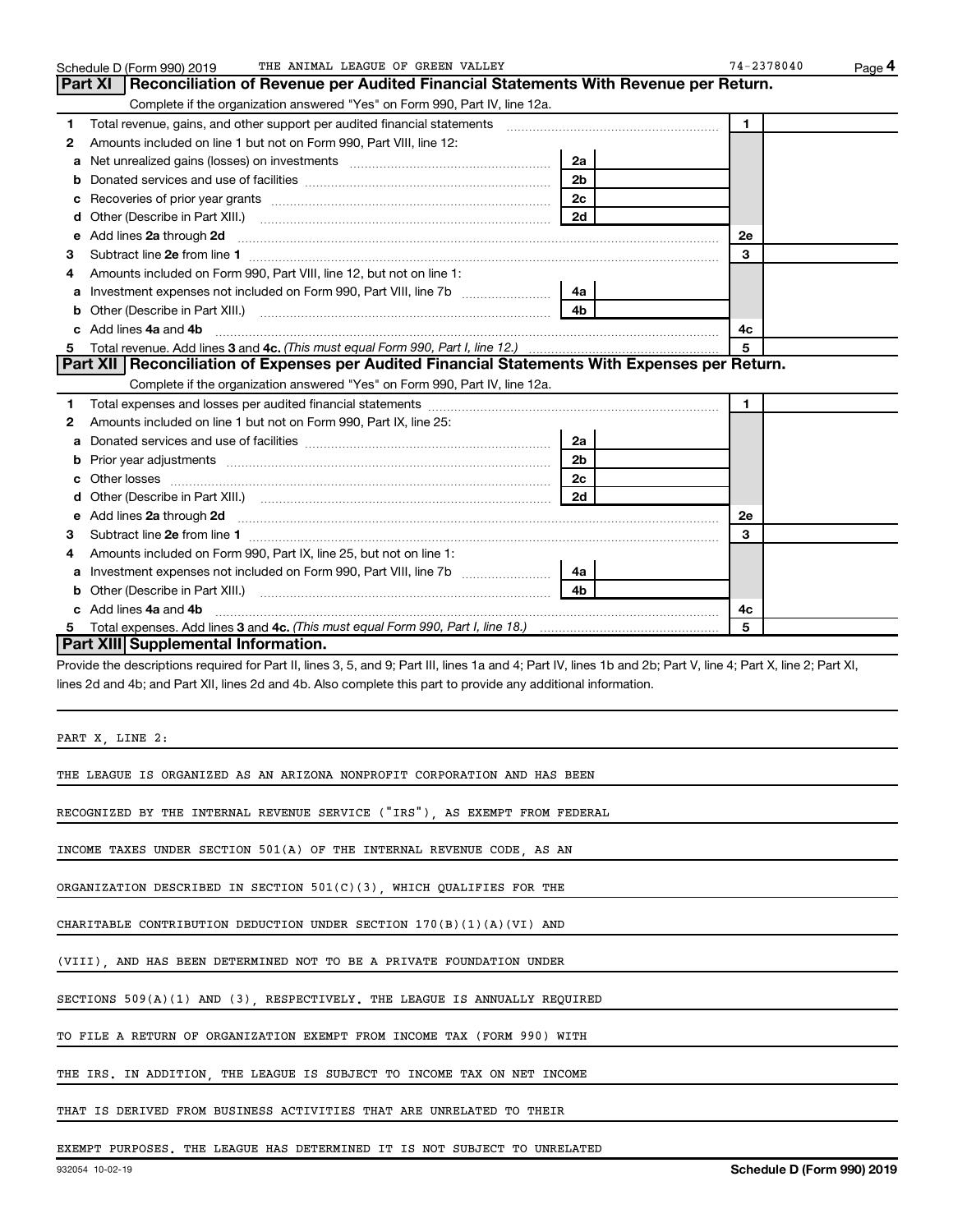|   | THE ANIMAL LEAGUE OF GREEN VALLEY<br>Schedule D (Form 990) 2019                                                                                                |                | $74 - 2378040$ | Page 4 |
|---|----------------------------------------------------------------------------------------------------------------------------------------------------------------|----------------|----------------|--------|
|   | Reconciliation of Revenue per Audited Financial Statements With Revenue per Return.<br>Part XI                                                                 |                |                |        |
|   | Complete if the organization answered "Yes" on Form 990, Part IV, line 12a.                                                                                    |                |                |        |
| 1 | Total revenue, gains, and other support per audited financial statements [[[[[[[[[[[[[[[[[[[[[[[]]]]]]]]]]]]]                                                  |                | $\mathbf{1}$   |        |
| 2 | Amounts included on line 1 but not on Form 990, Part VIII, line 12:                                                                                            |                |                |        |
| a |                                                                                                                                                                | 2a             |                |        |
| b |                                                                                                                                                                | 2b             |                |        |
| с |                                                                                                                                                                | 2c             |                |        |
| d |                                                                                                                                                                | 2d             |                |        |
| е | Add lines 2a through 2d                                                                                                                                        |                | <b>2e</b>      |        |
| 3 |                                                                                                                                                                |                | 3              |        |
| 4 | Amounts included on Form 990, Part VIII, line 12, but not on line 1:                                                                                           |                |                |        |
| a |                                                                                                                                                                | 4a             |                |        |
| b |                                                                                                                                                                | 4h             |                |        |
|   | c Add lines 4a and 4b                                                                                                                                          |                | 4c             |        |
| 5 |                                                                                                                                                                |                | 5              |        |
|   | Part XII Reconciliation of Expenses per Audited Financial Statements With Expenses per Return.                                                                 |                |                |        |
|   | Complete if the organization answered "Yes" on Form 990, Part IV, line 12a.                                                                                    |                |                |        |
| 1 |                                                                                                                                                                |                | $\mathbf{1}$   |        |
| 2 | Amounts included on line 1 but not on Form 990, Part IX, line 25:                                                                                              |                |                |        |
| a |                                                                                                                                                                | 2a             |                |        |
| b |                                                                                                                                                                | 2 <sub>b</sub> |                |        |
| c |                                                                                                                                                                | 2c             |                |        |
| d |                                                                                                                                                                | 2d             |                |        |
| е | Add lines 2a through 2d                                                                                                                                        |                | <b>2e</b>      |        |
| З |                                                                                                                                                                |                | 3              |        |
| 4 | Amounts included on Form 990, Part IX, line 25, but not on line 1:                                                                                             |                |                |        |
| a |                                                                                                                                                                | 4a             |                |        |
| b |                                                                                                                                                                | 4h             |                |        |
|   | c Add lines 4a and 4b                                                                                                                                          |                | 4c             |        |
| 5 |                                                                                                                                                                |                | 5              |        |
|   | Part XIII Supplemental Information.                                                                                                                            |                |                |        |
|   | Provide the descriptions required for Part II, lines 3, 5, and 9; Part III, lines 1a and 4; Part IV, lines 1b and 2b; Part V, line 4; Part X, line 2; Part XI, |                |                |        |
|   | lines 2d and 4b; and Part XII, lines 2d and 4b. Also complete this part to provide any additional information.                                                 |                |                |        |
|   |                                                                                                                                                                |                |                |        |

PART X, LINE 2:

THE LEAGUE IS ORGANIZED AS AN ARIZONA NONPROFIT CORPORATION AND HAS BEEN

RECOGNIZED BY THE INTERNAL REVENUE SERVICE ("IRS"), AS EXEMPT FROM FEDERAL

INCOME TAXES UNDER SECTION 501(A) OF THE INTERNAL REVENUE CODE, AS AN

ORGANIZATION DESCRIBED IN SECTION 501(C)(3), WHICH QUALIFIES FOR THE

CHARITABLE CONTRIBUTION DEDUCTION UNDER SECTION 170(B)(1)(A)(VI) AND

(VIII), AND HAS BEEN DETERMINED NOT TO BE A PRIVATE FOUNDATION UNDER

SECTIONS 509(A)(1) AND (3), RESPECTIVELY. THE LEAGUE IS ANNUALLY REQUIRED

TO FILE A RETURN OF ORGANIZATION EXEMPT FROM INCOME TAX (FORM 990) WITH

THE IRS. IN ADDITION, THE LEAGUE IS SUBJECT TO INCOME TAX ON NET INCOME

THAT IS DERIVED FROM BUSINESS ACTIVITIES THAT ARE UNRELATED TO THEIR

EXEMPT PURPOSES. THE LEAGUE HAS DETERMINED IT IS NOT SUBJECT TO UNRELATED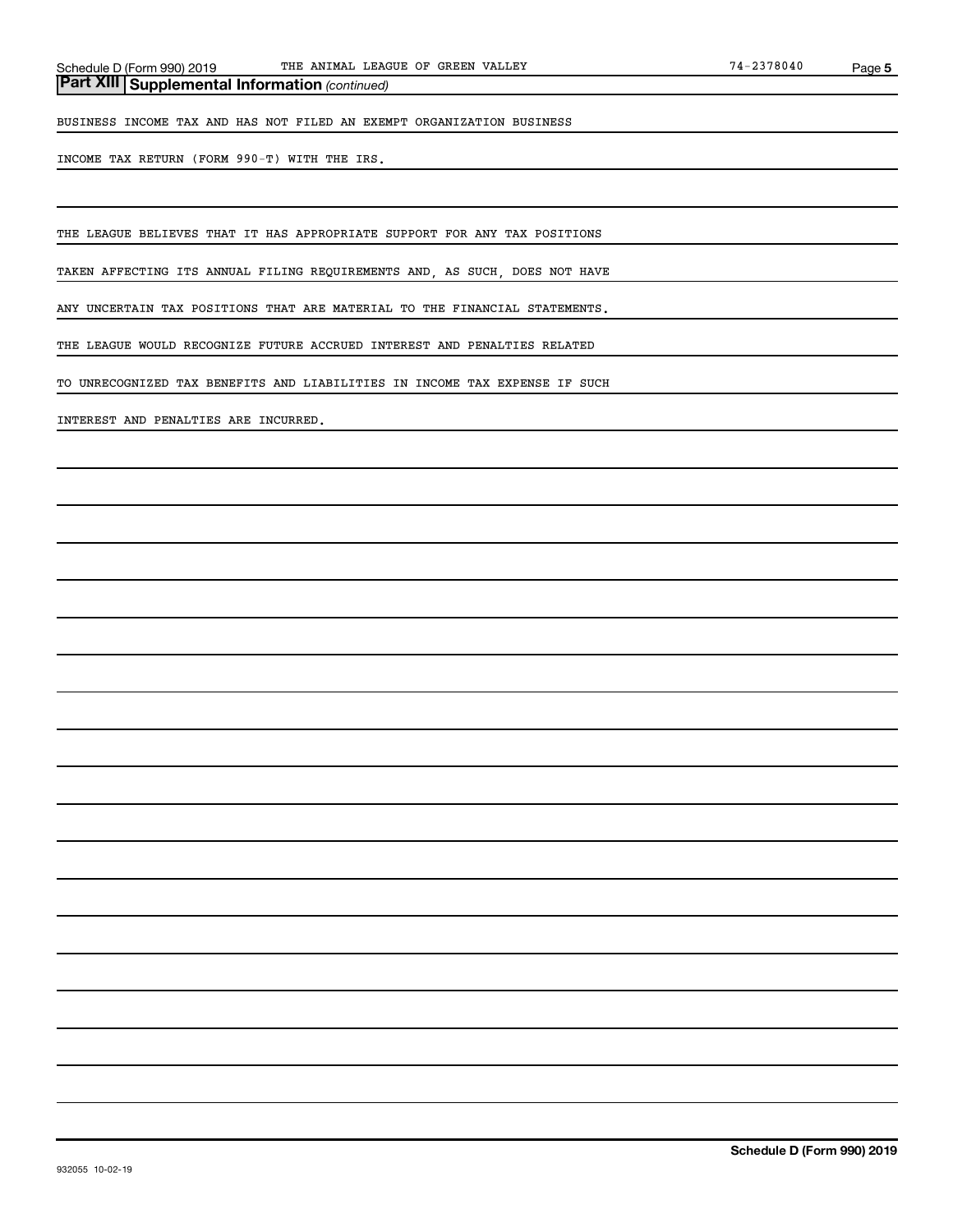*(continued)* **Part XIII Supplemental Information** 

BUSINESS INCOME TAX AND HAS NOT FILED AN EXEMPT ORGANIZATION BUSINESS

INCOME TAX RETURN (FORM 990-T) WITH THE IRS.

THE LEAGUE BELIEVES THAT IT HAS APPROPRIATE SUPPORT FOR ANY TAX POSITIONS

TAKEN AFFECTING ITS ANNUAL FILING REQUIREMENTS AND, AS SUCH, DOES NOT HAVE

ANY UNCERTAIN TAX POSITIONS THAT ARE MATERIAL TO THE FINANCIAL STATEMENTS.

THE LEAGUE WOULD RECOGNIZE FUTURE ACCRUED INTEREST AND PENALTIES RELATED

TO UNRECOGNIZED TAX BENEFITS AND LIABILITIES IN INCOME TAX EXPENSE IF SUCH

INTEREST AND PENALTIES ARE INCURRED.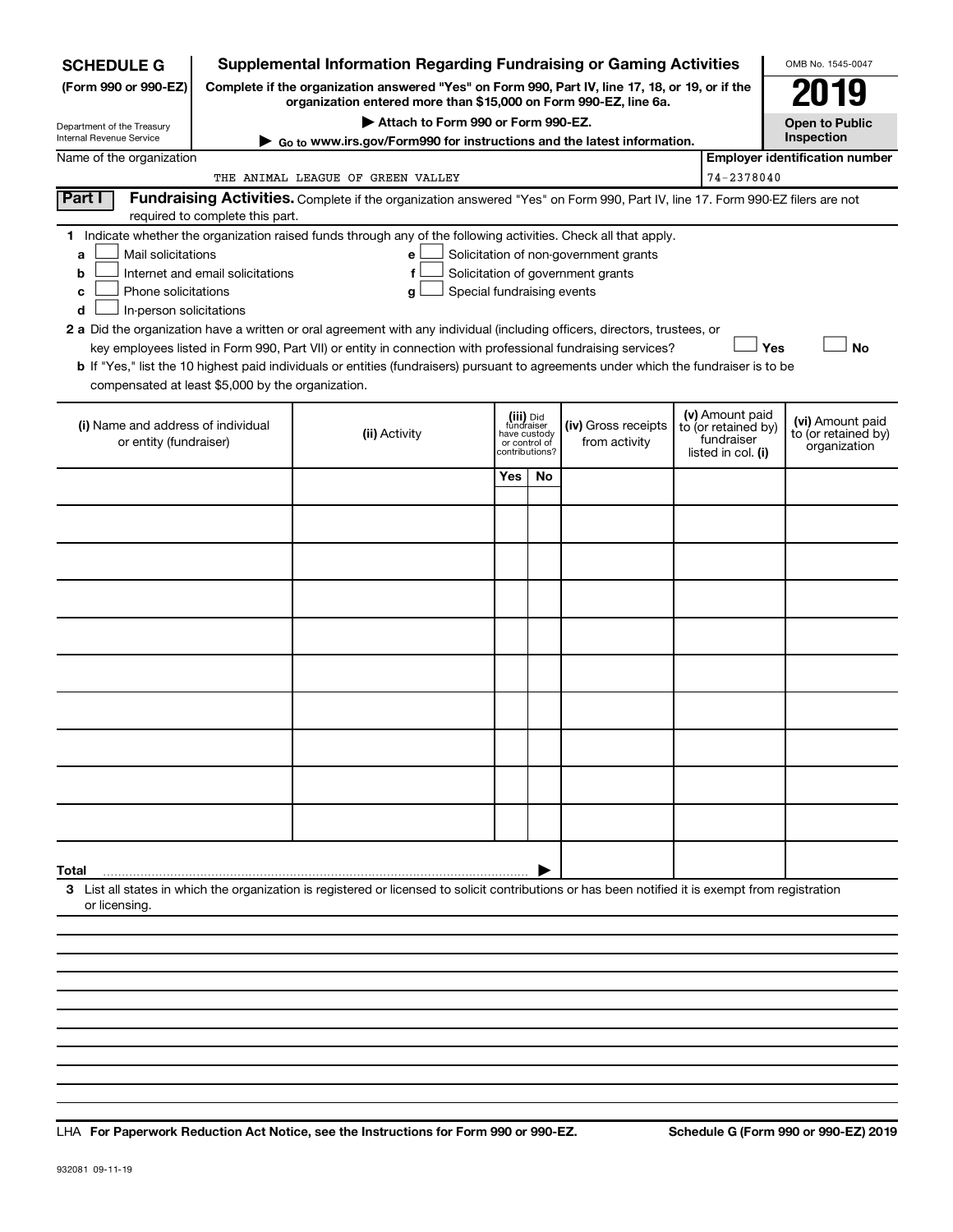| <b>SCHEDULE G</b>                                 |                                                                                                    | <b>Supplemental Information Regarding Fundraising or Gaming Activities</b>                                                                                          |               |                                |                                       |  |                                   | OMB No. 1545-0047                     |
|---------------------------------------------------|----------------------------------------------------------------------------------------------------|---------------------------------------------------------------------------------------------------------------------------------------------------------------------|---------------|--------------------------------|---------------------------------------|--|-----------------------------------|---------------------------------------|
| (Form 990 or 990-EZ)                              |                                                                                                    | Complete if the organization answered "Yes" on Form 990, Part IV, line 17, 18, or 19, or if the<br>organization entered more than \$15,000 on Form 990-EZ, line 6a. |               |                                |                                       |  |                                   | 019                                   |
| Department of the Treasury                        |                                                                                                    | Attach to Form 990 or Form 990-EZ.                                                                                                                                  |               |                                |                                       |  |                                   | <b>Open to Public</b><br>Inspection   |
| Internal Revenue Service                          | Go to www.irs.gov/Form990 for instructions and the latest information.<br>Name of the organization |                                                                                                                                                                     |               |                                |                                       |  |                                   |                                       |
|                                                   |                                                                                                    | THE ANIMAL LEAGUE OF GREEN VALLEY                                                                                                                                   |               |                                |                                       |  | 74-2378040                        | <b>Employer identification number</b> |
| Part I                                            |                                                                                                    | Fundraising Activities. Complete if the organization answered "Yes" on Form 990, Part IV, line 17. Form 990-EZ filers are not                                       |               |                                |                                       |  |                                   |                                       |
|                                                   | required to complete this part.                                                                    |                                                                                                                                                                     |               |                                |                                       |  |                                   |                                       |
| Mail solicitations<br>a                           |                                                                                                    | 1 Indicate whether the organization raised funds through any of the following activities. Check all that apply.<br>е                                                |               |                                | Solicitation of non-government grants |  |                                   |                                       |
| b                                                 | Internet and email solicitations                                                                   | f                                                                                                                                                                   |               |                                | Solicitation of government grants     |  |                                   |                                       |
| Phone solicitations<br>c                          |                                                                                                    | Special fundraising events<br>g                                                                                                                                     |               |                                |                                       |  |                                   |                                       |
| In-person solicitations<br>d                      |                                                                                                    | 2 a Did the organization have a written or oral agreement with any individual (including officers, directors, trustees, or                                          |               |                                |                                       |  |                                   |                                       |
|                                                   |                                                                                                    | key employees listed in Form 990, Part VII) or entity in connection with professional fundraising services?                                                         |               |                                |                                       |  | Yes                               | <b>No</b>                             |
|                                                   |                                                                                                    | <b>b</b> If "Yes," list the 10 highest paid individuals or entities (fundraisers) pursuant to agreements under which the fundraiser is to be                        |               |                                |                                       |  |                                   |                                       |
| compensated at least \$5,000 by the organization. |                                                                                                    |                                                                                                                                                                     |               |                                |                                       |  |                                   |                                       |
| (i) Name and address of individual                |                                                                                                    |                                                                                                                                                                     |               | (iii) Did<br>fundraiser        | (iv) Gross receipts                   |  | (v) Amount paid                   | (vi) Amount paid                      |
| or entity (fundraiser)                            |                                                                                                    | (ii) Activity                                                                                                                                                       | or control of | have custody<br>contributions? | from activity                         |  | to (or retained by)<br>fundraiser | to (or retained by)<br>organization   |
|                                                   |                                                                                                    |                                                                                                                                                                     | Yes           | No                             |                                       |  | listed in col. (i)                |                                       |
|                                                   |                                                                                                    |                                                                                                                                                                     |               |                                |                                       |  |                                   |                                       |
|                                                   |                                                                                                    |                                                                                                                                                                     |               |                                |                                       |  |                                   |                                       |
|                                                   |                                                                                                    |                                                                                                                                                                     |               |                                |                                       |  |                                   |                                       |
|                                                   |                                                                                                    |                                                                                                                                                                     |               |                                |                                       |  |                                   |                                       |
|                                                   |                                                                                                    |                                                                                                                                                                     |               |                                |                                       |  |                                   |                                       |
|                                                   |                                                                                                    |                                                                                                                                                                     |               |                                |                                       |  |                                   |                                       |
|                                                   |                                                                                                    |                                                                                                                                                                     |               |                                |                                       |  |                                   |                                       |
|                                                   |                                                                                                    |                                                                                                                                                                     |               |                                |                                       |  |                                   |                                       |
|                                                   |                                                                                                    |                                                                                                                                                                     |               |                                |                                       |  |                                   |                                       |
|                                                   |                                                                                                    |                                                                                                                                                                     |               |                                |                                       |  |                                   |                                       |
|                                                   |                                                                                                    |                                                                                                                                                                     |               |                                |                                       |  |                                   |                                       |
|                                                   |                                                                                                    |                                                                                                                                                                     |               |                                |                                       |  |                                   |                                       |
|                                                   |                                                                                                    |                                                                                                                                                                     |               |                                |                                       |  |                                   |                                       |
|                                                   |                                                                                                    |                                                                                                                                                                     |               |                                |                                       |  |                                   |                                       |
|                                                   |                                                                                                    |                                                                                                                                                                     |               |                                |                                       |  |                                   |                                       |
|                                                   |                                                                                                    |                                                                                                                                                                     |               |                                |                                       |  |                                   |                                       |
| Total                                             |                                                                                                    | 3 List all states in which the organization is registered or licensed to solicit contributions or has been notified it is exempt from registration                  |               |                                |                                       |  |                                   |                                       |
| or licensing.                                     |                                                                                                    |                                                                                                                                                                     |               |                                |                                       |  |                                   |                                       |
|                                                   |                                                                                                    |                                                                                                                                                                     |               |                                |                                       |  |                                   |                                       |
|                                                   |                                                                                                    |                                                                                                                                                                     |               |                                |                                       |  |                                   |                                       |
|                                                   |                                                                                                    |                                                                                                                                                                     |               |                                |                                       |  |                                   |                                       |

**For Paperwork Reduction Act Notice, see the Instructions for Form 990 or 990-EZ. Schedule G (Form 990 or 990-EZ) 2019** LHA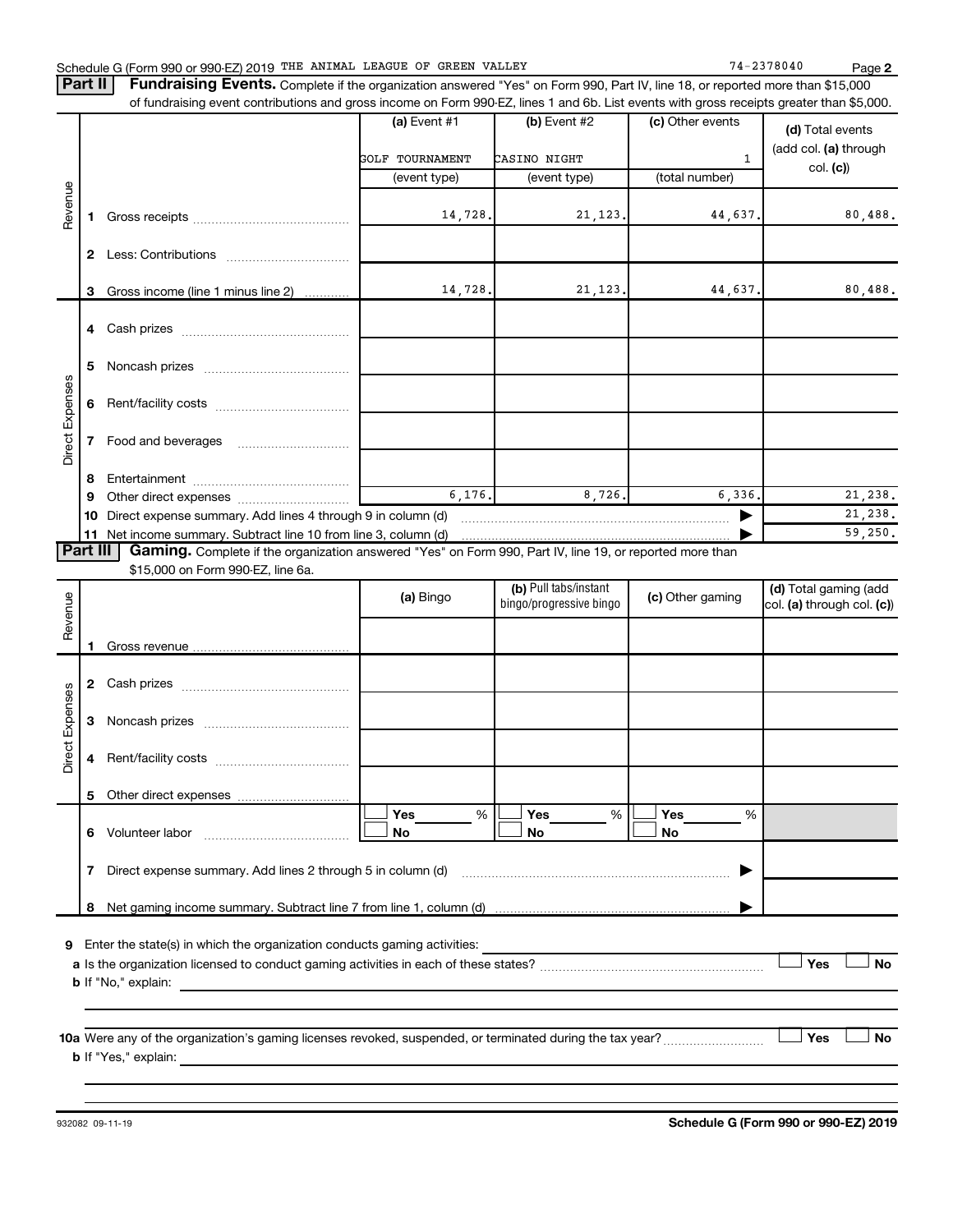| Schedule G (Form 990 or 990-EZ) 2019 THE ANIMAL LEAGUE OF GREEN VALLEY |  |  |  | 74-2378040 | Page |
|------------------------------------------------------------------------|--|--|--|------------|------|
|------------------------------------------------------------------------|--|--|--|------------|------|

**2**

Complete if the organization answered "Yes" on Form 990, Part IV, line 18, or reported more than \$15,000 of fundraising event contributions and gross income on Form 990-EZ, lines 1 and 6b. List events with gross receipts greater than \$5,000. **Part II Fundraising Events.**

|                        |              | or fundraising event contributions and gross income on Form 990-EZ, lines T and 6D. List events with gross receipts greater than \$5,000.                                                                                                                    |                        |                         |                  |                            |
|------------------------|--------------|--------------------------------------------------------------------------------------------------------------------------------------------------------------------------------------------------------------------------------------------------------------|------------------------|-------------------------|------------------|----------------------------|
|                        |              |                                                                                                                                                                                                                                                              | (a) Event $#1$         | $(b)$ Event #2          | (c) Other events | (d) Total events           |
|                        |              |                                                                                                                                                                                                                                                              | <b>GOLF TOURNAMENT</b> | CASINO NIGHT            | $\mathbf{1}$     | (add col. (a) through      |
|                        |              |                                                                                                                                                                                                                                                              | (event type)           | (event type)            | (total number)   | col. (c)                   |
| Revenue                |              |                                                                                                                                                                                                                                                              |                        |                         |                  |                            |
|                        | 1.           |                                                                                                                                                                                                                                                              | 14,728.                | 21, 123.                | 44,637.          | 80,488.                    |
|                        |              |                                                                                                                                                                                                                                                              |                        |                         |                  |                            |
|                        | 2            |                                                                                                                                                                                                                                                              |                        |                         |                  |                            |
|                        |              |                                                                                                                                                                                                                                                              |                        |                         |                  |                            |
|                        | 3            | Gross income (line 1 minus line 2)                                                                                                                                                                                                                           | 14,728.                | 21, 123.                | 44,637.          | 80,488.                    |
|                        |              |                                                                                                                                                                                                                                                              |                        |                         |                  |                            |
|                        |              |                                                                                                                                                                                                                                                              |                        |                         |                  |                            |
|                        | 5            |                                                                                                                                                                                                                                                              |                        |                         |                  |                            |
|                        |              |                                                                                                                                                                                                                                                              |                        |                         |                  |                            |
| Direct Expenses        | 6            |                                                                                                                                                                                                                                                              |                        |                         |                  |                            |
|                        |              |                                                                                                                                                                                                                                                              |                        |                         |                  |                            |
|                        | $\mathbf{7}$ |                                                                                                                                                                                                                                                              |                        |                         |                  |                            |
|                        |              |                                                                                                                                                                                                                                                              |                        |                         |                  |                            |
|                        | ຮ            |                                                                                                                                                                                                                                                              |                        |                         |                  |                            |
|                        | 9            |                                                                                                                                                                                                                                                              | 6,176.                 | 8,726.                  | 6,336.           | 21,238.                    |
|                        |              |                                                                                                                                                                                                                                                              |                        |                         | ▶                | 21,238.                    |
|                        |              | 11 Net income summary. Subtract line 10 from line 3, column (d)                                                                                                                                                                                              |                        |                         |                  | 59,250.                    |
| Part III               |              | Gaming. Complete if the organization answered "Yes" on Form 990, Part IV, line 19, or reported more than<br>\$15,000 on Form 990-EZ, line 6a.                                                                                                                |                        |                         |                  |                            |
|                        |              |                                                                                                                                                                                                                                                              |                        | (b) Pull tabs/instant   |                  | (d) Total gaming (add      |
| Revenue                |              |                                                                                                                                                                                                                                                              | (a) Bingo              | bingo/progressive bingo | (c) Other gaming | col. (a) through col. (c)) |
|                        |              |                                                                                                                                                                                                                                                              |                        |                         |                  |                            |
|                        | 1            |                                                                                                                                                                                                                                                              |                        |                         |                  |                            |
|                        |              |                                                                                                                                                                                                                                                              |                        |                         |                  |                            |
|                        | 2            |                                                                                                                                                                                                                                                              |                        |                         |                  |                            |
|                        |              |                                                                                                                                                                                                                                                              |                        |                         |                  |                            |
|                        | 3            |                                                                                                                                                                                                                                                              |                        |                         |                  |                            |
| <b>Direct Expenses</b> |              |                                                                                                                                                                                                                                                              |                        |                         |                  |                            |
|                        | 4            |                                                                                                                                                                                                                                                              |                        |                         |                  |                            |
|                        |              |                                                                                                                                                                                                                                                              |                        |                         |                  |                            |
|                        | 5            |                                                                                                                                                                                                                                                              | <b>Yes</b><br>%        | Yes<br>%                | Yes<br>%         |                            |
|                        |              | 6 Volunteer labor                                                                                                                                                                                                                                            | No                     | No                      | No               |                            |
|                        |              |                                                                                                                                                                                                                                                              |                        |                         |                  |                            |
|                        | 7            | Direct expense summary. Add lines 2 through 5 in column (d)                                                                                                                                                                                                  |                        |                         |                  |                            |
|                        |              |                                                                                                                                                                                                                                                              |                        |                         |                  |                            |
|                        | 8            |                                                                                                                                                                                                                                                              |                        |                         |                  |                            |
|                        |              |                                                                                                                                                                                                                                                              |                        |                         |                  |                            |
| 9                      |              | Enter the state(s) in which the organization conducts gaming activities:                                                                                                                                                                                     |                        |                         |                  |                            |
|                        |              |                                                                                                                                                                                                                                                              |                        |                         |                  | Yes<br>No                  |
|                        |              | <b>b</b> If "No," explain:                                                                                                                                                                                                                                   |                        |                         |                  |                            |
|                        |              |                                                                                                                                                                                                                                                              |                        |                         |                  |                            |
|                        |              |                                                                                                                                                                                                                                                              |                        |                         |                  |                            |
|                        |              |                                                                                                                                                                                                                                                              |                        |                         |                  | Yes<br>No                  |
|                        |              | <b>b</b> If "Yes," explain:<br>the control of the control of the control of the control of the control of the control of the control of the control of the control of the control of the control of the control of the control of the control of the control |                        |                         |                  |                            |
|                        |              |                                                                                                                                                                                                                                                              |                        |                         |                  |                            |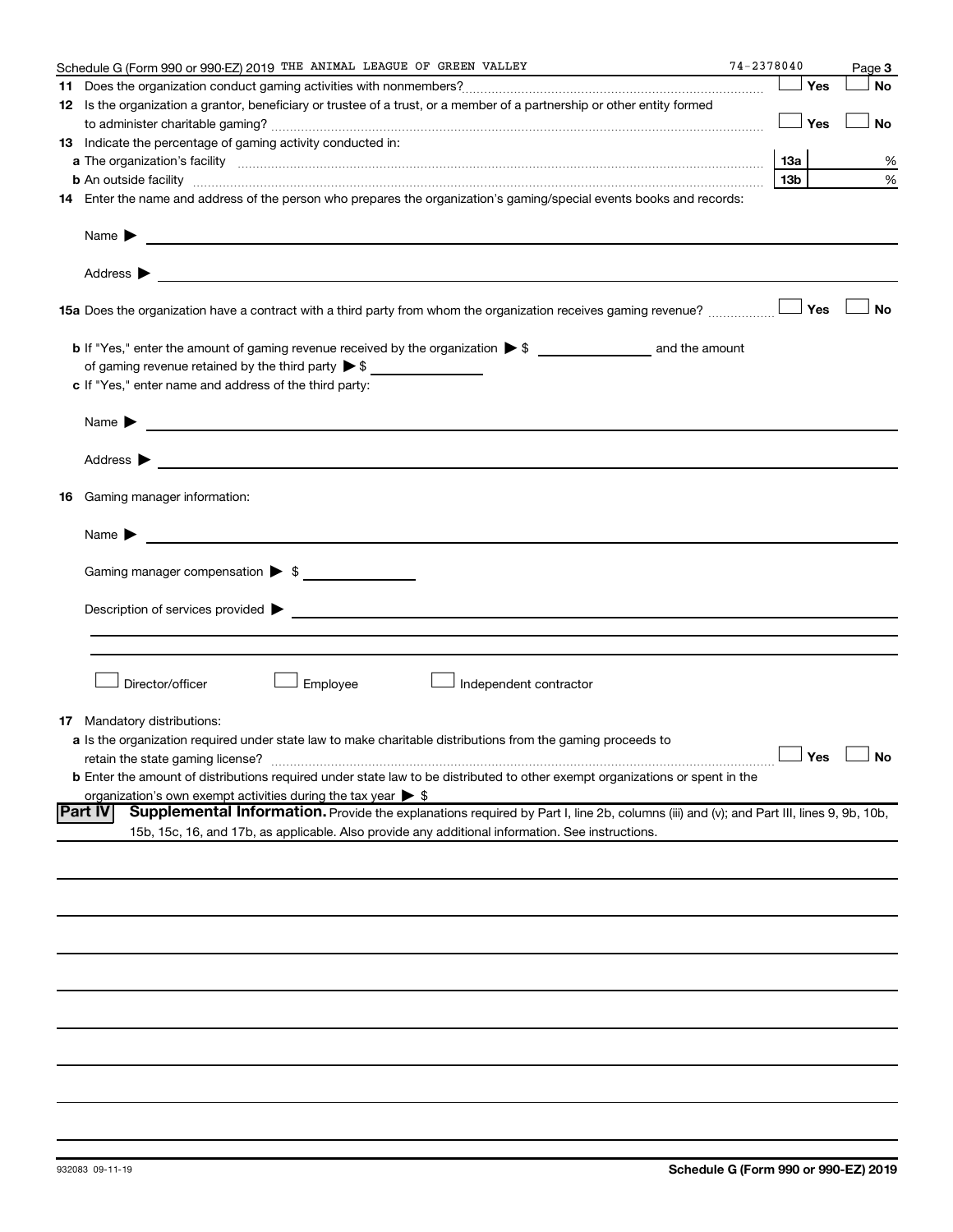|    | Schedule G (Form 990 or 990-EZ) 2019 THE ANIMAL LEAGUE OF GREEN VALLEY                                                                                                                                                                                             | $74 - 2378040$  | Page 3               |
|----|--------------------------------------------------------------------------------------------------------------------------------------------------------------------------------------------------------------------------------------------------------------------|-----------------|----------------------|
|    |                                                                                                                                                                                                                                                                    | Yes             | No                   |
|    | 12 Is the organization a grantor, beneficiary or trustee of a trust, or a member of a partnership or other entity formed                                                                                                                                           |                 |                      |
|    |                                                                                                                                                                                                                                                                    | Yes             | No                   |
|    | 13 Indicate the percentage of gaming activity conducted in:                                                                                                                                                                                                        |                 |                      |
|    |                                                                                                                                                                                                                                                                    | 13а             | %                    |
|    |                                                                                                                                                                                                                                                                    | 13 <sub>b</sub> | %                    |
|    | <b>b</b> An outside facility <b>contract and the contract of the contract of the contract of the contract of the contract of the contract of the contract of the contract of the contract of the contract of the contract of the cont</b>                          |                 |                      |
|    | 14 Enter the name and address of the person who prepares the organization's gaming/special events books and records:                                                                                                                                               |                 |                      |
|    | Name $\blacktriangleright$<br><u>and the contract of the contract of the contract of the contract of the contract of the contract of the contract of</u>                                                                                                           |                 |                      |
|    |                                                                                                                                                                                                                                                                    |                 |                      |
|    | 15a Does the organization have a contract with a third party from whom the organization receives gaming revenue?                                                                                                                                                   | Yes             | <b>No</b>            |
|    |                                                                                                                                                                                                                                                                    |                 |                      |
|    | of gaming revenue retained by the third party $\triangleright$ \$                                                                                                                                                                                                  |                 |                      |
|    | c If "Yes," enter name and address of the third party:                                                                                                                                                                                                             |                 |                      |
|    |                                                                                                                                                                                                                                                                    |                 |                      |
|    | Name $\blacktriangleright$<br><u>and the state of the state of the state of the state of the state of the state of the state of the state of the state of the state of the state of the state of the state of the state of the state of the state of the state</u> |                 |                      |
|    | Address ><br><u>and the contract of the contract of the contract of the contract of the contract of the contract of the contract of</u>                                                                                                                            |                 |                      |
| 16 | Gaming manager information:                                                                                                                                                                                                                                        |                 |                      |
|    | <u> 1989 - Johann Barbara, martin da basar a shekara 1989 - An tsaran a shekara 1989 - An tsara 1989 - An tsara</u><br>Name $\blacktriangleright$                                                                                                                  |                 |                      |
|    | Gaming manager compensation > \$                                                                                                                                                                                                                                   |                 |                      |
|    |                                                                                                                                                                                                                                                                    |                 |                      |
|    | Description of services provided <b>by the contract of the contract of the contract of services</b> provided <b>by the contract of the contract of the contract of the contract of the contract of the contract of the contract of th</b>                          |                 |                      |
|    |                                                                                                                                                                                                                                                                    |                 |                      |
|    |                                                                                                                                                                                                                                                                    |                 |                      |
|    |                                                                                                                                                                                                                                                                    |                 |                      |
|    | Director/officer<br>Employee<br>Independent contractor                                                                                                                                                                                                             |                 |                      |
|    |                                                                                                                                                                                                                                                                    |                 |                      |
|    | <b>17</b> Mandatory distributions:                                                                                                                                                                                                                                 |                 |                      |
|    | a Is the organization required under state law to make charitable distributions from the gaming proceeds to                                                                                                                                                        |                 | $\Box$ Yes $\Box$ No |
|    | retain the state gaming license?                                                                                                                                                                                                                                   |                 |                      |
|    | <b>b</b> Enter the amount of distributions required under state law to be distributed to other exempt organizations or spent in the                                                                                                                                |                 |                      |
|    | organization's own exempt activities during the tax year $\triangleright$ \$<br><b>Part IV</b>                                                                                                                                                                     |                 |                      |
|    | Supplemental Information. Provide the explanations required by Part I, line 2b, columns (iii) and (v); and Part III, lines 9, 9b, 10b,<br>15b, 15c, 16, and 17b, as applicable. Also provide any additional information. See instructions.                         |                 |                      |
|    |                                                                                                                                                                                                                                                                    |                 |                      |
|    |                                                                                                                                                                                                                                                                    |                 |                      |
|    |                                                                                                                                                                                                                                                                    |                 |                      |
|    |                                                                                                                                                                                                                                                                    |                 |                      |
|    |                                                                                                                                                                                                                                                                    |                 |                      |
|    |                                                                                                                                                                                                                                                                    |                 |                      |
|    |                                                                                                                                                                                                                                                                    |                 |                      |
|    |                                                                                                                                                                                                                                                                    |                 |                      |
|    |                                                                                                                                                                                                                                                                    |                 |                      |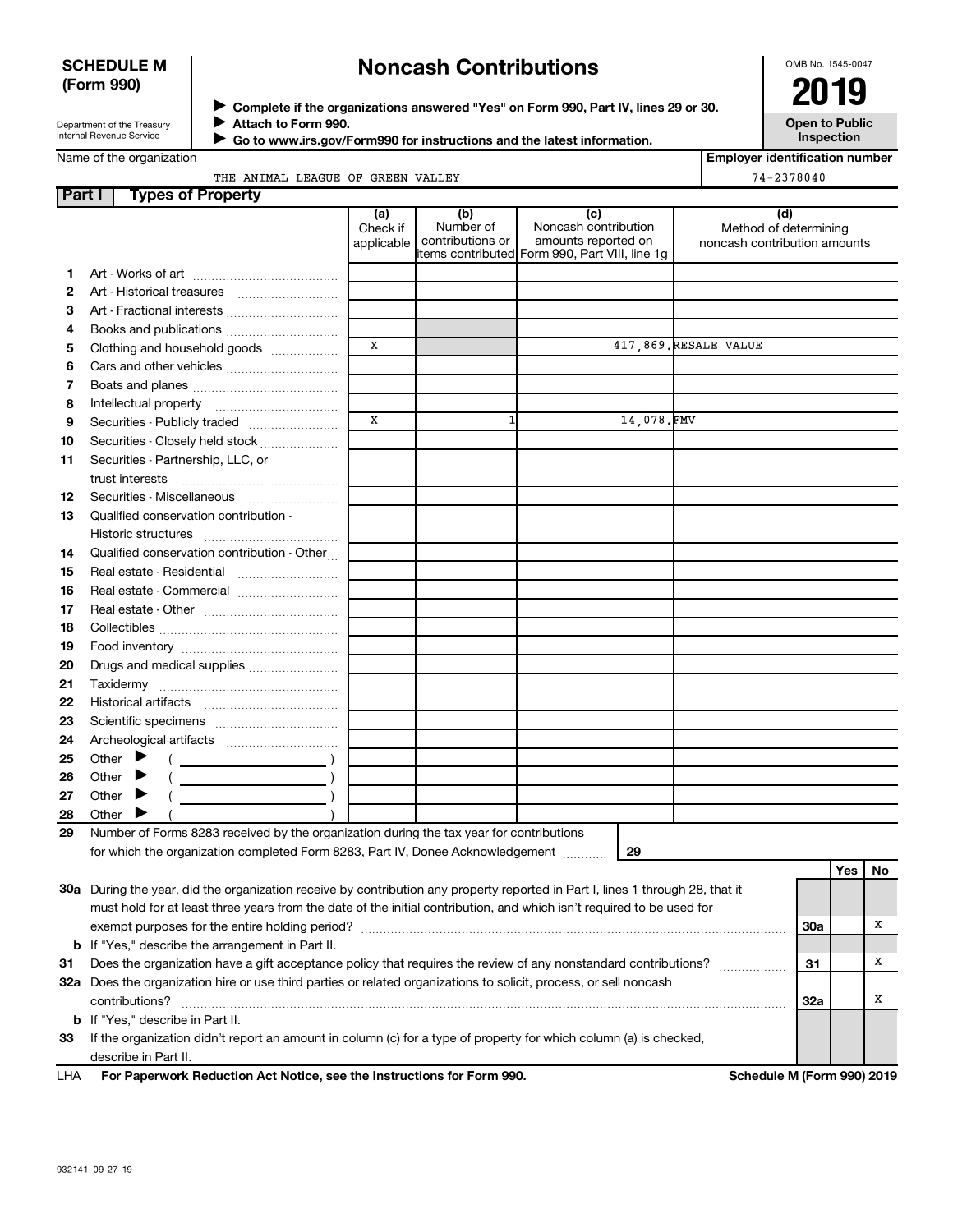# **SCHEDULE M (Form 990)**

# **Noncash Contributions**

OMB No. 1545-0047

**Employer identification number**

Department of the Treasury Internal Revenue Service

◆ Complete if the organizations answered "Yes" on Form 990, Part IV, lines 29 or 30.<br>▶ Complete if the organizations answered "Yes" on Form 990, Part IV, lines 29 or 30. **Attach to Form 990.**  $\blacktriangleright$ 

 **Go to www.irs.gov/Form990 for instructions and the latest information.** J

**Open to Public Inspection**

|  | Name of the organization |
|--|--------------------------|
|--|--------------------------|

THE ANIMAL LEAGUE OF GREEN VALLEY **74-2378040** 

| Part I   | <b>Types of Property</b>                                                                                                       |                               |                                      |                                                                                                      |            |                                                              |     |     |    |
|----------|--------------------------------------------------------------------------------------------------------------------------------|-------------------------------|--------------------------------------|------------------------------------------------------------------------------------------------------|------------|--------------------------------------------------------------|-----|-----|----|
|          |                                                                                                                                | (a)<br>Check if<br>applicable | (b)<br>Number of<br>contributions or | (c)<br>Noncash contribution<br>amounts reported on<br>items contributed Form 990, Part VIII, line 1g |            | (d)<br>Method of determining<br>noncash contribution amounts |     |     |    |
| 1        |                                                                                                                                |                               |                                      |                                                                                                      |            |                                                              |     |     |    |
| 2        |                                                                                                                                |                               |                                      |                                                                                                      |            |                                                              |     |     |    |
| З        | Art - Fractional interests                                                                                                     |                               |                                      |                                                                                                      |            |                                                              |     |     |    |
| 4        | Books and publications                                                                                                         |                               |                                      |                                                                                                      |            |                                                              |     |     |    |
| 5        | Clothing and household goods                                                                                                   | X                             |                                      |                                                                                                      |            | 417,869. RESALE VALUE                                        |     |     |    |
| 6        |                                                                                                                                |                               |                                      |                                                                                                      |            |                                                              |     |     |    |
| 7        |                                                                                                                                |                               |                                      |                                                                                                      |            |                                                              |     |     |    |
| 8        |                                                                                                                                |                               |                                      |                                                                                                      |            |                                                              |     |     |    |
| 9        | Securities - Publicly traded                                                                                                   | $\mathbf{x}$                  | $1\overline{1}$                      |                                                                                                      | 14,078.FMV |                                                              |     |     |    |
| 10       | Securities - Closely held stock                                                                                                |                               |                                      |                                                                                                      |            |                                                              |     |     |    |
| 11       | Securities - Partnership, LLC, or                                                                                              |                               |                                      |                                                                                                      |            |                                                              |     |     |    |
|          | trust interests                                                                                                                |                               |                                      |                                                                                                      |            |                                                              |     |     |    |
| 12       |                                                                                                                                |                               |                                      |                                                                                                      |            |                                                              |     |     |    |
| 13       | Qualified conservation contribution -                                                                                          |                               |                                      |                                                                                                      |            |                                                              |     |     |    |
|          |                                                                                                                                |                               |                                      |                                                                                                      |            |                                                              |     |     |    |
| 14       | Qualified conservation contribution - Other                                                                                    |                               |                                      |                                                                                                      |            |                                                              |     |     |    |
| 15       | Real estate - Residential                                                                                                      |                               |                                      |                                                                                                      |            |                                                              |     |     |    |
| 16       | Real estate - Commercial                                                                                                       |                               |                                      |                                                                                                      |            |                                                              |     |     |    |
| 17       |                                                                                                                                |                               |                                      |                                                                                                      |            |                                                              |     |     |    |
| 18       |                                                                                                                                |                               |                                      |                                                                                                      |            |                                                              |     |     |    |
| 19       |                                                                                                                                |                               |                                      |                                                                                                      |            |                                                              |     |     |    |
| 20       | Drugs and medical supplies                                                                                                     |                               |                                      |                                                                                                      |            |                                                              |     |     |    |
| 21       |                                                                                                                                |                               |                                      |                                                                                                      |            |                                                              |     |     |    |
| 22       |                                                                                                                                |                               |                                      |                                                                                                      |            |                                                              |     |     |    |
| 23       |                                                                                                                                |                               |                                      |                                                                                                      |            |                                                              |     |     |    |
| 24       |                                                                                                                                |                               |                                      |                                                                                                      |            |                                                              |     |     |    |
|          | Other $\blacktriangleright$                                                                                                    |                               |                                      |                                                                                                      |            |                                                              |     |     |    |
| 25<br>26 |                                                                                                                                |                               |                                      |                                                                                                      |            |                                                              |     |     |    |
| 27       | Other $\blacktriangleright$                                                                                                    |                               |                                      |                                                                                                      |            |                                                              |     |     |    |
| 28       | Other $\blacktriangleright$<br>Other $\blacktriangleright$                                                                     |                               |                                      |                                                                                                      |            |                                                              |     |     |    |
| 29       | Number of Forms 8283 received by the organization during the tax year for contributions                                        |                               |                                      |                                                                                                      |            |                                                              |     |     |    |
|          | for which the organization completed Form 8283, Part IV, Donee Acknowledgement                                                 |                               |                                      |                                                                                                      | 29         |                                                              |     |     |    |
|          |                                                                                                                                |                               |                                      |                                                                                                      |            |                                                              |     | Yes | No |
|          | 30a During the year, did the organization receive by contribution any property reported in Part I, lines 1 through 28, that it |                               |                                      |                                                                                                      |            |                                                              |     |     |    |
|          | must hold for at least three years from the date of the initial contribution, and which isn't required to be used for          |                               |                                      |                                                                                                      |            |                                                              |     |     |    |
|          |                                                                                                                                |                               |                                      |                                                                                                      |            |                                                              | 30a |     | х  |
|          | <b>b</b> If "Yes," describe the arrangement in Part II.                                                                        |                               |                                      |                                                                                                      |            |                                                              |     |     |    |
|          |                                                                                                                                |                               |                                      |                                                                                                      |            |                                                              |     |     | х  |
| 31       | Does the organization have a gift acceptance policy that requires the review of any nonstandard contributions?                 |                               |                                      |                                                                                                      |            |                                                              | 31  |     |    |
|          | 32a Does the organization hire or use third parties or related organizations to solicit, process, or sell noncash              |                               |                                      |                                                                                                      |            |                                                              |     |     | х  |
|          | contributions?                                                                                                                 |                               |                                      |                                                                                                      |            |                                                              | 32a |     |    |
|          | b If "Yes," describe in Part II.                                                                                               |                               |                                      |                                                                                                      |            |                                                              |     |     |    |
| 33       | If the organization didn't report an amount in column (c) for a type of property for which column (a) is checked,              |                               |                                      |                                                                                                      |            |                                                              |     |     |    |
|          | describe in Part II.<br>For Paperwork Reduction Act Notice, see the Instructions for Form 990.                                 |                               |                                      |                                                                                                      |            | Schedule M (Form 990) 2019                                   |     |     |    |
| LHA      |                                                                                                                                |                               |                                      |                                                                                                      |            |                                                              |     |     |    |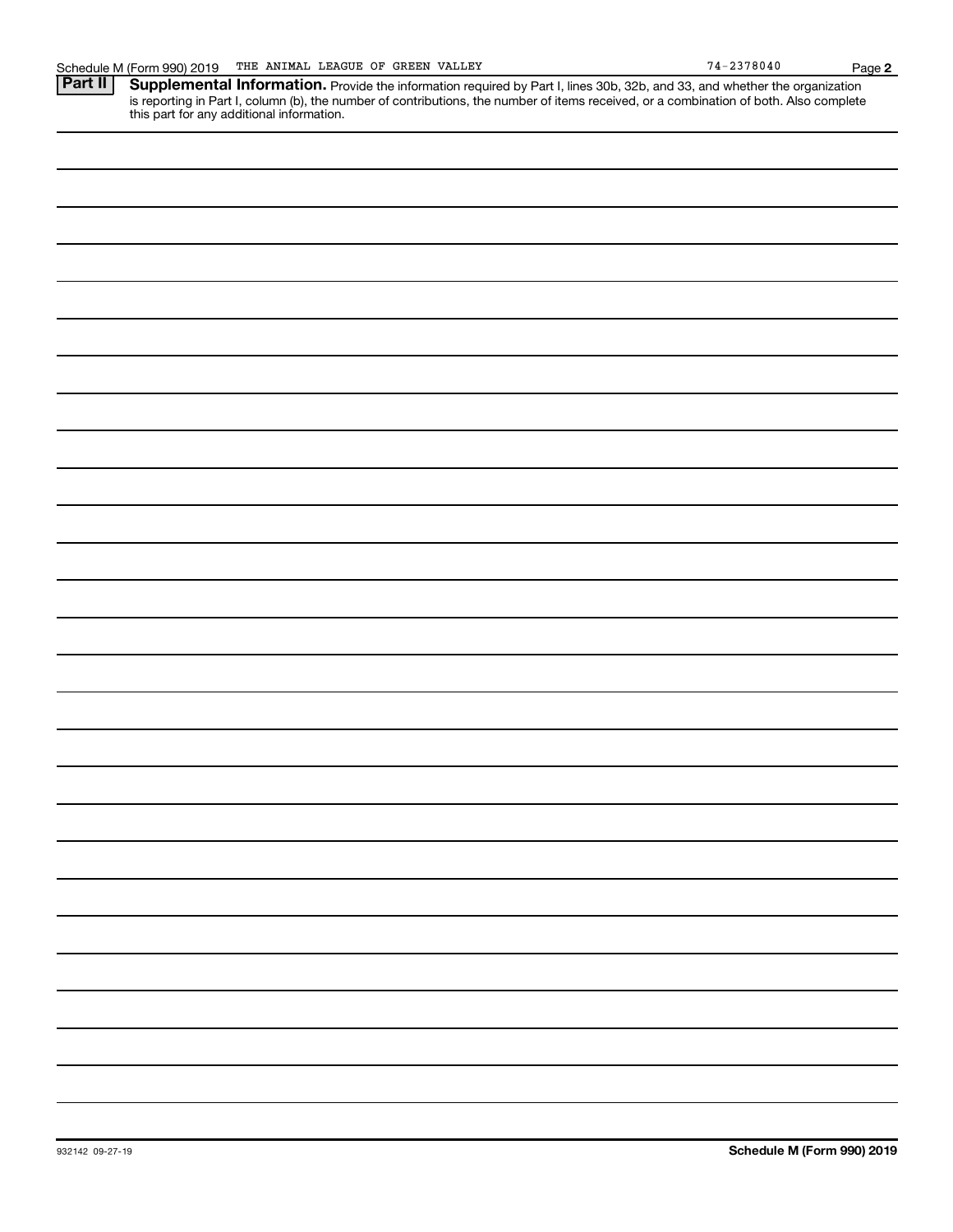Provide the information required by Part I, lines 30b, 32b, and 33, and whether the organization is reporting in Part I, column (b), the number of contributions, the number of items received, or a combination of both. Also complete this part for any additional information. **Part II Supplemental Information.**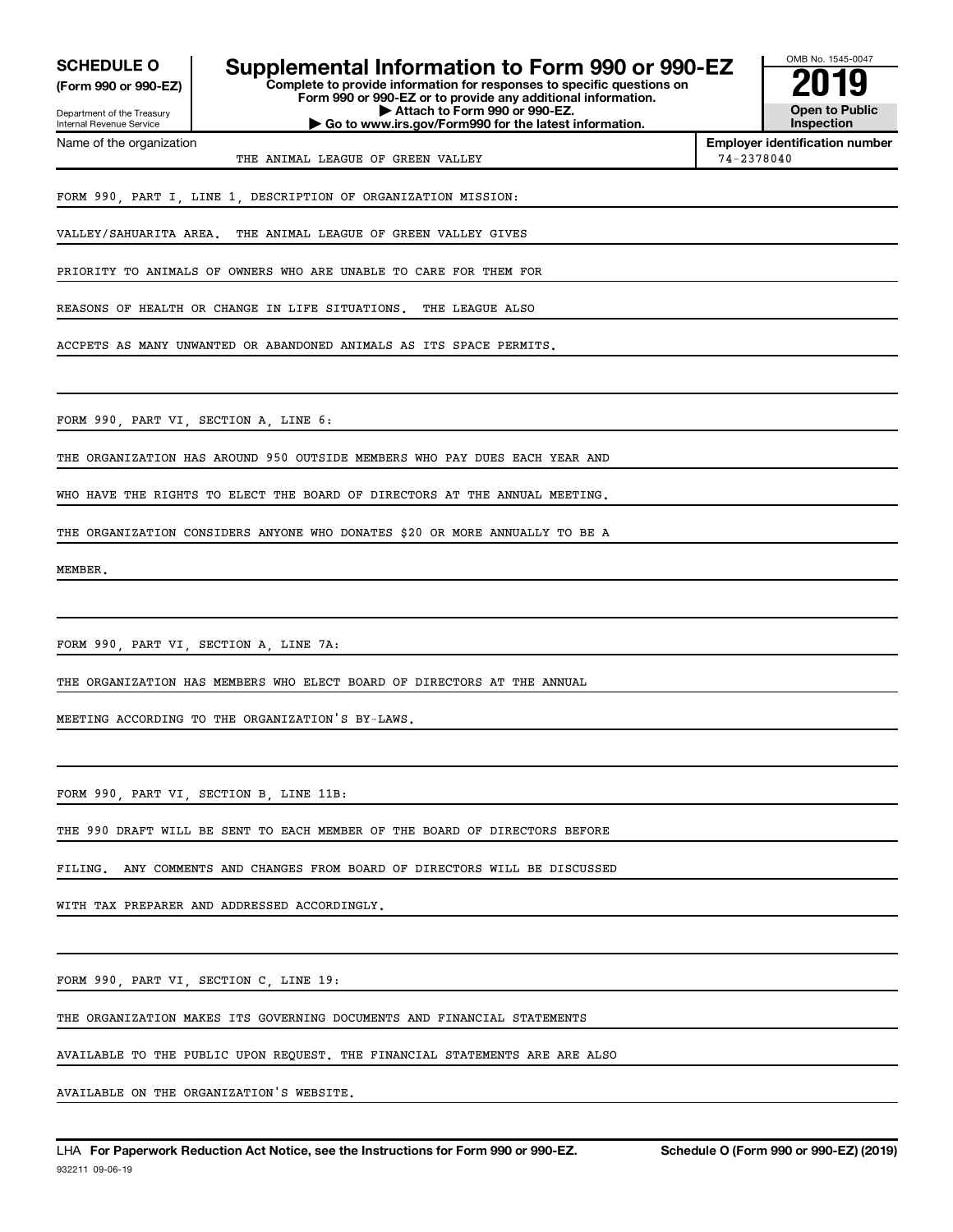**(Form 990 or 990-EZ)**

Department of the Treasury Internal Revenue Service Name of the organization

# **SCHEDULE O Supplemental Information to Form 990 or 990-EZ 2019**

**Complete to provide information for responses to specific questions on Form 990 or 990-EZ or to provide any additional information. | Attach to Form 990 or 990-EZ. | Go to www.irs.gov/Form990 for the latest information.**



**Employer identification number** THE ANIMAL LEAGUE OF GREEN VALLEY 74-2378040

FORM 990, PART I, LINE 1, DESCRIPTION OF ORGANIZATION MISSION:

VALLEY/SAHUARITA AREA. THE ANIMAL LEAGUE OF GREEN VALLEY GIVES

PRIORITY TO ANIMALS OF OWNERS WHO ARE UNABLE TO CARE FOR THEM FOR

REASONS OF HEALTH OR CHANGE IN LIFE SITUATIONS. THE LEAGUE ALSO

ACCPETS AS MANY UNWANTED OR ABANDONED ANIMALS AS ITS SPACE PERMITS.

FORM 990, PART VI, SECTION A, LINE 6:

THE ORGANIZATION HAS AROUND 950 OUTSIDE MEMBERS WHO PAY DUES EACH YEAR AND

WHO HAVE THE RIGHTS TO ELECT THE BOARD OF DIRECTORS AT THE ANNUAL MEETING.

THE ORGANIZATION CONSIDERS ANYONE WHO DONATES \$20 OR MORE ANNUALLY TO BE A

MEMBER.

FORM 990, PART VI, SECTION A, LINE 7A:

THE ORGANIZATION HAS MEMBERS WHO ELECT BOARD OF DIRECTORS AT THE ANNUAL

MEETING ACCORDING TO THE ORGANIZATION'S BY-LAWS.

FORM 990, PART VI, SECTION B, LINE 11B:

THE 990 DRAFT WILL BE SENT TO EACH MEMBER OF THE BOARD OF DIRECTORS BEFORE

FILING. ANY COMMENTS AND CHANGES FROM BOARD OF DIRECTORS WILL BE DISCUSSED

WITH TAX PREPARER AND ADDRESSED ACCORDINGLY.

FORM 990, PART VI, SECTION C, LINE 19:

THE ORGANIZATION MAKES ITS GOVERNING DOCUMENTS AND FINANCIAL STATEMENTS

AVAILABLE TO THE PUBLIC UPON REQUEST. THE FINANCIAL STATEMENTS ARE ARE ALSO

AVAILABLE ON THE ORGANIZATION'S WEBSITE.